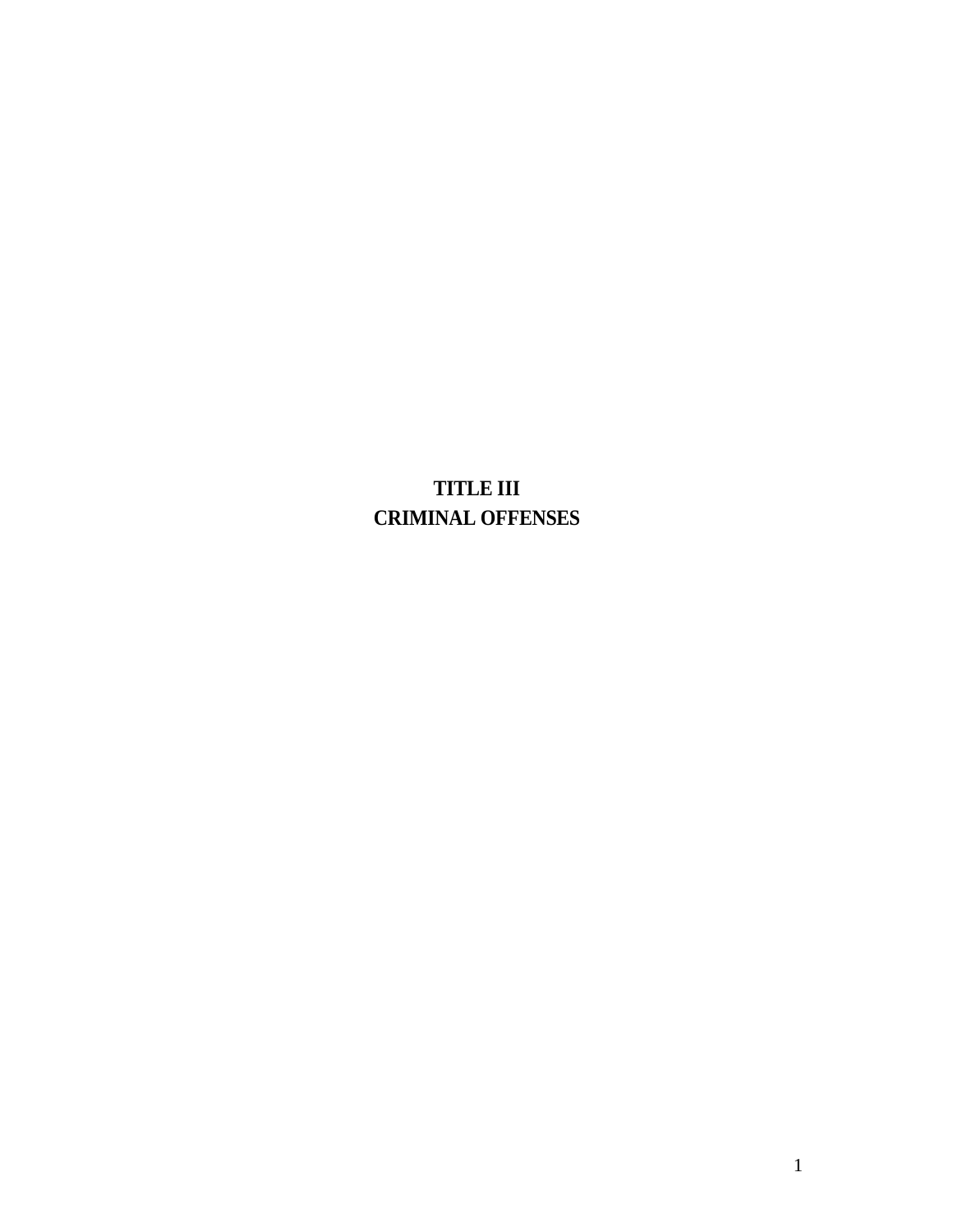# **TITLE III CRIMINAL OFFENSES**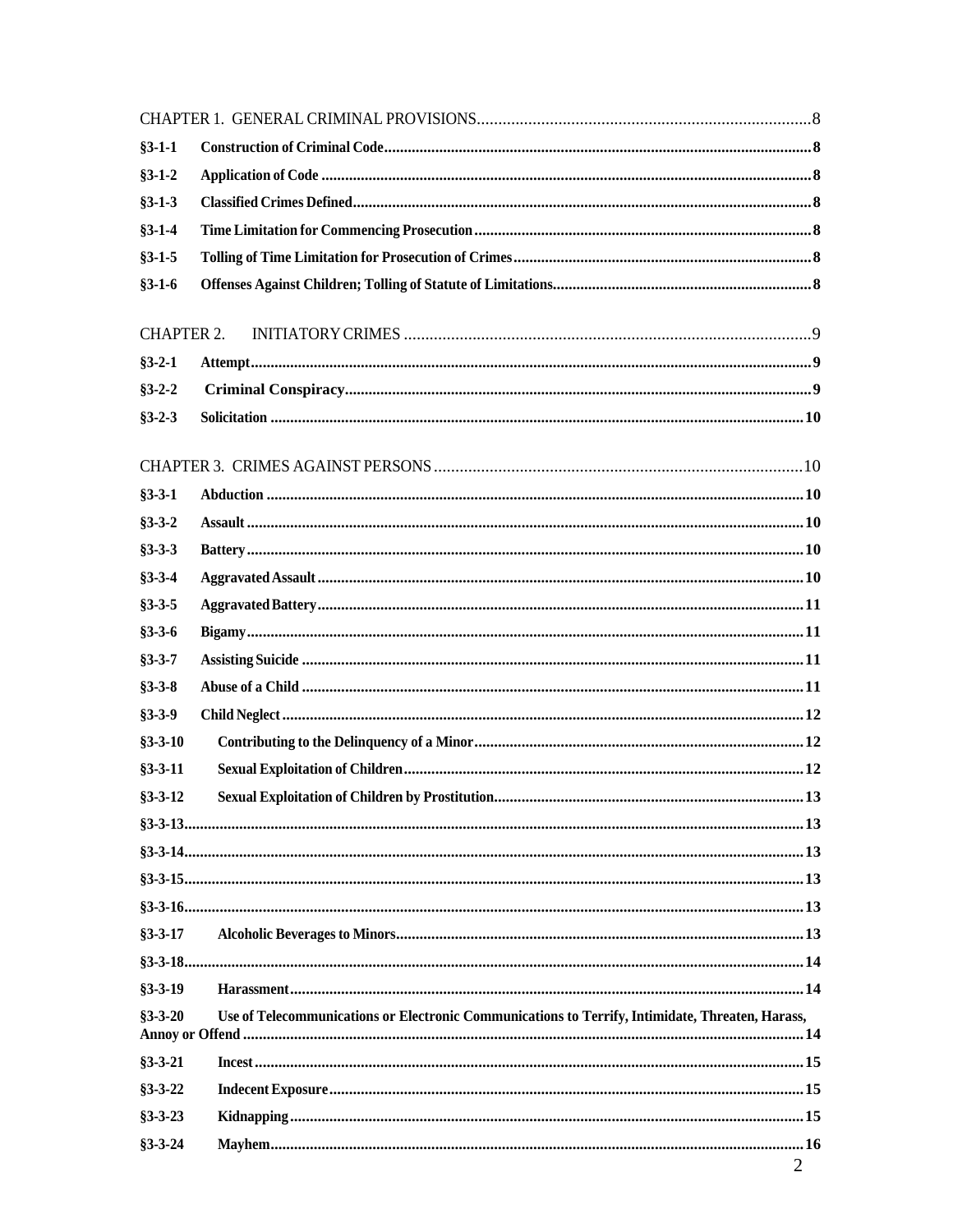| $§3 - 1 - 1$<br>$§3 - 1 - 2$<br>$§3 - 1 - 3$<br>$§3 - 1 - 4$<br>$§3 - 1 - 5$<br>$§3 - 1 - 6$<br><b>CHAPTER 2.</b><br>$§3 - 2 - 1$<br>$§3 - 2 - 2$<br>$§3 - 2 - 3$<br>$§3 - 3 - 1$<br>$§3 - 3 - 2$<br>$§3 - 3 - 3$<br>$§3 - 3 - 4$<br>$§3 - 3 - 5$<br>$§3 - 3 - 6$<br>$§3 - 3 - 7$<br>$§3 - 3 - 8$<br>$§3 - 3 - 9$<br>$§3 - 3 - 10$<br>$§3 - 3 - 11$<br>$§3 - 3 - 12$<br>$§3 - 3 - 17$<br>$§3 - 3 - 19$<br>Use of Telecommunications or Electronic Communications to Terrify, Intimidate, Threaten, Harass,<br>$§3 - 3 - 20$<br>$§3 - 3 - 21$<br>$§3 - 3 - 22$<br>$§3 - 3 - 23$<br>$§3 - 3 - 24$ |  |                |
|-------------------------------------------------------------------------------------------------------------------------------------------------------------------------------------------------------------------------------------------------------------------------------------------------------------------------------------------------------------------------------------------------------------------------------------------------------------------------------------------------------------------------------------------------------------------------------------------------|--|----------------|
|                                                                                                                                                                                                                                                                                                                                                                                                                                                                                                                                                                                                 |  |                |
|                                                                                                                                                                                                                                                                                                                                                                                                                                                                                                                                                                                                 |  |                |
|                                                                                                                                                                                                                                                                                                                                                                                                                                                                                                                                                                                                 |  |                |
|                                                                                                                                                                                                                                                                                                                                                                                                                                                                                                                                                                                                 |  |                |
|                                                                                                                                                                                                                                                                                                                                                                                                                                                                                                                                                                                                 |  |                |
|                                                                                                                                                                                                                                                                                                                                                                                                                                                                                                                                                                                                 |  |                |
|                                                                                                                                                                                                                                                                                                                                                                                                                                                                                                                                                                                                 |  |                |
|                                                                                                                                                                                                                                                                                                                                                                                                                                                                                                                                                                                                 |  |                |
|                                                                                                                                                                                                                                                                                                                                                                                                                                                                                                                                                                                                 |  |                |
|                                                                                                                                                                                                                                                                                                                                                                                                                                                                                                                                                                                                 |  |                |
|                                                                                                                                                                                                                                                                                                                                                                                                                                                                                                                                                                                                 |  |                |
|                                                                                                                                                                                                                                                                                                                                                                                                                                                                                                                                                                                                 |  |                |
|                                                                                                                                                                                                                                                                                                                                                                                                                                                                                                                                                                                                 |  |                |
|                                                                                                                                                                                                                                                                                                                                                                                                                                                                                                                                                                                                 |  |                |
|                                                                                                                                                                                                                                                                                                                                                                                                                                                                                                                                                                                                 |  |                |
|                                                                                                                                                                                                                                                                                                                                                                                                                                                                                                                                                                                                 |  |                |
|                                                                                                                                                                                                                                                                                                                                                                                                                                                                                                                                                                                                 |  |                |
|                                                                                                                                                                                                                                                                                                                                                                                                                                                                                                                                                                                                 |  |                |
|                                                                                                                                                                                                                                                                                                                                                                                                                                                                                                                                                                                                 |  |                |
|                                                                                                                                                                                                                                                                                                                                                                                                                                                                                                                                                                                                 |  |                |
|                                                                                                                                                                                                                                                                                                                                                                                                                                                                                                                                                                                                 |  |                |
|                                                                                                                                                                                                                                                                                                                                                                                                                                                                                                                                                                                                 |  |                |
|                                                                                                                                                                                                                                                                                                                                                                                                                                                                                                                                                                                                 |  |                |
|                                                                                                                                                                                                                                                                                                                                                                                                                                                                                                                                                                                                 |  |                |
|                                                                                                                                                                                                                                                                                                                                                                                                                                                                                                                                                                                                 |  |                |
|                                                                                                                                                                                                                                                                                                                                                                                                                                                                                                                                                                                                 |  |                |
|                                                                                                                                                                                                                                                                                                                                                                                                                                                                                                                                                                                                 |  |                |
|                                                                                                                                                                                                                                                                                                                                                                                                                                                                                                                                                                                                 |  |                |
|                                                                                                                                                                                                                                                                                                                                                                                                                                                                                                                                                                                                 |  |                |
|                                                                                                                                                                                                                                                                                                                                                                                                                                                                                                                                                                                                 |  |                |
|                                                                                                                                                                                                                                                                                                                                                                                                                                                                                                                                                                                                 |  |                |
|                                                                                                                                                                                                                                                                                                                                                                                                                                                                                                                                                                                                 |  |                |
|                                                                                                                                                                                                                                                                                                                                                                                                                                                                                                                                                                                                 |  |                |
|                                                                                                                                                                                                                                                                                                                                                                                                                                                                                                                                                                                                 |  |                |
|                                                                                                                                                                                                                                                                                                                                                                                                                                                                                                                                                                                                 |  |                |
|                                                                                                                                                                                                                                                                                                                                                                                                                                                                                                                                                                                                 |  |                |
|                                                                                                                                                                                                                                                                                                                                                                                                                                                                                                                                                                                                 |  | $\overline{2}$ |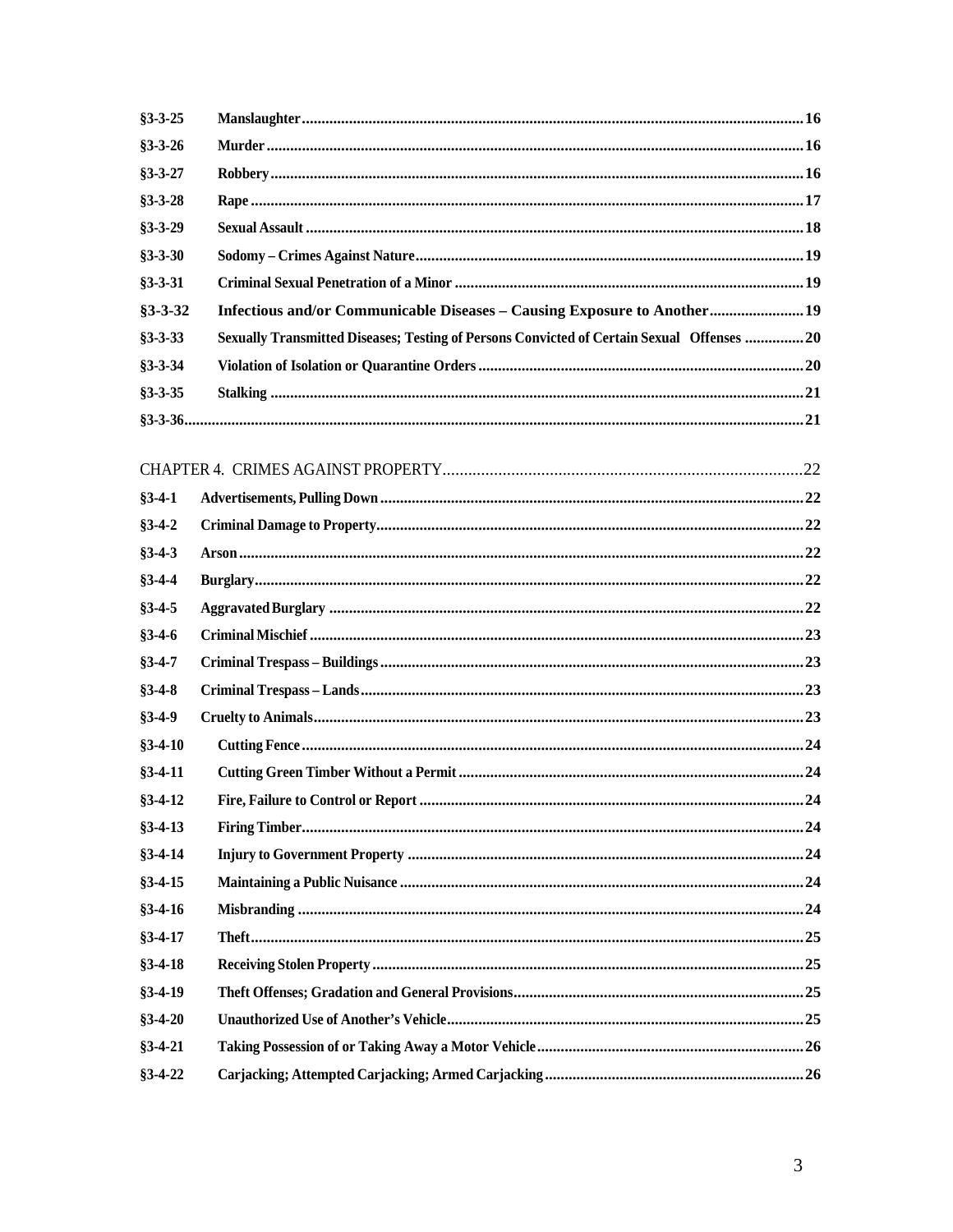| $§3 - 3 - 25$ |                                                                                            |  |
|---------------|--------------------------------------------------------------------------------------------|--|
| $§3 - 3 - 26$ |                                                                                            |  |
| $§3 - 3 - 27$ |                                                                                            |  |
| $§3 - 3 - 28$ |                                                                                            |  |
| $§3 - 3 - 29$ |                                                                                            |  |
| $§3 - 3 - 30$ |                                                                                            |  |
| $§3 - 3 - 31$ |                                                                                            |  |
| $§3 - 3 - 32$ | Infectious and/or Communicable Diseases - Causing Exposure to Another 19                   |  |
| $§3 - 3 - 33$ | Sexually Transmitted Diseases; Testing of Persons Convicted of Certain Sexual Offenses  20 |  |
| $§3 - 3 - 34$ |                                                                                            |  |
| $§3 - 3 - 35$ |                                                                                            |  |
|               |                                                                                            |  |
|               |                                                                                            |  |
|               |                                                                                            |  |
| $§3-4-1$      |                                                                                            |  |
| $§3-4-2$      |                                                                                            |  |
| $§3-4-3$      |                                                                                            |  |
| $§3-4-4$      |                                                                                            |  |
| $§3-4-5$      |                                                                                            |  |
| $§3-4-6$      |                                                                                            |  |
| $§3-4-7$      |                                                                                            |  |
| $§3-4-8$      |                                                                                            |  |
| $§3-4-9$      |                                                                                            |  |
| $§3-4-10$     |                                                                                            |  |
| $§3 - 4 - 11$ |                                                                                            |  |
| $§3 - 4 - 12$ |                                                                                            |  |
| $§3-4-13$     |                                                                                            |  |
| $§3 - 4 - 14$ |                                                                                            |  |
| $§3 - 4 - 15$ |                                                                                            |  |
| $§3 - 4 - 16$ |                                                                                            |  |
| $§3 - 4 - 17$ |                                                                                            |  |
| $§3-4-18$     |                                                                                            |  |
| $§3-4-19$     |                                                                                            |  |
| $§3-4-20$     |                                                                                            |  |
| $§3 - 4 - 21$ |                                                                                            |  |
| $§3 - 4 - 22$ |                                                                                            |  |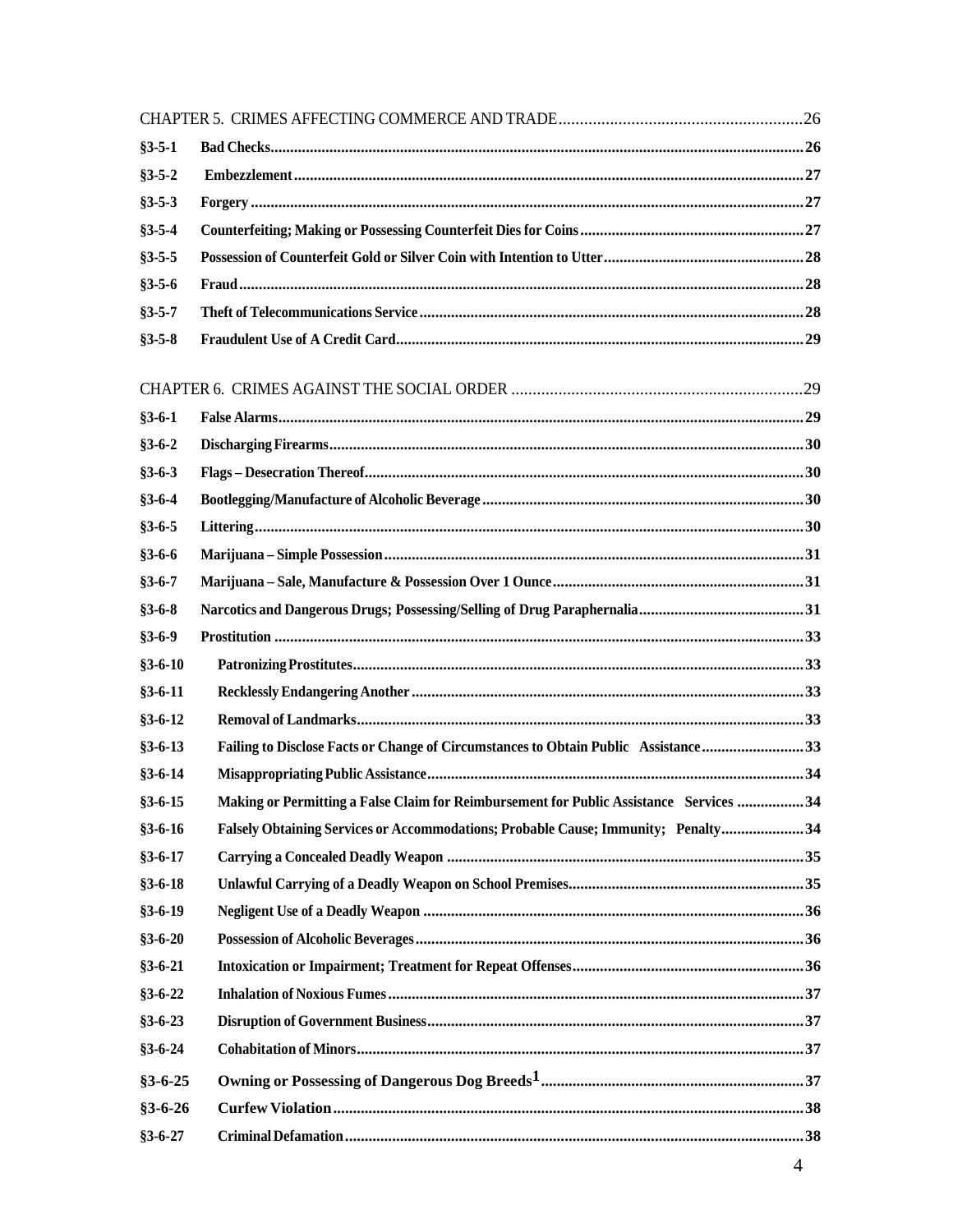| $§3 - 5 - 1$  |                                                                                         |  |
|---------------|-----------------------------------------------------------------------------------------|--|
| $§3 - 5 - 2$  |                                                                                         |  |
| $§3 - 5 - 3$  |                                                                                         |  |
| $§3 - 5 - 4$  |                                                                                         |  |
| $§3 - 5 - 5$  |                                                                                         |  |
| $§3 - 5 - 6$  |                                                                                         |  |
| $§3 - 5 - 7$  |                                                                                         |  |
| $§3 - 5 - 8$  |                                                                                         |  |
|               |                                                                                         |  |
| $§3 - 6 - 1$  |                                                                                         |  |
| $§3 - 6 - 2$  |                                                                                         |  |
| $§3 - 6 - 3$  |                                                                                         |  |
| $§3 - 6 - 4$  |                                                                                         |  |
| $§3 - 6 - 5$  |                                                                                         |  |
| $§3 - 6 - 6$  |                                                                                         |  |
| $§3 - 6 - 7$  |                                                                                         |  |
| $§3 - 6 - 8$  |                                                                                         |  |
| $§3 - 6 - 9$  |                                                                                         |  |
| $§3 - 6 - 10$ |                                                                                         |  |
| $§3 - 6 - 11$ |                                                                                         |  |
| $§3 - 6 - 12$ |                                                                                         |  |
| $§3 - 6 - 13$ | Failing to Disclose Facts or Change of Circumstances to Obtain Public Assistance33      |  |
| $§3 - 6 - 14$ |                                                                                         |  |
| $§3 - 6 - 15$ | Making or Permitting a False Claim for Reimbursement for Public Assistance Services  34 |  |
| $$3-6-16$     | Falsely Obtaining Services or Accommodations; Probable Cause; Immunity; Penalty 34      |  |
| $§3 - 6 - 17$ |                                                                                         |  |
| $§3 - 6 - 18$ |                                                                                         |  |
| $§3 - 6 - 19$ |                                                                                         |  |
| $§3 - 6 - 20$ |                                                                                         |  |
| $§3 - 6 - 21$ |                                                                                         |  |
| $§3 - 6 - 22$ |                                                                                         |  |
| $§3 - 6 - 23$ |                                                                                         |  |
| $§3 - 6 - 24$ |                                                                                         |  |
| $§3 - 6 - 25$ |                                                                                         |  |
| $§3 - 6 - 26$ |                                                                                         |  |
| $§3 - 6 - 27$ |                                                                                         |  |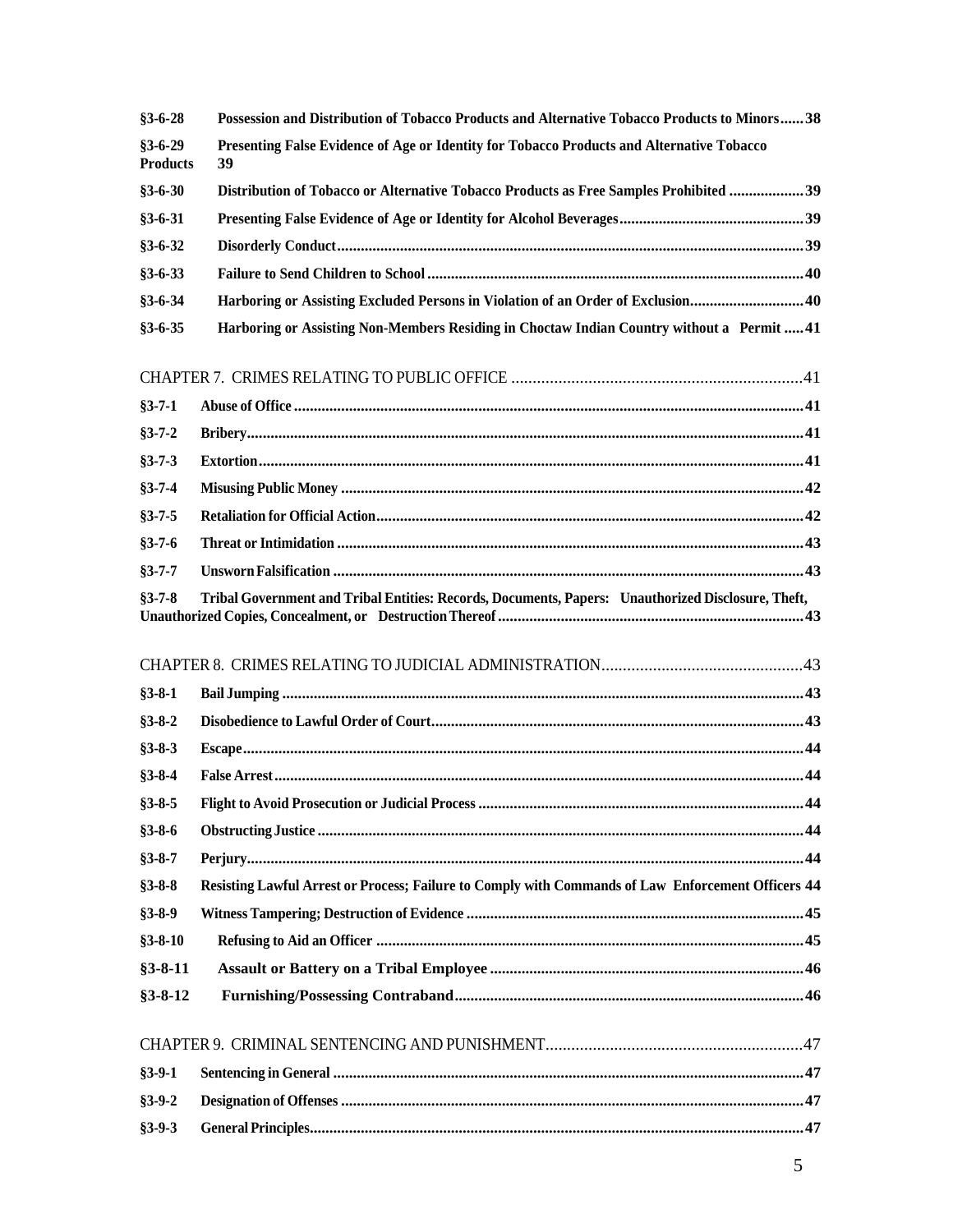| $§3 - 6 - 28$                    | Possession and Distribution of Tobacco Products and Alternative Tobacco Products to Minors 38      |
|----------------------------------|----------------------------------------------------------------------------------------------------|
| $§3 - 6 - 29$<br><b>Products</b> | Presenting False Evidence of Age or Identity for Tobacco Products and Alternative Tobacco<br>39    |
| $§3 - 6 - 30$                    | Distribution of Tobacco or Alternative Tobacco Products as Free Samples Prohibited 39              |
| $§3 - 6 - 31$                    |                                                                                                    |
| $§3 - 6 - 32$                    |                                                                                                    |
| $§3 - 6 - 33$                    |                                                                                                    |
| $§3 - 6 - 34$                    | Harboring or Assisting Excluded Persons in Violation of an Order of Exclusion 40                   |
| $§3 - 6 - 35$                    | Harboring or Assisting Non-Members Residing in Choctaw Indian Country without a Permit  41         |
|                                  |                                                                                                    |
| $§3 - 7 - 1$                     |                                                                                                    |
| $§3 - 7 - 2$                     |                                                                                                    |
| $§3 - 7 - 3$                     |                                                                                                    |
| $§3 - 7 - 4$                     |                                                                                                    |
| $§3 - 7 - 5$                     |                                                                                                    |
| $§3 - 7 - 6$                     |                                                                                                    |
| $§3 - 7 - 7$                     |                                                                                                    |
| $§3 - 7 - 8$                     | Tribal Government and Tribal Entities: Records, Documents, Papers: Unauthorized Disclosure, Theft, |
|                                  |                                                                                                    |
| $§3 - 8 - 1$                     |                                                                                                    |
| $§3 - 8 - 2$                     |                                                                                                    |
| $$3-8-3$                         |                                                                                                    |
| $§3 - 8 - 4$                     |                                                                                                    |
| $$3-8-5$                         |                                                                                                    |
| $$3-8-6$                         |                                                                                                    |
| $§3 - 8 - 7$                     |                                                                                                    |
| $§3 - 8 - 8$                     | Resisting Lawful Arrest or Process; Failure to Comply with Commands of Law Enforcement Officers 44 |
| $§3 - 8 - 9$                     |                                                                                                    |
| $§3 - 8 - 10$                    |                                                                                                    |
| $§3 - 8 - 11$                    |                                                                                                    |
| $§3 - 8 - 12$                    |                                                                                                    |
|                                  |                                                                                                    |
| $§3 - 9 - 1$                     |                                                                                                    |
| $§3 - 9 - 2$                     |                                                                                                    |
| $§3 - 9 - 3$                     |                                                                                                    |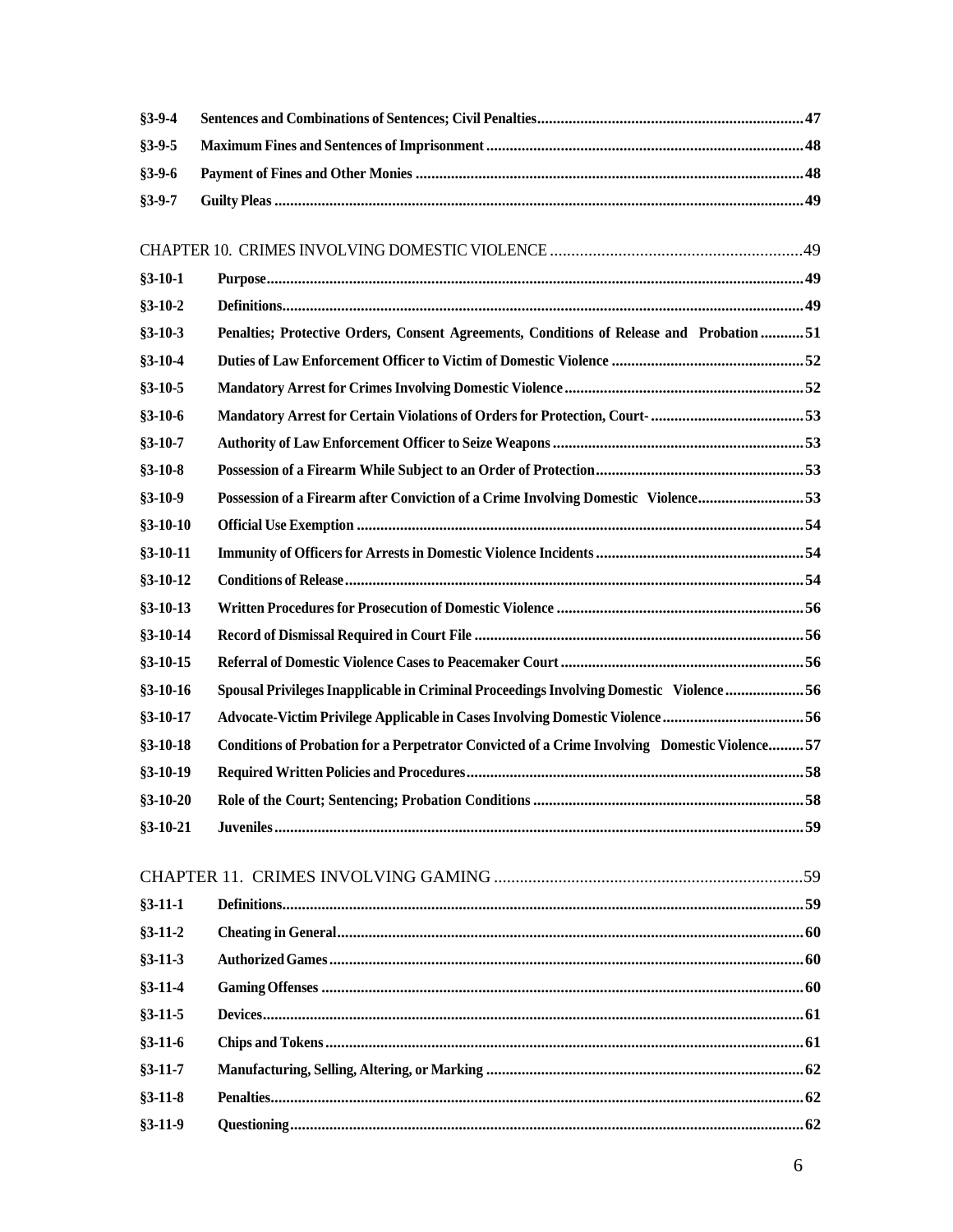| $§3 - 9 - 5$<br>$§3 - 9 - 7$<br>$§3 - 10 - 1$<br>$§3 - 10 - 2$<br>Penalties; Protective Orders, Consent Agreements, Conditions of Release and Probation 51<br>$§3 - 10 - 3$<br>$§3 - 10 - 4$<br>$§3 - 10 - 5$<br>$$3-10-6$<br>$§3 - 10 - 7$<br>$§3 - 10 - 8$<br>Possession of a Firearm after Conviction of a Crime Involving Domestic Violence53<br>$§3 - 10 - 9$<br>$§3 - 10 - 10$<br>$§3 - 10 - 11$<br>$§3 - 10 - 12$<br>$§3 - 10 - 13$<br>$§3 - 10 - 14$<br>$§3 - 10 - 15$<br>Spousal Privileges Inapplicable in Criminal Proceedings Involving Domestic Violence 56<br>$§3 - 10 - 16$<br>Advocate-Victim Privilege Applicable in Cases Involving Domestic Violence 56<br>$§3 - 10 - 17$<br>$§3 - 10 - 18$<br>Conditions of Probation for a Perpetrator Convicted of a Crime Involving Domestic Violence 57<br>$§3 - 10 - 19$<br>58<br>$$3-10-20$<br>Role of the Court; Sentencing; Probation Conditions<br>$$3-10-21$<br>$§3 - 11 - 1$<br>$§3 - 11 - 2$<br>$§3 - 11 - 3$<br>$§3 - 11 - 4$<br>$§3 - 11 - 5$<br>$§3 - 11 - 6$<br>$§3 - 11 - 7$<br>$§3 - 11 - 8$ | $§3 - 9 - 4$ |  |
|--------------------------------------------------------------------------------------------------------------------------------------------------------------------------------------------------------------------------------------------------------------------------------------------------------------------------------------------------------------------------------------------------------------------------------------------------------------------------------------------------------------------------------------------------------------------------------------------------------------------------------------------------------------------------------------------------------------------------------------------------------------------------------------------------------------------------------------------------------------------------------------------------------------------------------------------------------------------------------------------------------------------------------------------------------------------|--------------|--|
|                                                                                                                                                                                                                                                                                                                                                                                                                                                                                                                                                                                                                                                                                                                                                                                                                                                                                                                                                                                                                                                                    |              |  |
|                                                                                                                                                                                                                                                                                                                                                                                                                                                                                                                                                                                                                                                                                                                                                                                                                                                                                                                                                                                                                                                                    | $§3 - 9 - 6$ |  |
|                                                                                                                                                                                                                                                                                                                                                                                                                                                                                                                                                                                                                                                                                                                                                                                                                                                                                                                                                                                                                                                                    |              |  |
|                                                                                                                                                                                                                                                                                                                                                                                                                                                                                                                                                                                                                                                                                                                                                                                                                                                                                                                                                                                                                                                                    |              |  |
|                                                                                                                                                                                                                                                                                                                                                                                                                                                                                                                                                                                                                                                                                                                                                                                                                                                                                                                                                                                                                                                                    |              |  |
|                                                                                                                                                                                                                                                                                                                                                                                                                                                                                                                                                                                                                                                                                                                                                                                                                                                                                                                                                                                                                                                                    |              |  |
|                                                                                                                                                                                                                                                                                                                                                                                                                                                                                                                                                                                                                                                                                                                                                                                                                                                                                                                                                                                                                                                                    |              |  |
|                                                                                                                                                                                                                                                                                                                                                                                                                                                                                                                                                                                                                                                                                                                                                                                                                                                                                                                                                                                                                                                                    |              |  |
|                                                                                                                                                                                                                                                                                                                                                                                                                                                                                                                                                                                                                                                                                                                                                                                                                                                                                                                                                                                                                                                                    |              |  |
|                                                                                                                                                                                                                                                                                                                                                                                                                                                                                                                                                                                                                                                                                                                                                                                                                                                                                                                                                                                                                                                                    |              |  |
|                                                                                                                                                                                                                                                                                                                                                                                                                                                                                                                                                                                                                                                                                                                                                                                                                                                                                                                                                                                                                                                                    |              |  |
|                                                                                                                                                                                                                                                                                                                                                                                                                                                                                                                                                                                                                                                                                                                                                                                                                                                                                                                                                                                                                                                                    |              |  |
|                                                                                                                                                                                                                                                                                                                                                                                                                                                                                                                                                                                                                                                                                                                                                                                                                                                                                                                                                                                                                                                                    |              |  |
|                                                                                                                                                                                                                                                                                                                                                                                                                                                                                                                                                                                                                                                                                                                                                                                                                                                                                                                                                                                                                                                                    |              |  |
|                                                                                                                                                                                                                                                                                                                                                                                                                                                                                                                                                                                                                                                                                                                                                                                                                                                                                                                                                                                                                                                                    |              |  |
|                                                                                                                                                                                                                                                                                                                                                                                                                                                                                                                                                                                                                                                                                                                                                                                                                                                                                                                                                                                                                                                                    |              |  |
|                                                                                                                                                                                                                                                                                                                                                                                                                                                                                                                                                                                                                                                                                                                                                                                                                                                                                                                                                                                                                                                                    |              |  |
|                                                                                                                                                                                                                                                                                                                                                                                                                                                                                                                                                                                                                                                                                                                                                                                                                                                                                                                                                                                                                                                                    |              |  |
|                                                                                                                                                                                                                                                                                                                                                                                                                                                                                                                                                                                                                                                                                                                                                                                                                                                                                                                                                                                                                                                                    |              |  |
|                                                                                                                                                                                                                                                                                                                                                                                                                                                                                                                                                                                                                                                                                                                                                                                                                                                                                                                                                                                                                                                                    |              |  |
|                                                                                                                                                                                                                                                                                                                                                                                                                                                                                                                                                                                                                                                                                                                                                                                                                                                                                                                                                                                                                                                                    |              |  |
|                                                                                                                                                                                                                                                                                                                                                                                                                                                                                                                                                                                                                                                                                                                                                                                                                                                                                                                                                                                                                                                                    |              |  |
|                                                                                                                                                                                                                                                                                                                                                                                                                                                                                                                                                                                                                                                                                                                                                                                                                                                                                                                                                                                                                                                                    |              |  |
|                                                                                                                                                                                                                                                                                                                                                                                                                                                                                                                                                                                                                                                                                                                                                                                                                                                                                                                                                                                                                                                                    |              |  |
|                                                                                                                                                                                                                                                                                                                                                                                                                                                                                                                                                                                                                                                                                                                                                                                                                                                                                                                                                                                                                                                                    |              |  |
|                                                                                                                                                                                                                                                                                                                                                                                                                                                                                                                                                                                                                                                                                                                                                                                                                                                                                                                                                                                                                                                                    |              |  |
|                                                                                                                                                                                                                                                                                                                                                                                                                                                                                                                                                                                                                                                                                                                                                                                                                                                                                                                                                                                                                                                                    |              |  |
|                                                                                                                                                                                                                                                                                                                                                                                                                                                                                                                                                                                                                                                                                                                                                                                                                                                                                                                                                                                                                                                                    |              |  |
|                                                                                                                                                                                                                                                                                                                                                                                                                                                                                                                                                                                                                                                                                                                                                                                                                                                                                                                                                                                                                                                                    |              |  |
|                                                                                                                                                                                                                                                                                                                                                                                                                                                                                                                                                                                                                                                                                                                                                                                                                                                                                                                                                                                                                                                                    |              |  |
|                                                                                                                                                                                                                                                                                                                                                                                                                                                                                                                                                                                                                                                                                                                                                                                                                                                                                                                                                                                                                                                                    |              |  |
|                                                                                                                                                                                                                                                                                                                                                                                                                                                                                                                                                                                                                                                                                                                                                                                                                                                                                                                                                                                                                                                                    |              |  |
|                                                                                                                                                                                                                                                                                                                                                                                                                                                                                                                                                                                                                                                                                                                                                                                                                                                                                                                                                                                                                                                                    |              |  |
|                                                                                                                                                                                                                                                                                                                                                                                                                                                                                                                                                                                                                                                                                                                                                                                                                                                                                                                                                                                                                                                                    |              |  |
|                                                                                                                                                                                                                                                                                                                                                                                                                                                                                                                                                                                                                                                                                                                                                                                                                                                                                                                                                                                                                                                                    |              |  |
|                                                                                                                                                                                                                                                                                                                                                                                                                                                                                                                                                                                                                                                                                                                                                                                                                                                                                                                                                                                                                                                                    |              |  |
| $§3 - 11 - 9$                                                                                                                                                                                                                                                                                                                                                                                                                                                                                                                                                                                                                                                                                                                                                                                                                                                                                                                                                                                                                                                      |              |  |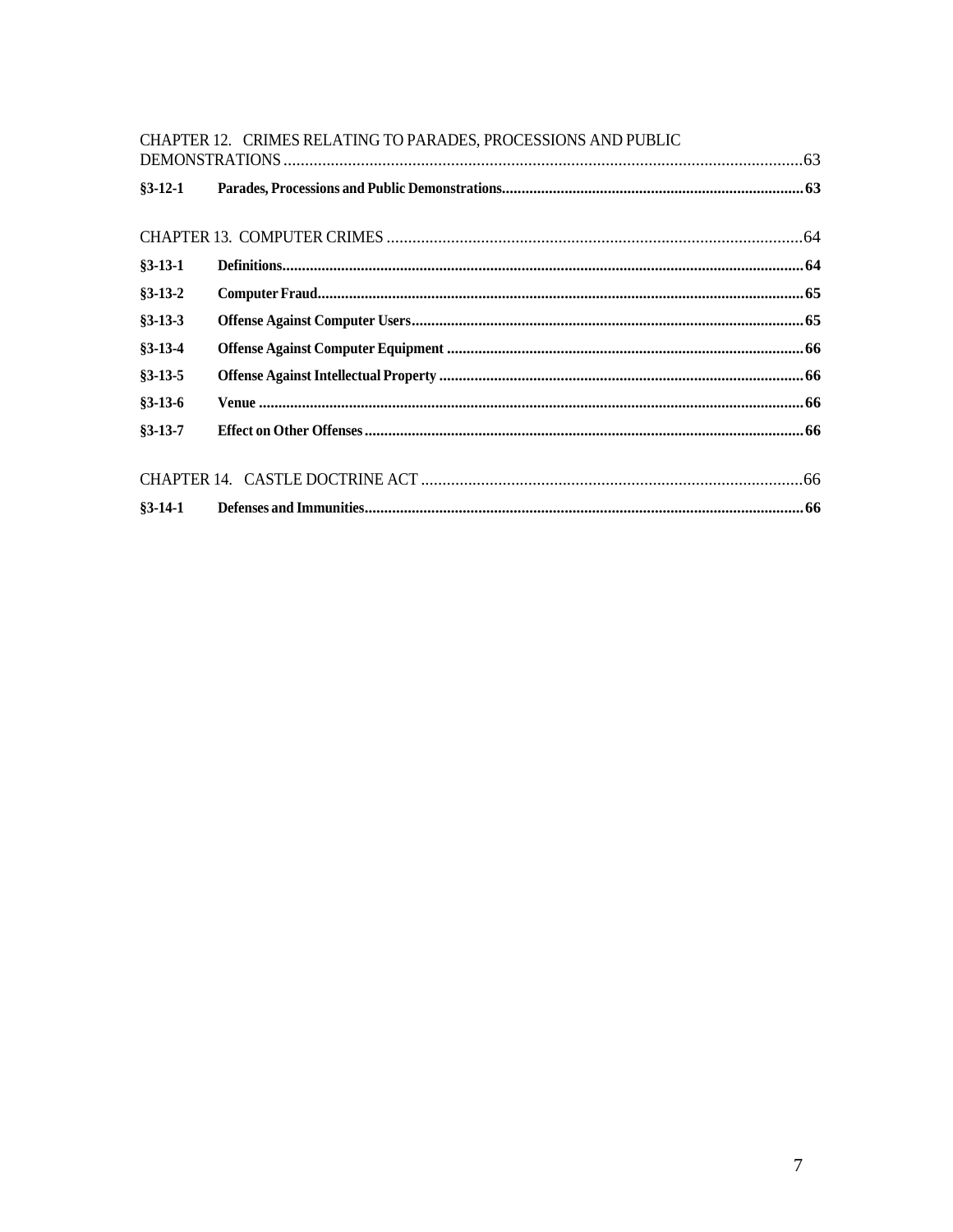|               | CHAPTER 12. CRIMES RELATING TO PARADES, PROCESSIONS AND PUBLIC |  |
|---------------|----------------------------------------------------------------|--|
|               |                                                                |  |
| $$3-12-1$     |                                                                |  |
|               |                                                                |  |
|               |                                                                |  |
| $§3-13-1$     |                                                                |  |
| $§3 - 13 - 2$ |                                                                |  |
| $§3 - 13 - 3$ |                                                                |  |
| $§3 - 13 - 4$ |                                                                |  |
| $§3 - 13 - 5$ |                                                                |  |
| $§3 - 13 - 6$ |                                                                |  |
| $§3 - 13 - 7$ |                                                                |  |
|               |                                                                |  |
|               |                                                                |  |
|               |                                                                |  |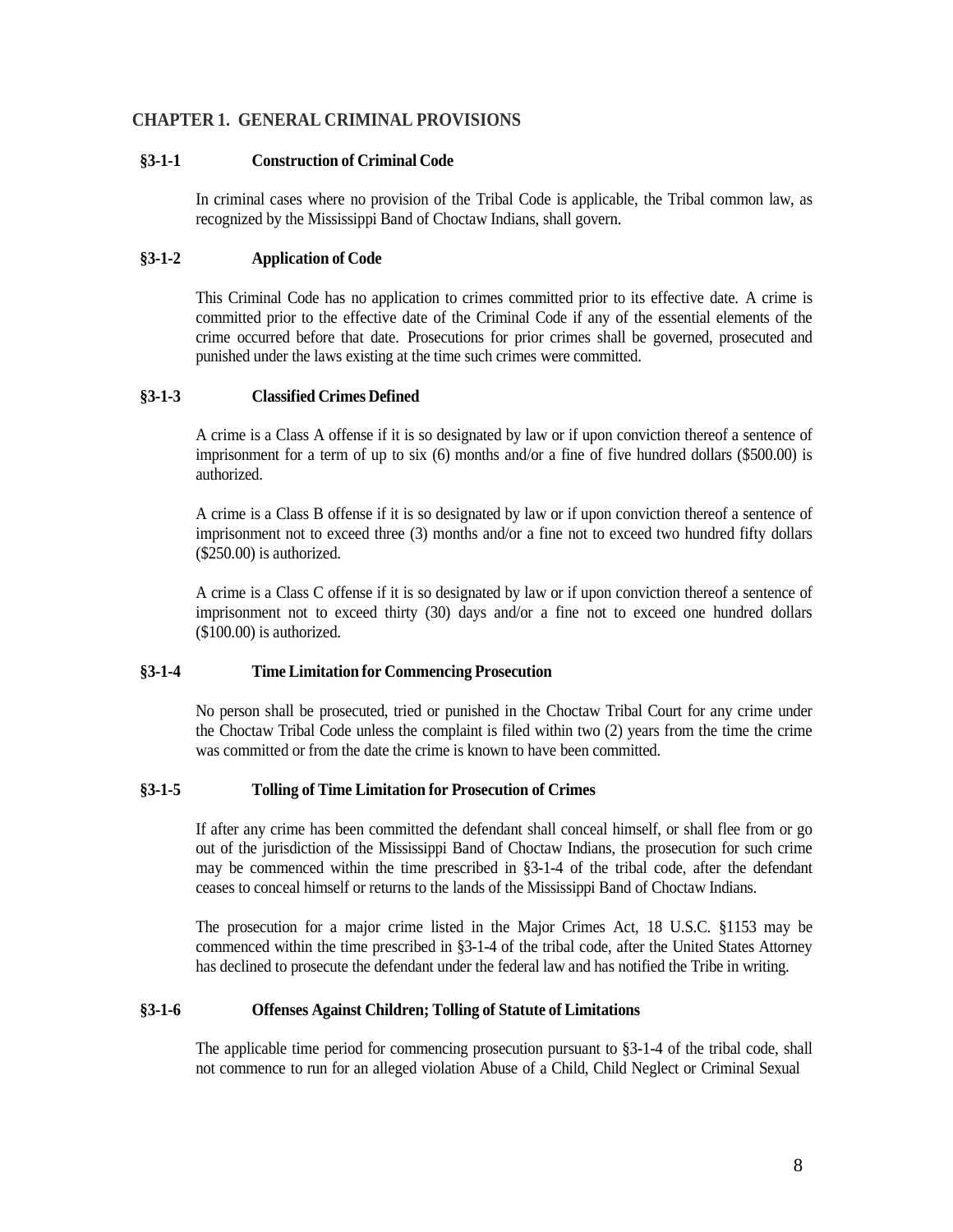## <span id="page-7-0"></span>**CHAPTER 1. GENERAL CRIMINAL PROVISIONS**

## <span id="page-7-1"></span>**§3-1-1 Construction of Criminal Code**

In criminal cases where no provision of the Tribal Code is applicable, the Tribal common law, as recognized by the Mississippi Band of Choctaw Indians, shall govern.

## <span id="page-7-2"></span>**§3-1-2 Application of Code**

This Criminal Code has no application to crimes committed prior to its effective date. A crime is committed prior to the effective date of the Criminal Code if any of the essential elements of the crime occurred before that date. Prosecutions for prior crimes shall be governed, prosecuted and punished under the laws existing at the time such crimes were committed.

## <span id="page-7-3"></span>**§3-1-3 Classified Crimes Defined**

A crime is a Class A offense if it is so designated by law or if upon conviction thereof a sentence of imprisonment for a term of up to six (6) months and/or a fine of five hundred dollars (\$500.00) is authorized.

A crime is a Class B offense if it is so designated by law or if upon conviction thereof a sentence of imprisonment not to exceed three (3) months and/or a fine not to exceed two hundred fifty dollars (\$250.00) is authorized.

A crime is a Class C offense if it is so designated by law or if upon conviction thereof a sentence of imprisonment not to exceed thirty (30) days and/or a fine not to exceed one hundred dollars (\$100.00) is authorized.

## <span id="page-7-4"></span>**§3-1-4 Time Limitation for Commencing Prosecution**

No person shall be prosecuted, tried or punished in the Choctaw Tribal Court for any crime under the Choctaw Tribal Code unless the complaint is filed within two (2) years from the time the crime was committed or from the date the crime is known to have been committed.

## <span id="page-7-5"></span>**§3-1-5 Tolling of Time Limitation for Prosecution of Crimes**

If after any crime has been committed the defendant shall conceal himself, or shall flee from or go out of the jurisdiction of the Mississippi Band of Choctaw Indians, the prosecution for such crime may be commenced within the time prescribed in §3-1-4 of the tribal code, after the defendant ceases to conceal himself or returns to the lands of the Mississippi Band of Choctaw Indians.

The prosecution for a major crime listed in the Major Crimes Act, 18 U.S.C. §1153 may be commenced within the time prescribed in §3-1-4 of the tribal code, after the United States Attorney has declined to prosecute the defendant under the federal law and has notified the Tribe in writing.

## <span id="page-7-6"></span>**§3-1-6 Offenses Against Children; Tolling of Statute of Limitations**

The applicable time period for commencing prosecution pursuant to §3-1-4 of the tribal code, shall not commence to run for an alleged violation Abuse of a Child, Child Neglect or Criminal Sexual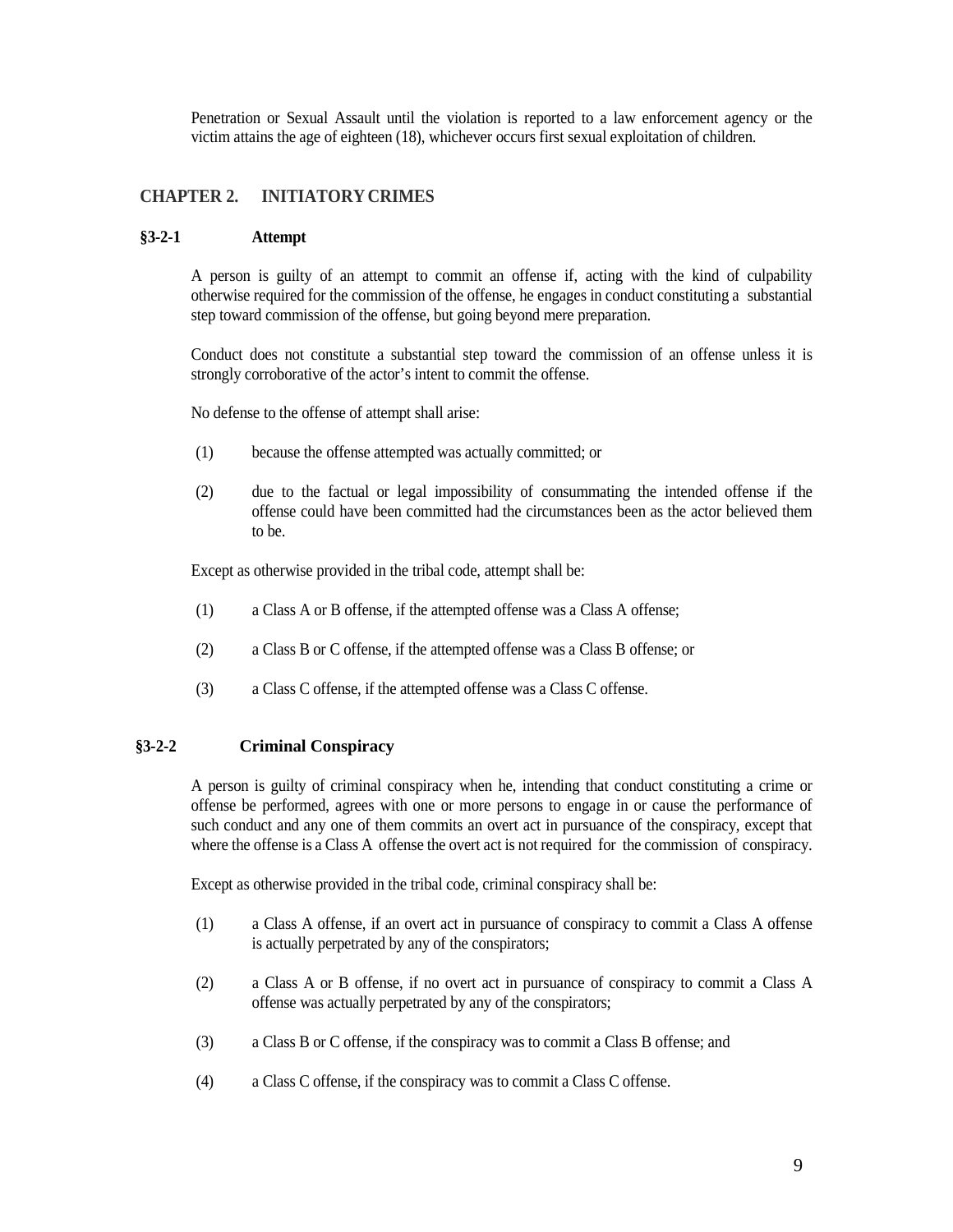Penetration or Sexual Assault until the violation is reported to a law enforcement agency or the victim attains the age of eighteen (18), whichever occurs first sexual exploitation of children.

## <span id="page-8-0"></span>**CHAPTER 2. INITIATORY CRIMES**

#### <span id="page-8-1"></span>**§3-2-1 Attempt**

A person is guilty of an attempt to commit an offense if, acting with the kind of culpability otherwise required for the commission of the offense, he engages in conduct constituting a substantial step toward commission of the offense, but going beyond mere preparation.

Conduct does not constitute a substantial step toward the commission of an offense unless it is strongly corroborative of the actor's intent to commit the offense.

No defense to the offense of attempt shall arise:

- (1) because the offense attempted was actually committed; or
- (2) due to the factual or legal impossibility of consummating the intended offense if the offense could have been committed had the circumstances been as the actor believed them to be.

Except as otherwise provided in the tribal code, attempt shall be:

- (1) a Class A or B offense, if the attempted offense was a Class A offense;
- (2) a Class B or C offense, if the attempted offense was a Class B offense; or
- (3) a Class C offense, if the attempted offense was a Class C offense.

## <span id="page-8-2"></span>**§3-2-2 Criminal Conspiracy**

A person is guilty of criminal conspiracy when he, intending that conduct constituting a crime or offense be performed, agrees with one or more persons to engage in or cause the performance of such conduct and any one of them commits an overt act in pursuance of the conspiracy, except that where the offense is a Class A offense the overt act is not required for the commission of conspiracy.

Except as otherwise provided in the tribal code, criminal conspiracy shall be:

- (1) a Class A offense, if an overt act in pursuance of conspiracy to commit a Class A offense is actually perpetrated by any of the conspirators;
- (2) a Class A or B offense, if no overt act in pursuance of conspiracy to commit a Class A offense was actually perpetrated by any of the conspirators;
- (3) a Class B or C offense, if the conspiracy was to commit a Class B offense; and
- (4) a Class C offense, if the conspiracy was to commit a Class C offense.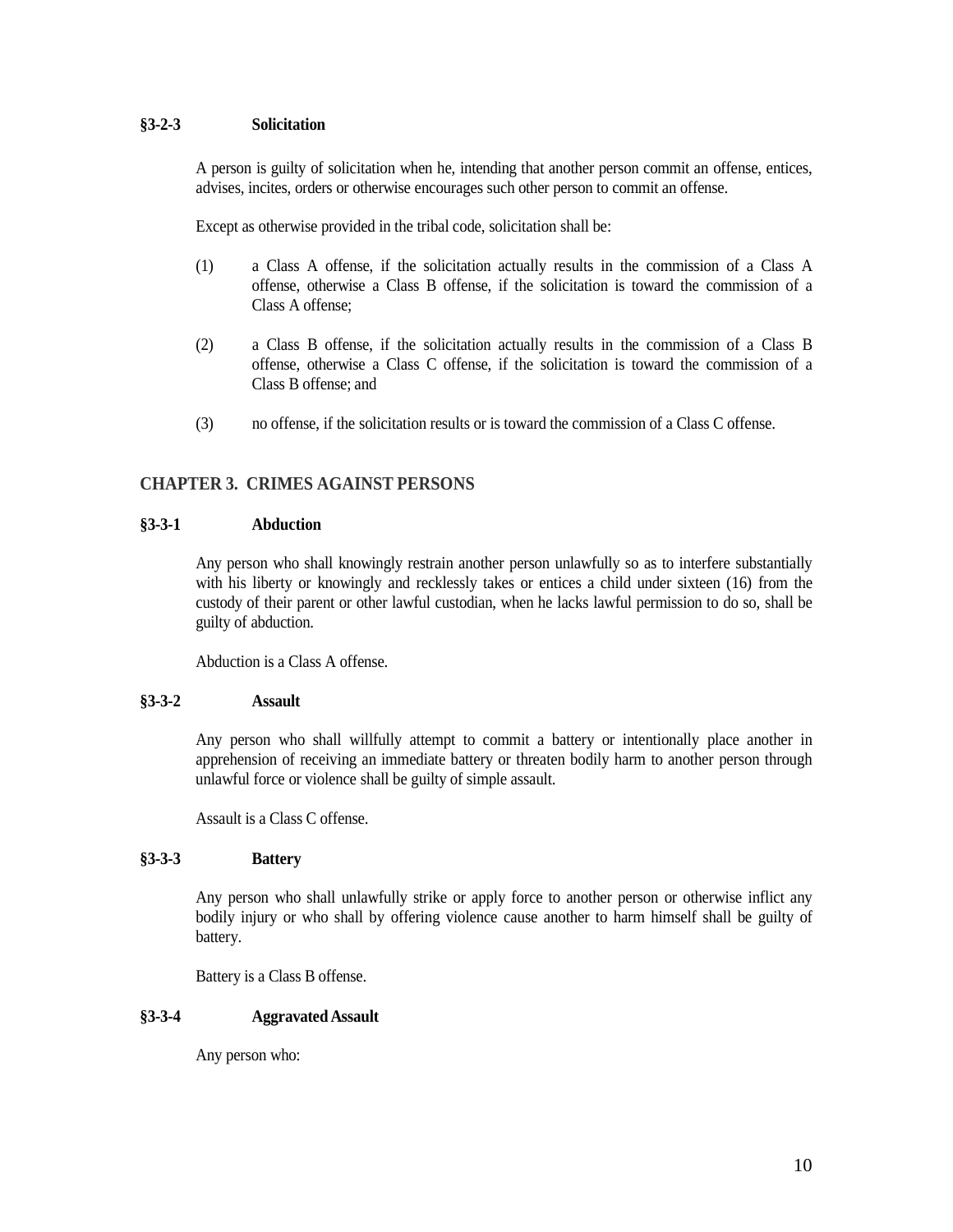## <span id="page-9-0"></span>**§3-2-3 Solicitation**

A person is guilty of solicitation when he, intending that another person commit an offense, entices, advises, incites, orders or otherwise encourages such other person to commit an offense.

Except as otherwise provided in the tribal code, solicitation shall be:

- (1) a Class A offense, if the solicitation actually results in the commission of a Class A offense, otherwise a Class B offense, if the solicitation is toward the commission of a Class A offense;
- (2) a Class B offense, if the solicitation actually results in the commission of a Class B offense, otherwise a Class C offense, if the solicitation is toward the commission of a Class B offense; and
- (3) no offense, if the solicitation results or is toward the commission of a Class C offense.

## <span id="page-9-1"></span>**CHAPTER 3. CRIMES AGAINST PERSONS**

### <span id="page-9-2"></span>**§3-3-1 Abduction**

Any person who shall knowingly restrain another person unlawfully so as to interfere substantially with his liberty or knowingly and recklessly takes or entices a child under sixteen (16) from the custody of their parent or other lawful custodian, when he lacks lawful permission to do so, shall be guilty of abduction.

Abduction is a Class A offense.

### <span id="page-9-3"></span>**§3-3-2 Assault**

Any person who shall willfully attempt to commit a battery or intentionally place another in apprehension of receiving an immediate battery or threaten bodily harm to another person through unlawful force or violence shall be guilty of simple assault.

Assault is a Class C offense.

### <span id="page-9-4"></span>**§3-3-3 Battery**

Any person who shall unlawfully strike or apply force to another person or otherwise inflict any bodily injury or who shall by offering violence cause another to harm himself shall be guilty of battery.

Battery is a Class B offense.

## <span id="page-9-5"></span>**§3-3-4 Aggravated Assault**

Any person who: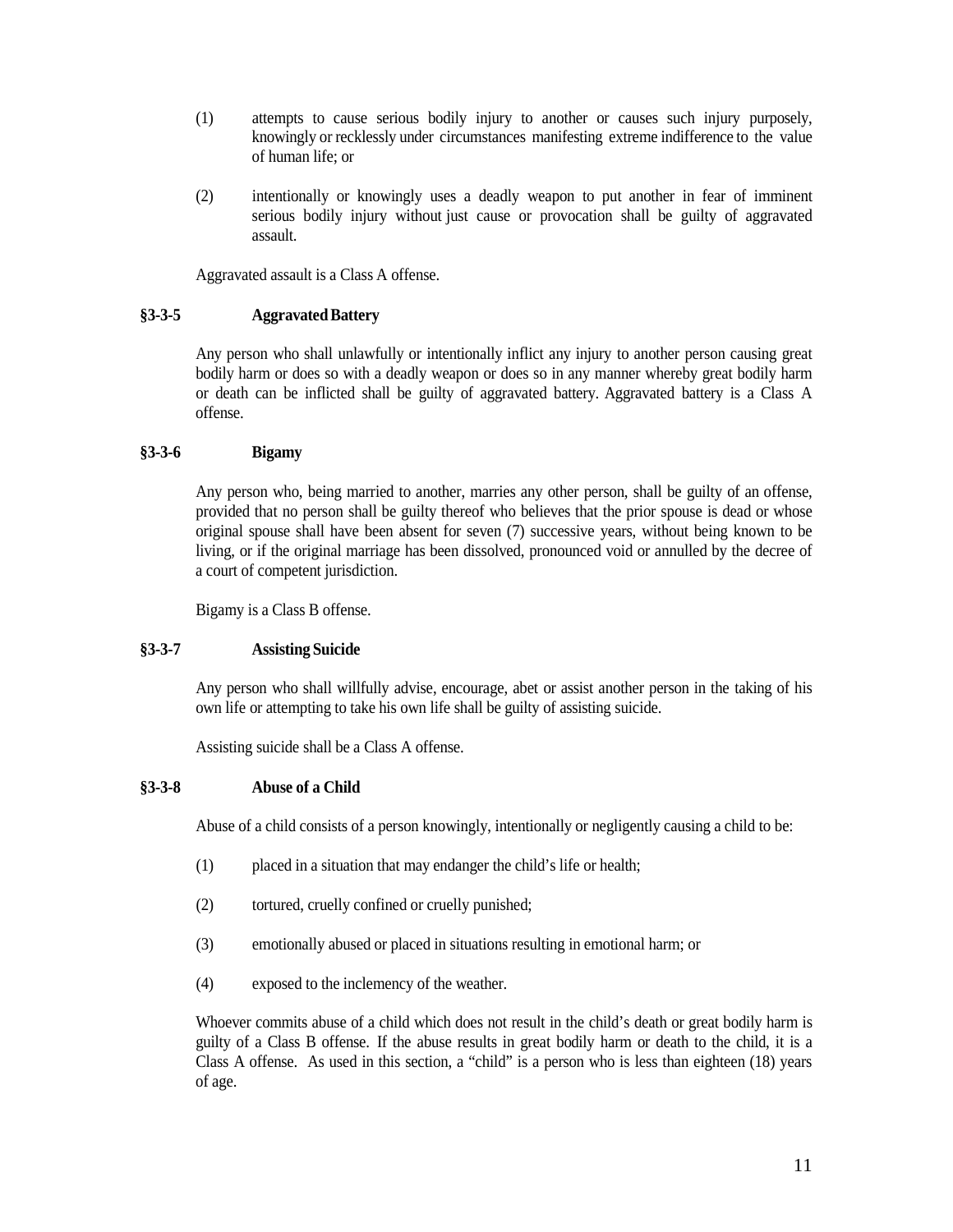- (1) attempts to cause serious bodily injury to another or causes such injury purposely, knowingly or recklessly under circumstances manifesting extreme indifference to the value of human life; or
- (2) intentionally or knowingly uses a deadly weapon to put another in fear of imminent serious bodily injury without just cause or provocation shall be guilty of aggravated assault.

Aggravated assault is a Class A offense.

## <span id="page-10-0"></span>**§3-3-5 AggravatedBattery**

Any person who shall unlawfully or intentionally inflict any injury to another person causing great bodily harm or does so with a deadly weapon or does so in any manner whereby great bodily harm or death can be inflicted shall be guilty of aggravated battery. Aggravated battery is a Class A offense.

## <span id="page-10-1"></span>**§3-3-6 Bigamy**

Any person who, being married to another, marries any other person, shall be guilty of an offense, provided that no person shall be guilty thereof who believes that the prior spouse is dead or whose original spouse shall have been absent for seven (7) successive years, without being known to be living, or if the original marriage has been dissolved, pronounced void or annulled by the decree of a court of competent jurisdiction.

Bigamy is a Class B offense.

### <span id="page-10-2"></span>**§3-3-7 Assisting Suicide**

Any person who shall willfully advise, encourage, abet or assist another person in the taking of his own life or attempting to take his own life shall be guilty of assisting suicide.

Assisting suicide shall be a Class A offense.

## <span id="page-10-3"></span>**§3-3-8 Abuse of a Child**

Abuse of a child consists of a person knowingly, intentionally or negligently causing a child to be:

- (1) placed in a situation that may endanger the child's life or health;
- (2) tortured, cruelly confined or cruelly punished;
- (3) emotionally abused or placed in situations resulting in emotional harm; or
- (4) exposed to the inclemency of the weather.

Whoever commits abuse of a child which does not result in the child's death or great bodily harm is guilty of a Class B offense. If the abuse results in great bodily harm or death to the child, it is a Class A offense. As used in this section, a "child" is a person who is less than eighteen (18) years of age.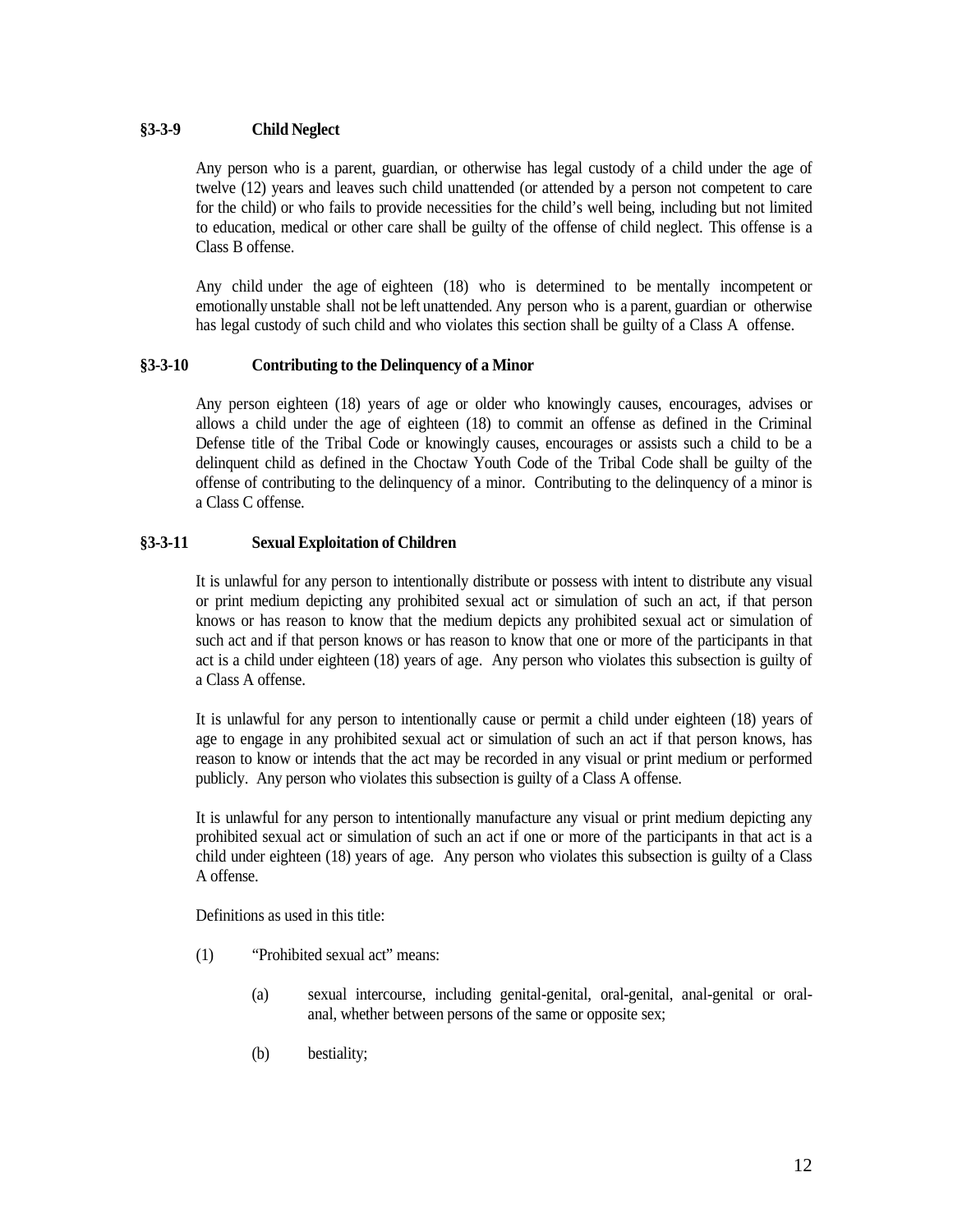## <span id="page-11-0"></span>**§3-3-9 Child Neglect**

Any person who is a parent, guardian, or otherwise has legal custody of a child under the age of twelve (12) years and leaves such child unattended (or attended by a person not competent to care for the child) or who fails to provide necessities for the child's well being, including but not limited to education, medical or other care shall be guilty of the offense of child neglect. This offense is a Class B offense.

Any child under the age of eighteen (18) who is determined to be mentally incompetent or emotionally unstable shall not be left unattended. Any person who is a parent, guardian or otherwise has legal custody of such child and who violates this section shall be guilty of a Class A offense.

## <span id="page-11-1"></span>**§3-3-10 Contributing to the Delinquency of a Minor**

Any person eighteen (18) years of age or older who knowingly causes, encourages, advises or allows a child under the age of eighteen (18) to commit an offense as defined in the Criminal Defense title of the Tribal Code or knowingly causes, encourages or assists such a child to be a delinquent child as defined in the Choctaw Youth Code of the Tribal Code shall be guilty of the offense of contributing to the delinquency of a minor. Contributing to the delinquency of a minor is a Class C offense.

## <span id="page-11-2"></span>**§3-3-11 Sexual Exploitation of Children**

It is unlawful for any person to intentionally distribute or possess with intent to distribute any visual or print medium depicting any prohibited sexual act or simulation of such an act, if that person knows or has reason to know that the medium depicts any prohibited sexual act or simulation of such act and if that person knows or has reason to know that one or more of the participants in that act is a child under eighteen (18) years of age. Any person who violates this subsection is guilty of a Class A offense.

It is unlawful for any person to intentionally cause or permit a child under eighteen (18) years of age to engage in any prohibited sexual act or simulation of such an act if that person knows, has reason to know or intends that the act may be recorded in any visual or print medium or performed publicly. Any person who violates this subsection is guilty of a Class A offense.

It is unlawful for any person to intentionally manufacture any visual or print medium depicting any prohibited sexual act or simulation of such an act if one or more of the participants in that act is a child under eighteen (18) years of age. Any person who violates this subsection is guilty of a Class A offense.

Definitions as used in this title:

- (1) "Prohibited sexual act" means:
	- (a) sexual intercourse, including genital-genital, oral-genital, anal-genital or oralanal, whether between persons of the same or opposite sex;
	- (b) bestiality;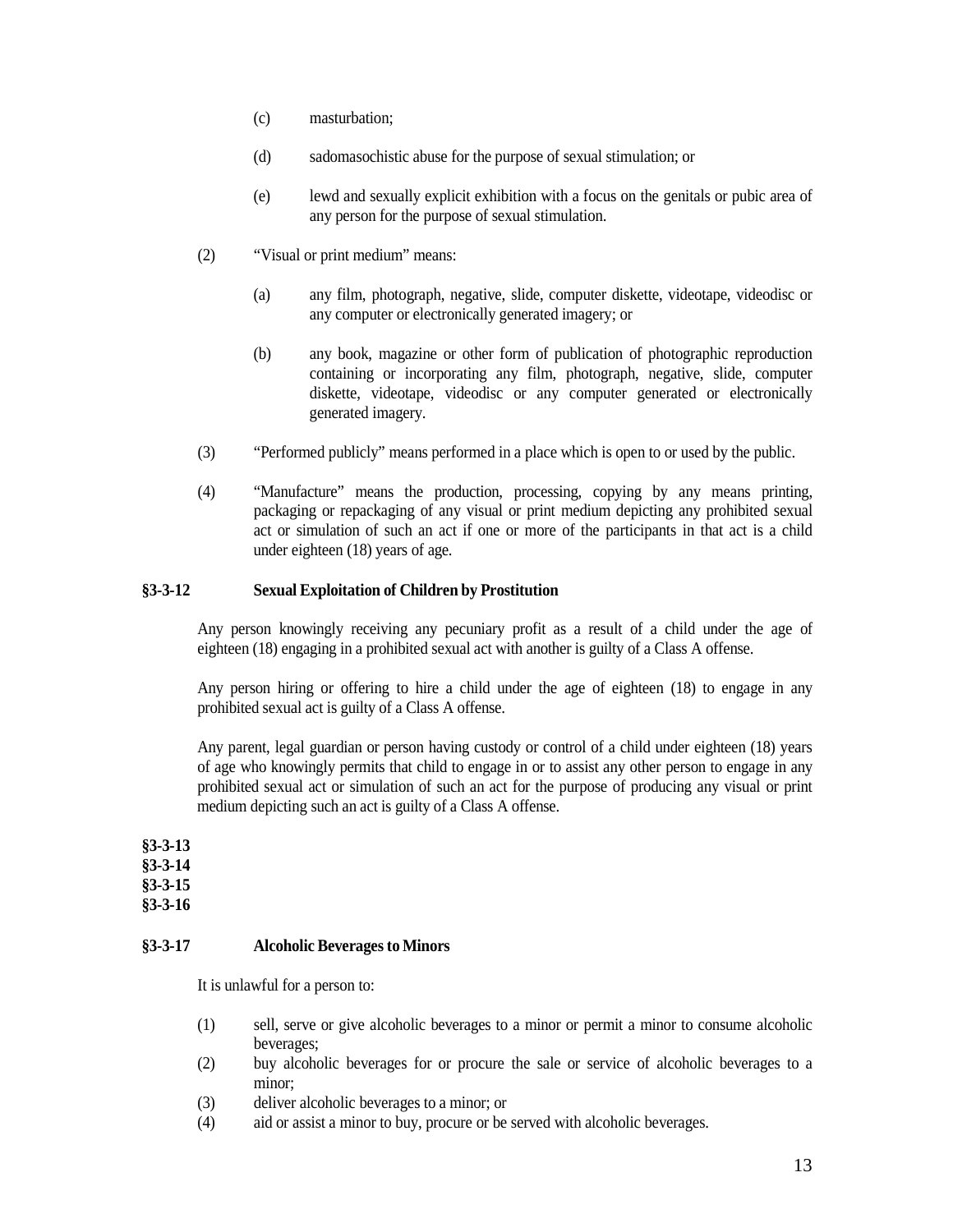- (c) masturbation;
- (d) sadomasochistic abuse for the purpose of sexual stimulation; or
- (e) lewd and sexually explicit exhibition with a focus on the genitals or pubic area of any person for the purpose of sexual stimulation.
- (2) "Visual or print medium" means:
	- (a) any film, photograph, negative, slide, computer diskette, videotape, videodisc or any computer or electronically generated imagery; or
	- (b) any book, magazine or other form of publication of photographic reproduction containing or incorporating any film, photograph, negative, slide, computer diskette, videotape, videodisc or any computer generated or electronically generated imagery.
- (3) "Performed publicly" means performed in a place which is open to or used by the public.
- (4) "Manufacture" means the production, processing, copying by any means printing, packaging or repackaging of any visual or print medium depicting any prohibited sexual act or simulation of such an act if one or more of the participants in that act is a child under eighteen (18) years of age.

## <span id="page-12-0"></span>**§3-3-12 Sexual Exploitation of Children by Prostitution**

Any person knowingly receiving any pecuniary profit as a result of a child under the age of eighteen (18) engaging in a prohibited sexual act with another is guilty of a Class A offense.

Any person hiring or offering to hire a child under the age of eighteen (18) to engage in any prohibited sexual act is guilty of a Class A offense.

Any parent, legal guardian or person having custody or control of a child under eighteen (18) years of age who knowingly permits that child to engage in or to assist any other person to engage in any prohibited sexual act or simulation of such an act for the purpose of producing any visual or print medium depicting such an act is guilty of a Class A offense.

<span id="page-12-3"></span><span id="page-12-2"></span><span id="page-12-1"></span>**§3-3-13 §3-3-14 §3-3-15 §3-3-16**

### <span id="page-12-5"></span><span id="page-12-4"></span>**§3-3-17 Alcoholic Beverages to Minors**

It is unlawful for a person to:

- (1) sell, serve or give alcoholic beverages to a minor or permit a minor to consume alcoholic beverages;
- (2) buy alcoholic beverages for or procure the sale or service of alcoholic beverages to a minor;
- (3) deliver alcoholic beverages to a minor; or
- (4) aid or assist a minor to buy, procure or be served with alcoholic beverages.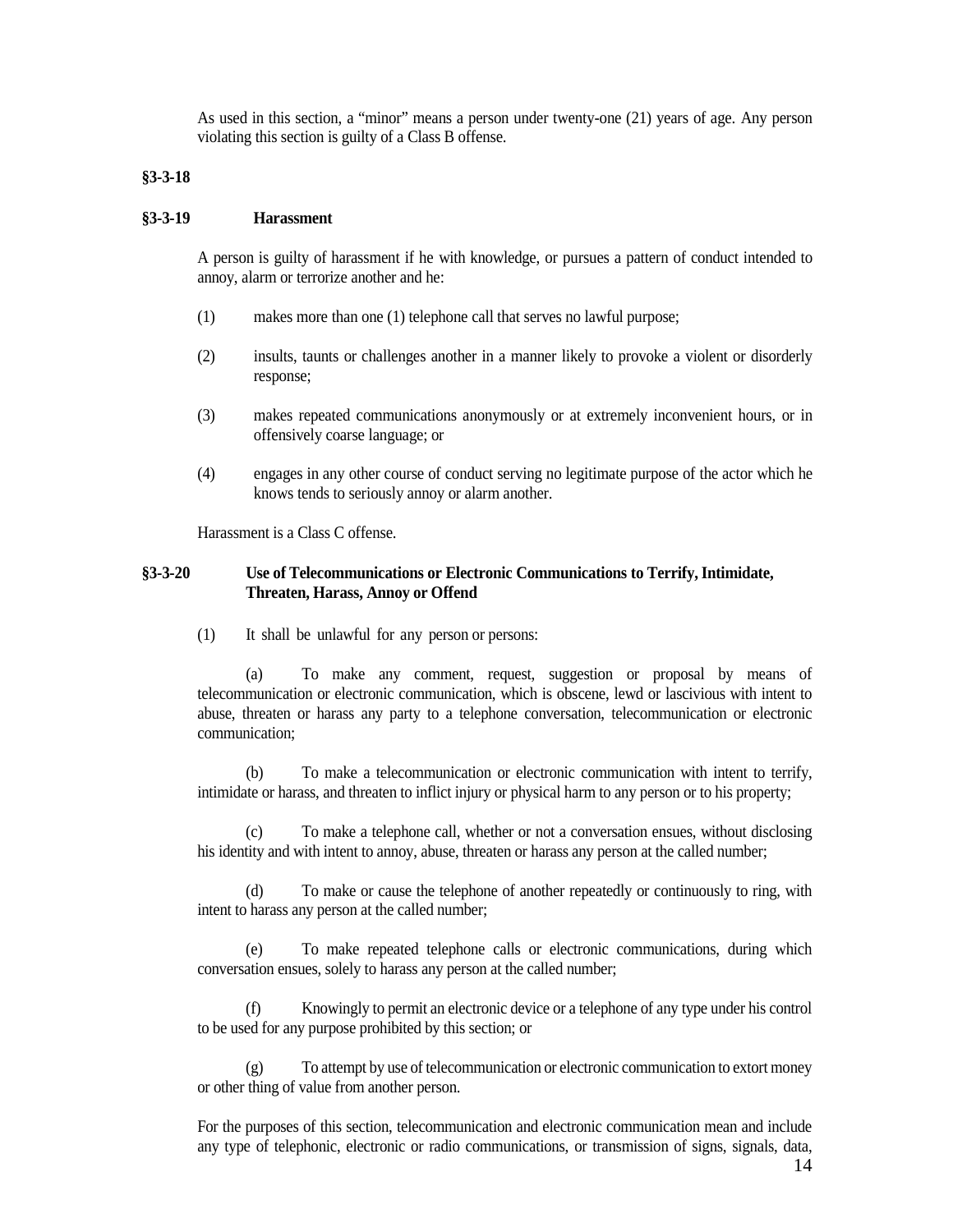As used in this section, a "minor" means a person under twenty-one (21) years of age. Any person violating this section is guilty of a Class B offense.

### <span id="page-13-0"></span>**§3-3-18**

### <span id="page-13-1"></span>**§3-3-19 Harassment**

A person is guilty of harassment if he with knowledge, or pursues a pattern of conduct intended to annoy, alarm or terrorize another and he:

- (1) makes more than one (1) telephone call that serves no lawful purpose;
- (2) insults, taunts or challenges another in a manner likely to provoke a violent or disorderly response;
- (3) makes repeated communications anonymously or at extremely inconvenient hours, or in offensively coarse language; or
- (4) engages in any other course of conduct serving no legitimate purpose of the actor which he knows tends to seriously annoy or alarm another.

Harassment is a Class C offense.

## <span id="page-13-2"></span>**§3-3-20 Use of Telecommunications or Electronic Communications to Terrify, Intimidate, Threaten, Harass, Annoy or Offend**

(1) It shall be unlawful for any person or persons:

(a) To make any comment, request, suggestion or proposal by means of telecommunication or electronic communication, which is obscene, lewd or lascivious with intent to abuse, threaten or harass any party to a telephone conversation, telecommunication or electronic communication;

(b) To make a telecommunication or electronic communication with intent to terrify, intimidate or harass, and threaten to inflict injury or physical harm to any person or to his property;

(c) To make a telephone call, whether or not a conversation ensues, without disclosing his identity and with intent to annoy, abuse, threaten or harass any person at the called number;

(d) To make or cause the telephone of another repeatedly or continuously to ring, with intent to harass any person at the called number;

(e) To make repeated telephone calls or electronic communications, during which conversation ensues, solely to harass any person at the called number;

(f) Knowingly to permit an electronic device or a telephone of any type under his control to be used for any purpose prohibited by this section; or

(g) To attempt by use of telecommunication or electronic communication to extort money or other thing of value from another person.

For the purposes of this section, telecommunication and electronic communication mean and include any type of telephonic, electronic or radio communications, or transmission of signs, signals, data,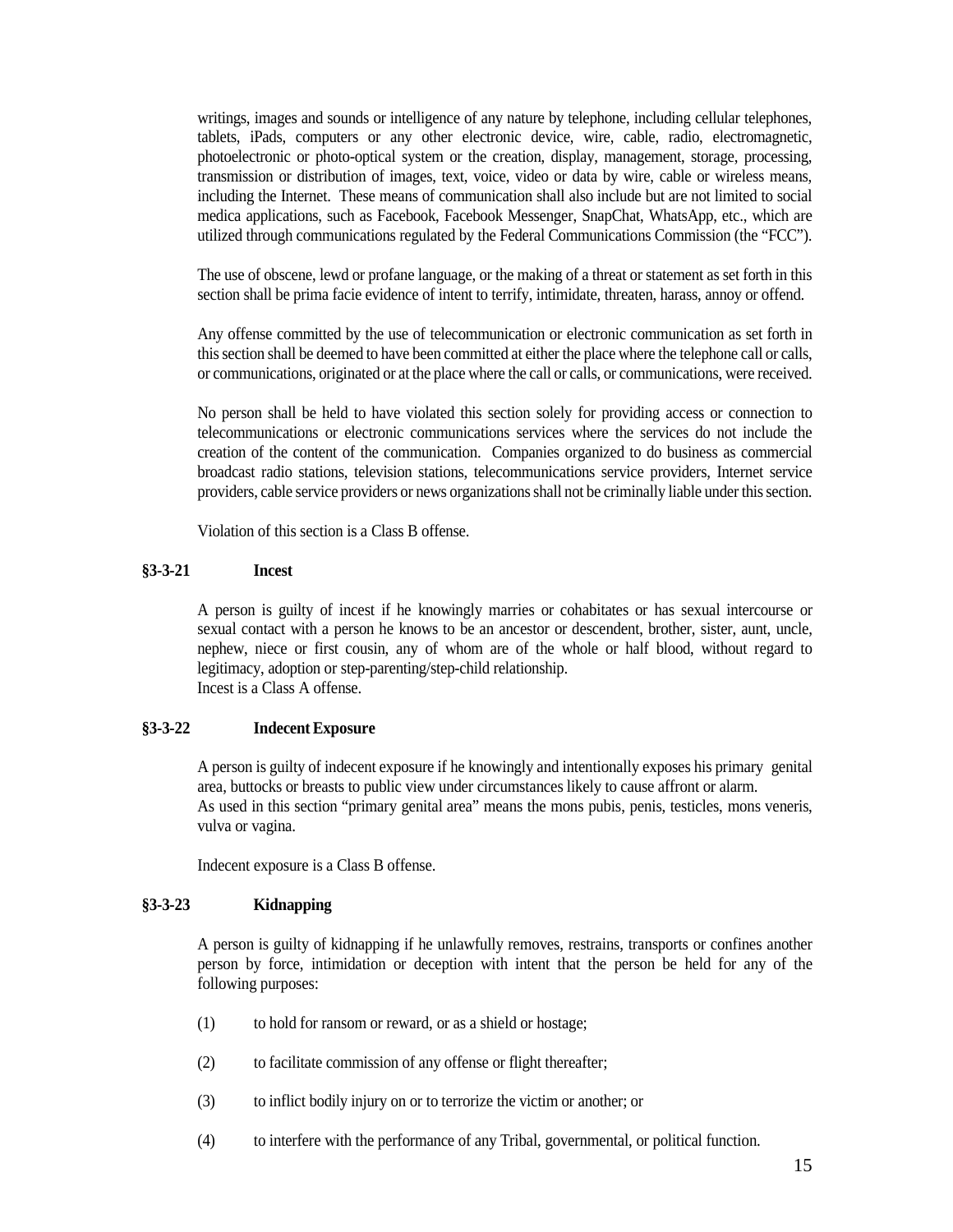writings, images and sounds or intelligence of any nature by telephone, including cellular telephones, tablets, iPads, computers or any other electronic device, wire, cable, radio, electromagnetic, photoelectronic or photo-optical system or the creation, display, management, storage, processing, transmission or distribution of images, text, voice, video or data by wire, cable or wireless means, including the Internet. These means of communication shall also include but are not limited to social medica applications, such as Facebook, Facebook Messenger, SnapChat, WhatsApp, etc., which are utilized through communications regulated by the Federal Communications Commission (the "FCC").

The use of obscene, lewd or profane language, or the making of a threat or statement as set forth in this section shall be prima facie evidence of intent to terrify, intimidate, threaten, harass, annoy or offend.

Any offense committed by the use of telecommunication or electronic communication as set forth in this section shall be deemed to have been committed at either the place where the telephone call or calls, or communications, originated or at the place where the call or calls, or communications, were received.

No person shall be held to have violated this section solely for providing access or connection to telecommunications or electronic communications services where the services do not include the creation of the content of the communication. Companies organized to do business as commercial broadcast radio stations, television stations, telecommunications service providers, Internet service providers, cable service providers or news organizations shall not be criminally liable under this section.

Violation of this section is a Class B offense.

### <span id="page-14-0"></span>**§3-3-21 Incest**

A person is guilty of incest if he knowingly marries or cohabitates or has sexual intercourse or sexual contact with a person he knows to be an ancestor or descendent, brother, sister, aunt, uncle, nephew, niece or first cousin, any of whom are of the whole or half blood, without regard to legitimacy, adoption or step-parenting/step-child relationship. Incest is a Class A offense.

### <span id="page-14-1"></span>**§3-3-22 Indecent Exposure**

A person is guilty of indecent exposure if he knowingly and intentionally exposes his primary genital area, buttocks or breasts to public view under circumstances likely to cause affront or alarm. As used in this section "primary genital area" means the mons pubis, penis, testicles, mons veneris, vulva or vagina.

Indecent exposure is a Class B offense.

### <span id="page-14-2"></span>**§3-3-23 Kidnapping**

A person is guilty of kidnapping if he unlawfully removes, restrains, transports or confines another person by force, intimidation or deception with intent that the person be held for any of the following purposes:

- (1) to hold for ransom or reward, or as a shield or hostage;
- (2) to facilitate commission of any offense or flight thereafter;
- (3) to inflict bodily injury on or to terrorize the victim or another; or
- (4) to interfere with the performance of any Tribal, governmental, or political function.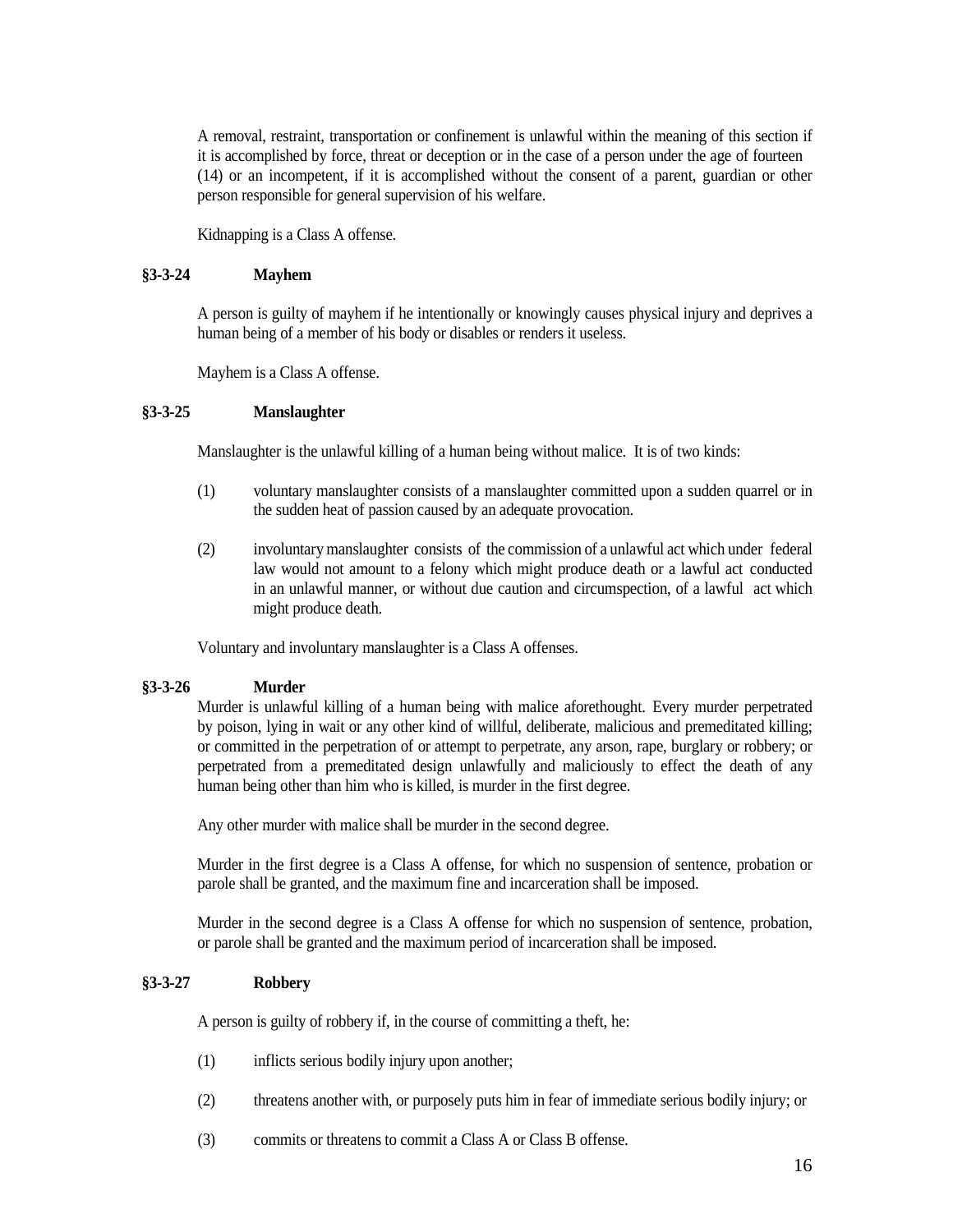A removal, restraint, transportation or confinement is unlawful within the meaning of this section if it is accomplished by force, threat or deception or in the case of a person under the age of fourteen (14) or an incompetent, if it is accomplished without the consent of a parent, guardian or other person responsible for general supervision of his welfare.

Kidnapping is a Class A offense.

## <span id="page-15-0"></span>**§3-3-24 Mayhem**

A person is guilty of mayhem if he intentionally or knowingly causes physical injury and deprives a human being of a member of his body or disables or renders it useless.

Mayhem is a Class A offense.

## <span id="page-15-1"></span>**§3-3-25 Manslaughter**

Manslaughter is the unlawful killing of a human being without malice. It is of two kinds:

- (1) voluntary manslaughter consists of a manslaughter committed upon a sudden quarrel or in the sudden heat of passion caused by an adequate provocation.
- (2) involuntary manslaughter consists of the commission of a unlawful act which under federal law would not amount to a felony which might produce death or a lawful act conducted in an unlawful manner, or without due caution and circumspection, of a lawful act which might produce death.

Voluntary and involuntary manslaughter is a Class A offenses.

## <span id="page-15-2"></span>**§3-3-26 Murder**

Murder is unlawful killing of a human being with malice aforethought. Every murder perpetrated by poison, lying in wait or any other kind of willful, deliberate, malicious and premeditated killing; or committed in the perpetration of or attempt to perpetrate, any arson, rape, burglary or robbery; or perpetrated from a premeditated design unlawfully and maliciously to effect the death of any human being other than him who is killed, is murder in the first degree.

Any other murder with malice shall be murder in the second degree.

Murder in the first degree is a Class A offense, for which no suspension of sentence, probation or parole shall be granted, and the maximum fine and incarceration shall be imposed.

Murder in the second degree is a Class A offense for which no suspension of sentence, probation, or parole shall be granted and the maximum period of incarceration shall be imposed.

### <span id="page-15-3"></span>**§3-3-27 Robbery**

A person is guilty of robbery if, in the course of committing a theft, he:

- (1) inflicts serious bodily injury upon another;
- (2) threatens another with, or purposely puts him in fear of immediate serious bodily injury; or
- (3) commits or threatens to commit a Class A or Class B offense.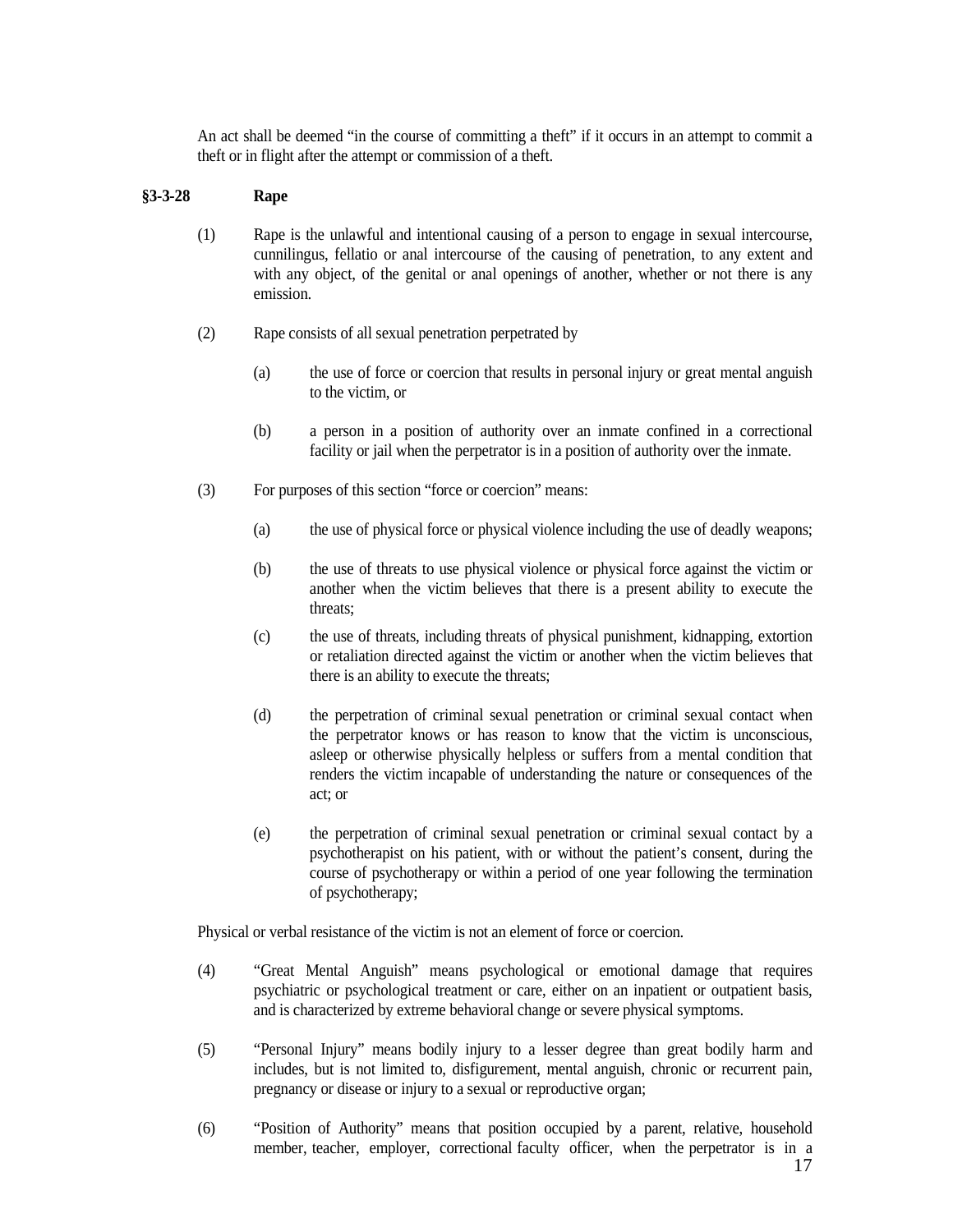An act shall be deemed "in the course of committing a theft" if it occurs in an attempt to commit a theft or in flight after the attempt or commission of a theft.

## <span id="page-16-0"></span>**§3-3-28 Rape**

- (1) Rape is the unlawful and intentional causing of a person to engage in sexual intercourse, cunnilingus, fellatio or anal intercourse of the causing of penetration, to any extent and with any object, of the genital or anal openings of another, whether or not there is any emission.
- (2) Rape consists of all sexual penetration perpetrated by
	- (a) the use of force or coercion that results in personal injury or great mental anguish to the victim, or
	- (b) a person in a position of authority over an inmate confined in a correctional facility or jail when the perpetrator is in a position of authority over the inmate.
- (3) For purposes of this section "force or coercion" means:
	- (a) the use of physical force or physical violence including the use of deadly weapons;
	- (b) the use of threats to use physical violence or physical force against the victim or another when the victim believes that there is a present ability to execute the threats;
	- (c) the use of threats, including threats of physical punishment, kidnapping, extortion or retaliation directed against the victim or another when the victim believes that there is an ability to execute the threats;
	- (d) the perpetration of criminal sexual penetration or criminal sexual contact when the perpetrator knows or has reason to know that the victim is unconscious, asleep or otherwise physically helpless or suffers from a mental condition that renders the victim incapable of understanding the nature or consequences of the act; or
	- (e) the perpetration of criminal sexual penetration or criminal sexual contact by a psychotherapist on his patient, with or without the patient's consent, during the course of psychotherapy or within a period of one year following the termination of psychotherapy;

Physical or verbal resistance of the victim is not an element of force or coercion.

- (4) "Great Mental Anguish" means psychological or emotional damage that requires psychiatric or psychological treatment or care, either on an inpatient or outpatient basis, and is characterized by extreme behavioral change or severe physical symptoms.
- (5) "Personal Injury" means bodily injury to a lesser degree than great bodily harm and includes, but is not limited to, disfigurement, mental anguish, chronic or recurrent pain, pregnancy or disease or injury to a sexual or reproductive organ;
- (6) "Position of Authority" means that position occupied by a parent, relative, household member, teacher, employer, correctional faculty officer, when the perpetrator is in a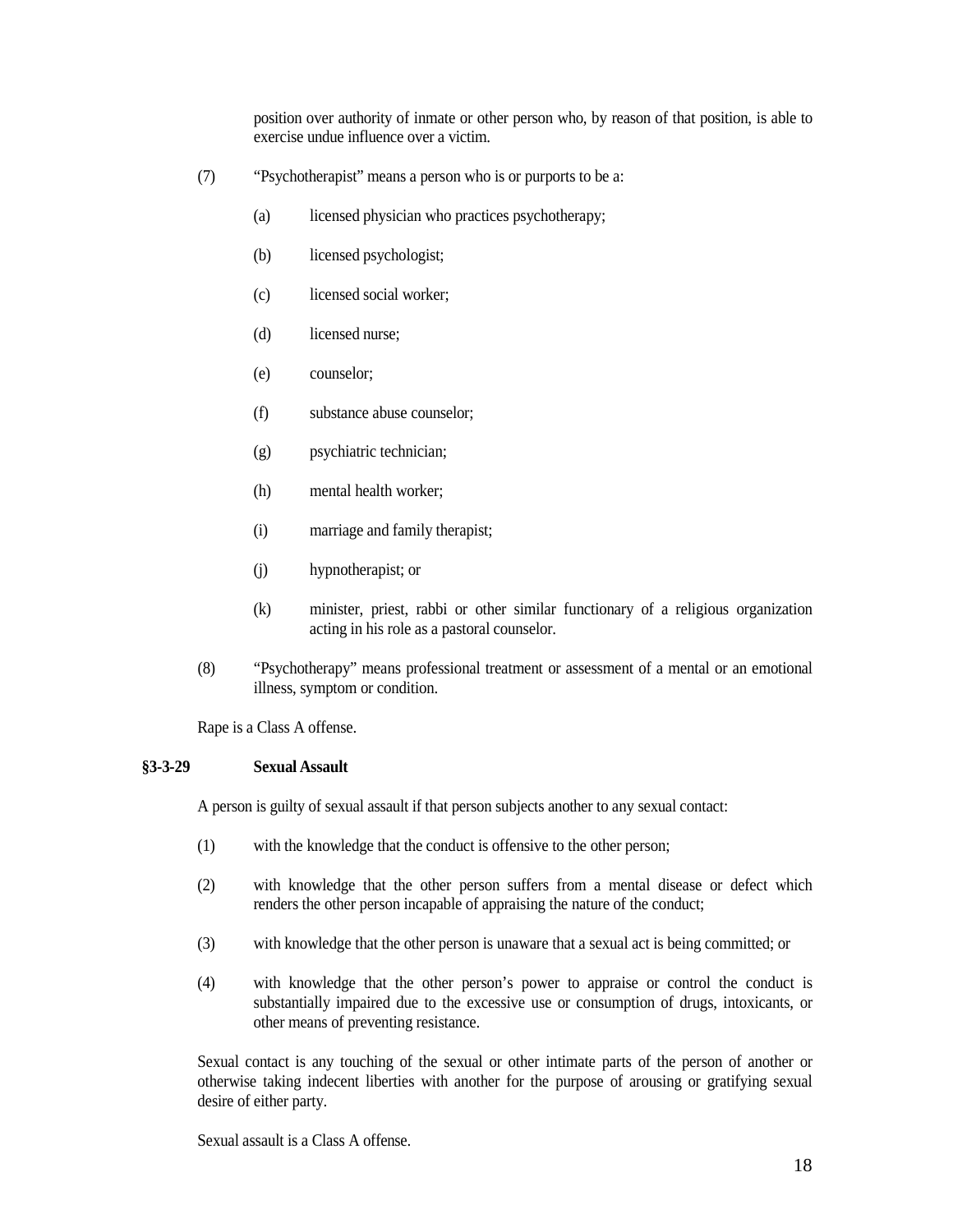position over authority of inmate or other person who, by reason of that position, is able to exercise undue influence over a victim.

- (7) "Psychotherapist" means a person who is or purports to be a:
	- (a) licensed physician who practices psychotherapy;
	- (b) licensed psychologist;
	- (c) licensed social worker;
	- (d) licensed nurse;
	- (e) counselor;
	- (f) substance abuse counselor;
	- (g) psychiatric technician;
	- (h) mental health worker;
	- (i) marriage and family therapist;
	- (j) hypnotherapist; or
	- (k) minister, priest, rabbi or other similar functionary of a religious organization acting in his role as a pastoral counselor.
- (8) "Psychotherapy" means professional treatment or assessment of a mental or an emotional illness, symptom or condition.

Rape is a Class A offense.

### <span id="page-17-0"></span>**§3-3-29 Sexual Assault**

A person is guilty of sexual assault if that person subjects another to any sexual contact:

- (1) with the knowledge that the conduct is offensive to the other person;
- (2) with knowledge that the other person suffers from a mental disease or defect which renders the other person incapable of appraising the nature of the conduct;
- (3) with knowledge that the other person is unaware that a sexual act is being committed; or
- (4) with knowledge that the other person's power to appraise or control the conduct is substantially impaired due to the excessive use or consumption of drugs, intoxicants, or other means of preventing resistance.

Sexual contact is any touching of the sexual or other intimate parts of the person of another or otherwise taking indecent liberties with another for the purpose of arousing or gratifying sexual desire of either party.

Sexual assault is a Class A offense.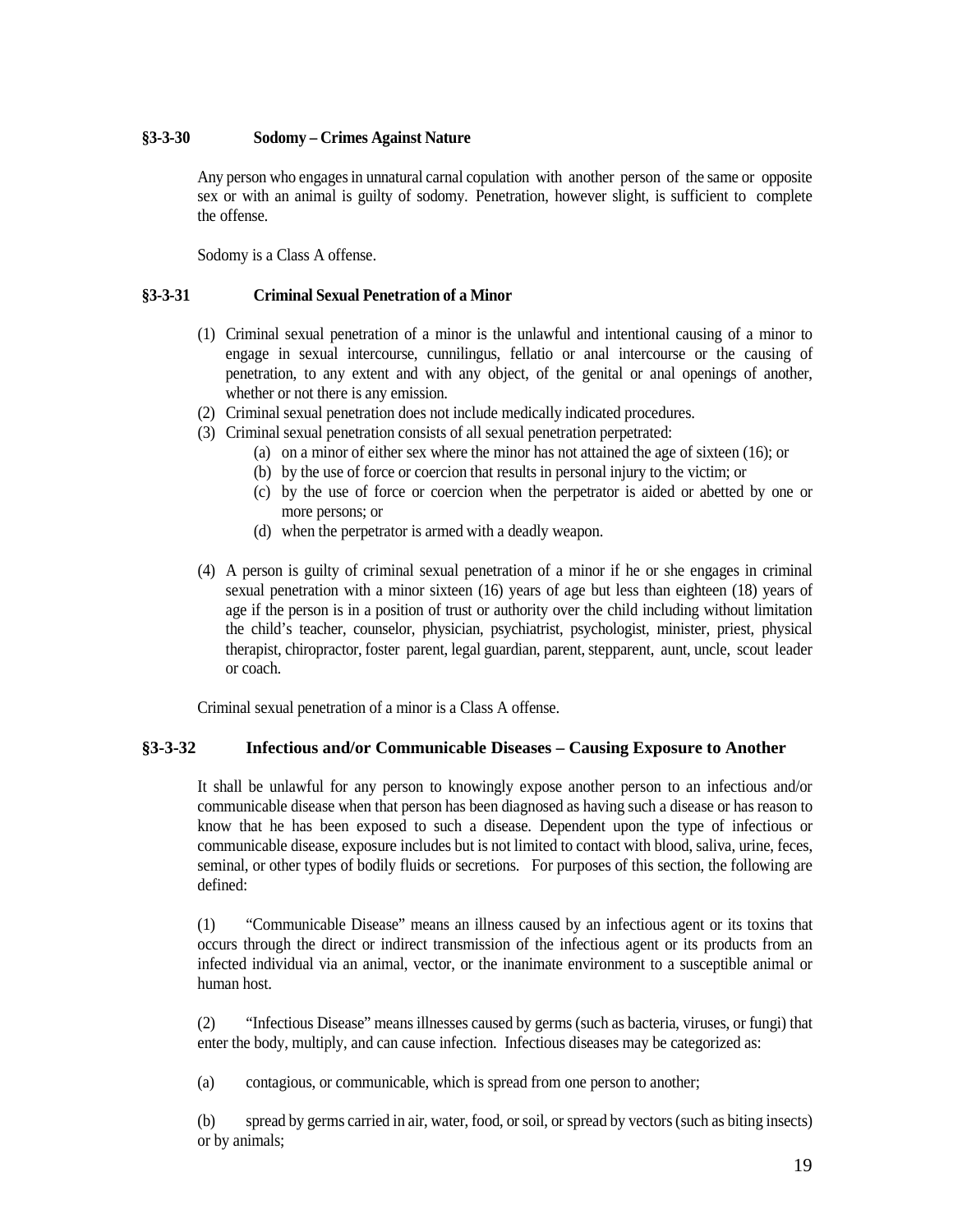## <span id="page-18-0"></span>**§3-3-30 Sodomy – Crimes Against Nature**

Any person who engages in unnatural carnal copulation with another person of the same or opposite sex or with an animal is guilty of sodomy. Penetration, however slight, is sufficient to complete the offense.

Sodomy is a Class A offense.

## <span id="page-18-1"></span>**§3-3-31 Criminal Sexual Penetration of a Minor**

- (1) Criminal sexual penetration of a minor is the unlawful and intentional causing of a minor to engage in sexual intercourse, cunnilingus, fellatio or anal intercourse or the causing of penetration, to any extent and with any object, of the genital or anal openings of another, whether or not there is any emission.
- (2) Criminal sexual penetration does not include medically indicated procedures.
- (3) Criminal sexual penetration consists of all sexual penetration perpetrated:
	- (a) on a minor of either sex where the minor has not attained the age of sixteen (16); or
	- (b) by the use of force or coercion that results in personal injury to the victim; or
	- (c) by the use of force or coercion when the perpetrator is aided or abetted by one or more persons; or
	- (d) when the perpetrator is armed with a deadly weapon.
- (4) A person is guilty of criminal sexual penetration of a minor if he or she engages in criminal sexual penetration with a minor sixteen (16) years of age but less than eighteen (18) years of age if the person is in a position of trust or authority over the child including without limitation the child's teacher, counselor, physician, psychiatrist, psychologist, minister, priest, physical therapist, chiropractor, foster parent, legal guardian, parent, stepparent, aunt, uncle, scout leader or coach.

Criminal sexual penetration of a minor is a Class A offense.

## <span id="page-18-2"></span>**§3-3-32 Infectious and/or Communicable Diseases – Causing Exposure to Another**

It shall be unlawful for any person to knowingly expose another person to an infectious and/or communicable disease when that person has been diagnosed as having such a disease or has reason to know that he has been exposed to such a disease. Dependent upon the type of infectious or communicable disease, exposure includes but is not limited to contact with blood, saliva, urine, feces, seminal, or other types of bodily fluids or secretions. For purposes of this section, the following are defined:

(1) "Communicable Disease" means an illness caused by an infectious agent or its toxins that occurs through the direct or indirect transmission of the infectious agent or its products from an infected individual via an animal, vector, or the inanimate environment to a susceptible animal or human host.

(2) "Infectious Disease" means illnesses caused by germs (such as bacteria, viruses, or fungi) that enter the body, multiply, and can cause infection. Infectious diseases may be categorized as:

(a) contagious, or communicable, which is spread from one person to another;

(b) spread by germs carried in air, water, food, or soil, or spread by vectors (such as biting insects) or by animals;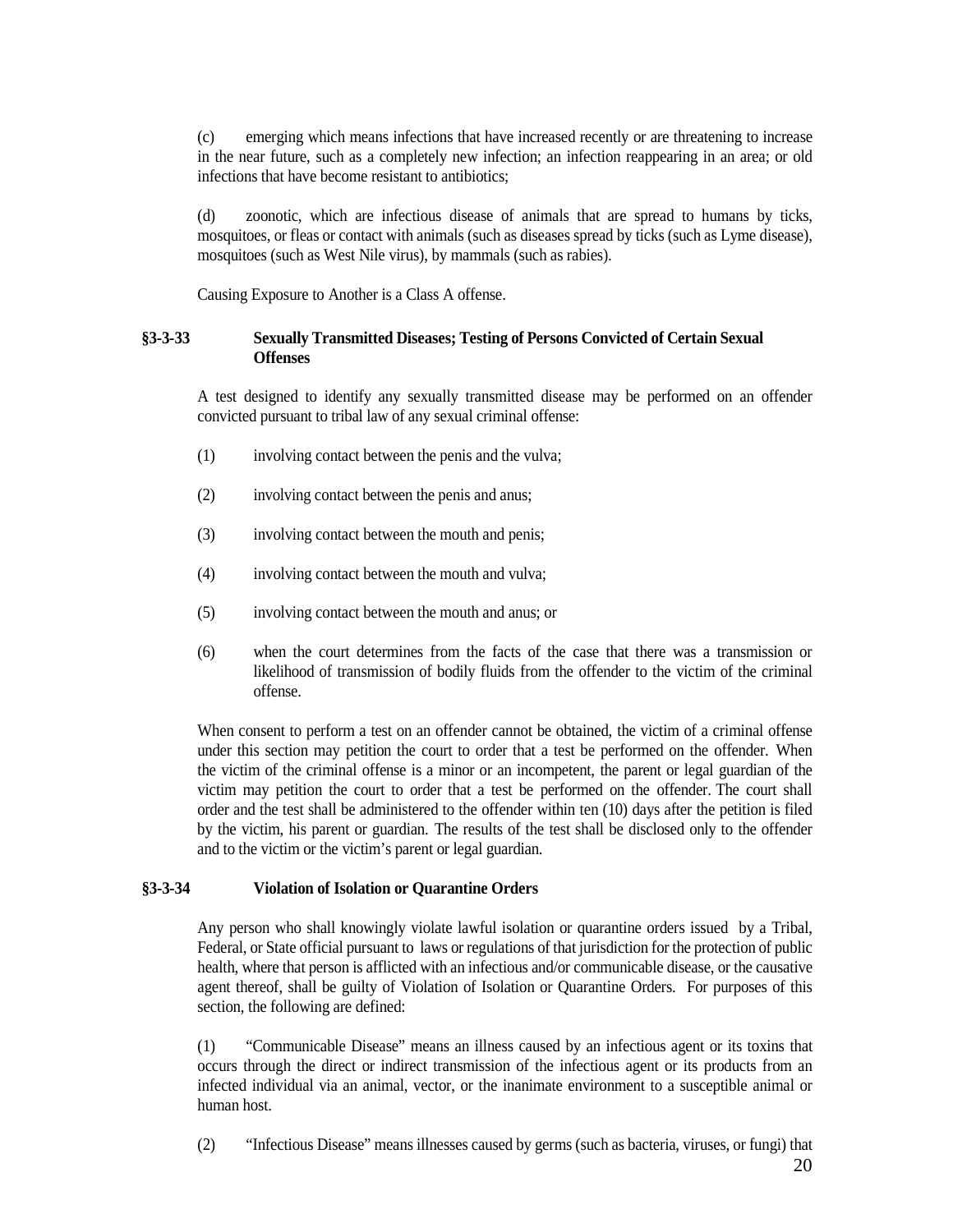(c) emerging which means infections that have increased recently or are threatening to increase in the near future, such as a completely new infection; an infection reappearing in an area; or old infections that have become resistant to antibiotics;

(d) zoonotic, which are infectious disease of animals that are spread to humans by ticks, mosquitoes, or fleas or contact with animals (such as diseases spread by ticks (such as Lyme disease), mosquitoes (such as West Nile virus), by mammals (such as rabies).

Causing Exposure to Another is a Class A offense.

## <span id="page-19-0"></span>**§3-3-33 Sexually Transmitted Diseases; Testing of Persons Convicted of Certain Sexual Offenses**

A test designed to identify any sexually transmitted disease may be performed on an offender convicted pursuant to tribal law of any sexual criminal offense:

- (1) involving contact between the penis and the vulva;
- (2) involving contact between the penis and anus;
- (3) involving contact between the mouth and penis;
- (4) involving contact between the mouth and vulva;
- (5) involving contact between the mouth and anus; or
- (6) when the court determines from the facts of the case that there was a transmission or likelihood of transmission of bodily fluids from the offender to the victim of the criminal offense.

When consent to perform a test on an offender cannot be obtained, the victim of a criminal offense under this section may petition the court to order that a test be performed on the offender. When the victim of the criminal offense is a minor or an incompetent, the parent or legal guardian of the victim may petition the court to order that a test be performed on the offender. The court shall order and the test shall be administered to the offender within ten (10) days after the petition is filed by the victim, his parent or guardian. The results of the test shall be disclosed only to the offender and to the victim or the victim's parent or legal guardian.

### <span id="page-19-1"></span>**§3-3-34 Violation of Isolation or Quarantine Orders**

Any person who shall knowingly violate lawful isolation or quarantine orders issued by a Tribal, Federal, or State official pursuant to laws or regulations of that jurisdiction for the protection of public health, where that person is afflicted with an infectious and/or communicable disease, or the causative agent thereof, shall be guilty of Violation of Isolation or Quarantine Orders. For purposes of this section, the following are defined:

(1) "Communicable Disease" means an illness caused by an infectious agent or its toxins that occurs through the direct or indirect transmission of the infectious agent or its products from an infected individual via an animal, vector, or the inanimate environment to a susceptible animal or human host.

(2) "Infectious Disease" means illnesses caused by germs (such as bacteria, viruses, or fungi) that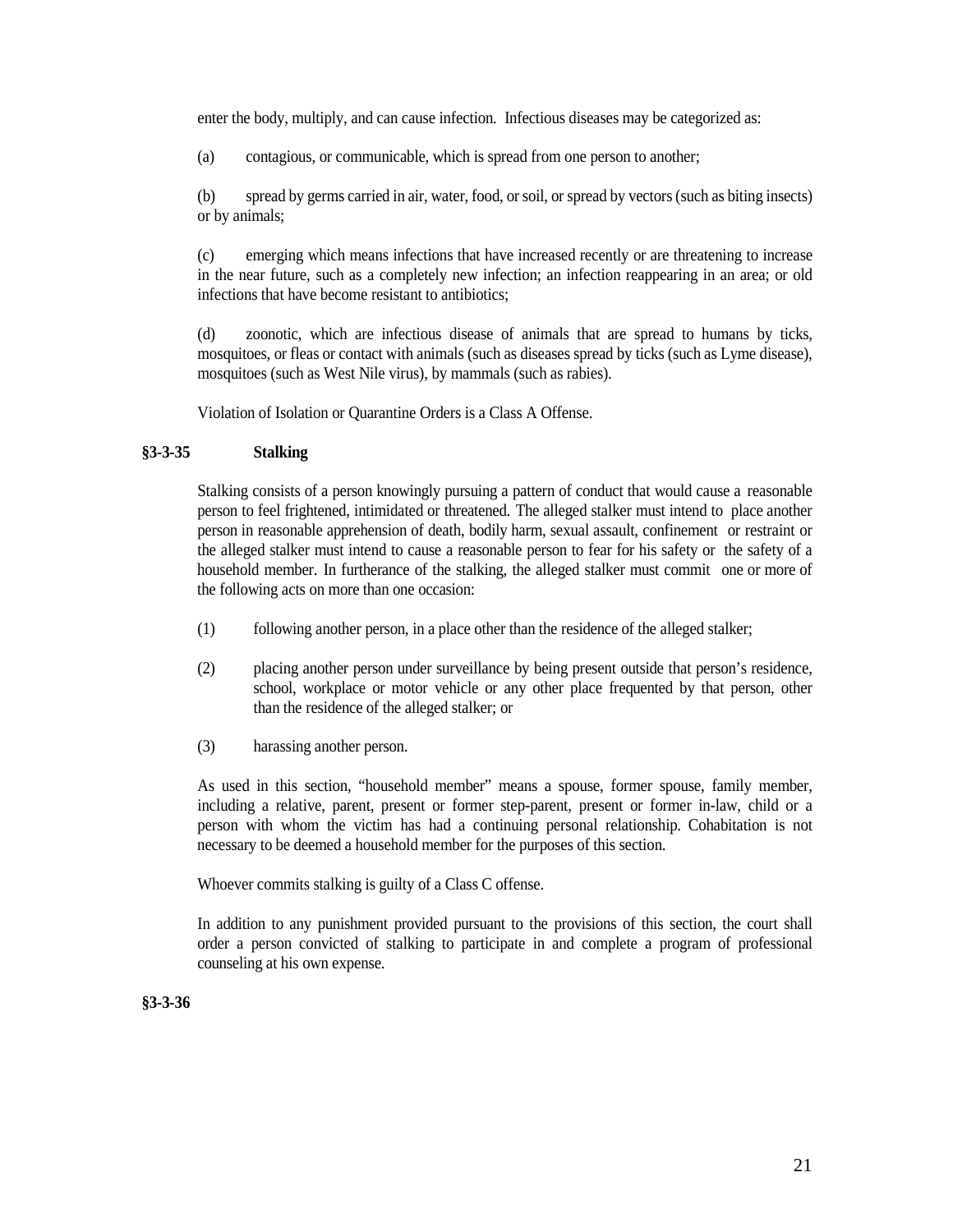enter the body, multiply, and can cause infection. Infectious diseases may be categorized as:

(a) contagious, or communicable, which is spread from one person to another;

(b) spread by germs carried in air, water, food, or soil, or spread by vectors (such as biting insects) or by animals;

(c) emerging which means infections that have increased recently or are threatening to increase in the near future, such as a completely new infection; an infection reappearing in an area; or old infections that have become resistant to antibiotics;

(d) zoonotic, which are infectious disease of animals that are spread to humans by ticks, mosquitoes, or fleas or contact with animals (such as diseases spread by ticks (such as Lyme disease), mosquitoes (such as West Nile virus), by mammals (such as rabies).

Violation of Isolation or Quarantine Orders is a Class A Offense.

## <span id="page-20-0"></span>**§3-3-35 Stalking**

Stalking consists of a person knowingly pursuing a pattern of conduct that would cause a reasonable person to feel frightened, intimidated or threatened. The alleged stalker must intend to place another person in reasonable apprehension of death, bodily harm, sexual assault, confinement or restraint or the alleged stalker must intend to cause a reasonable person to fear for his safety or the safety of a household member. In furtherance of the stalking, the alleged stalker must commit one or more of the following acts on more than one occasion:

- (1) following another person, in a place other than the residence of the alleged stalker;
- (2) placing another person under surveillance by being present outside that person's residence, school, workplace or motor vehicle or any other place frequented by that person, other than the residence of the alleged stalker; or
- (3) harassing another person.

As used in this section, "household member" means a spouse, former spouse, family member, including a relative, parent, present or former step-parent, present or former in-law, child or a person with whom the victim has had a continuing personal relationship. Cohabitation is not necessary to be deemed a household member for the purposes of this section.

Whoever commits stalking is guilty of a Class C offense.

In addition to any punishment provided pursuant to the provisions of this section, the court shall order a person convicted of stalking to participate in and complete a program of professional counseling at his own expense.

<span id="page-20-1"></span>**§3-3-36**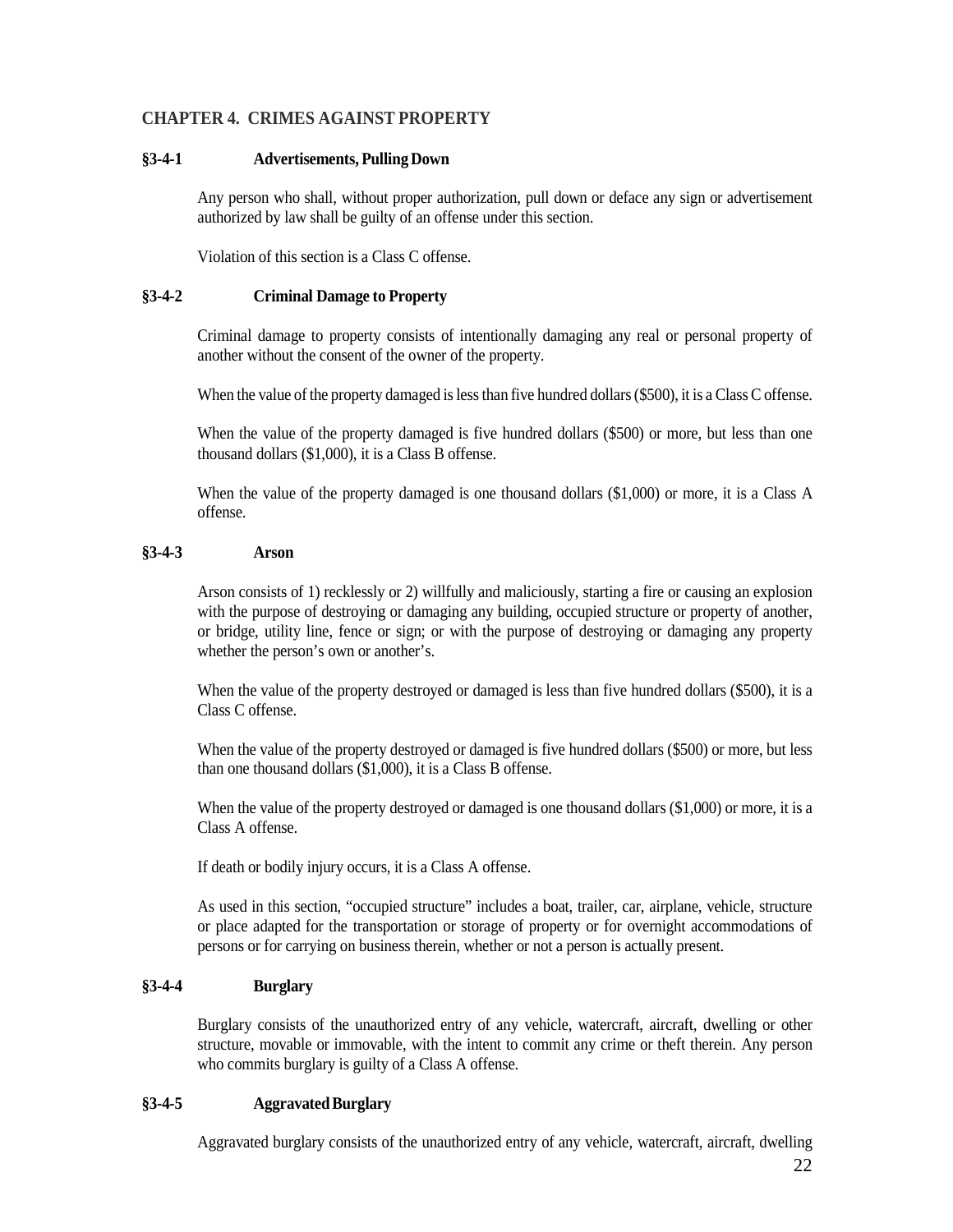## <span id="page-21-0"></span>**CHAPTER 4. CRIMES AGAINST PROPERTY**

### <span id="page-21-1"></span>**§3-4-1 Advertisements, Pulling Down**

Any person who shall, without proper authorization, pull down or deface any sign or advertisement authorized by law shall be guilty of an offense under this section.

Violation of this section is a Class C offense.

### <span id="page-21-2"></span>**§3-4-2 Criminal Damage to Property**

Criminal damage to property consists of intentionally damaging any real or personal property of another without the consent of the owner of the property.

When the value of the property damaged is less than five hundred dollars (\$500), it is a Class C offense.

When the value of the property damaged is five hundred dollars (\$500) or more, but less than one thousand dollars (\$1,000), it is a Class B offense.

When the value of the property damaged is one thousand dollars  $(\$1,000)$  or more, it is a Class A offense.

## <span id="page-21-3"></span>**§3-4-3 Arson**

Arson consists of 1) recklessly or 2) willfully and maliciously, starting a fire or causing an explosion with the purpose of destroying or damaging any building, occupied structure or property of another, or bridge, utility line, fence or sign; or with the purpose of destroying or damaging any property whether the person's own or another's.

When the value of the property destroyed or damaged is less than five hundred dollars (\$500), it is a Class C offense.

When the value of the property destroyed or damaged is five hundred dollars (\$500) or more, but less than one thousand dollars (\$1,000), it is a Class B offense.

When the value of the property destroyed or damaged is one thousand dollars (\$1,000) or more, it is a Class A offense.

If death or bodily injury occurs, it is a Class A offense.

As used in this section, "occupied structure" includes a boat, trailer, car, airplane, vehicle, structure or place adapted for the transportation or storage of property or for overnight accommodations of persons or for carrying on business therein, whether or not a person is actually present.

## <span id="page-21-4"></span>**§3-4-4 Burglary**

Burglary consists of the unauthorized entry of any vehicle, watercraft, aircraft, dwelling or other structure, movable or immovable, with the intent to commit any crime or theft therein. Any person who commits burglary is guilty of a Class A offense.

## <span id="page-21-5"></span>**§3-4-5 AggravatedBurglary**

Aggravated burglary consists of the unauthorized entry of any vehicle, watercraft, aircraft, dwelling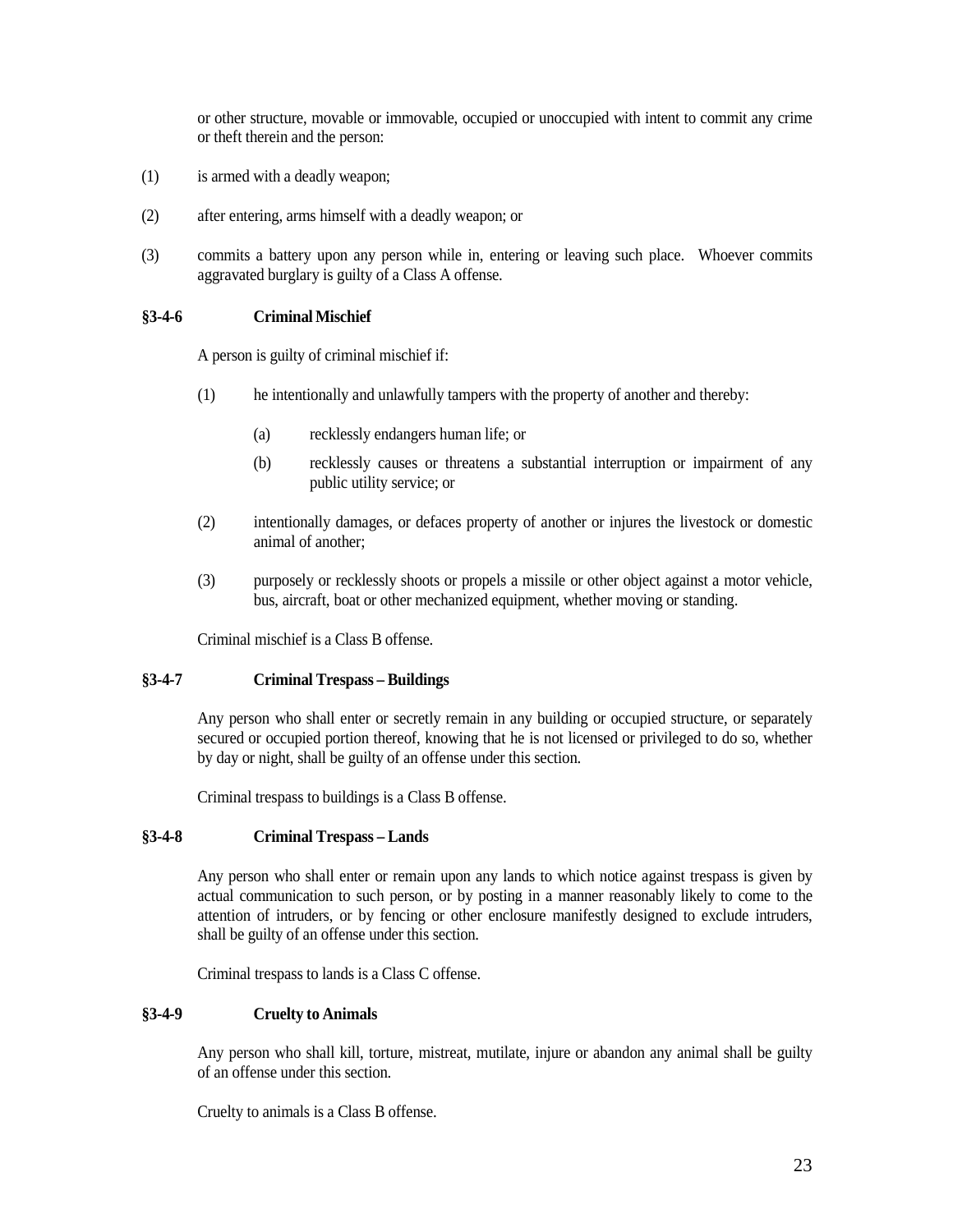or other structure, movable or immovable, occupied or unoccupied with intent to commit any crime or theft therein and the person:

- (1) is armed with a deadly weapon;
- (2) after entering, arms himself with a deadly weapon; or
- (3) commits a battery upon any person while in, entering or leaving such place. Whoever commits aggravated burglary is guilty of a Class A offense.

## <span id="page-22-0"></span>**§3-4-6 Criminal Mischief**

A person is guilty of criminal mischief if:

- (1) he intentionally and unlawfully tampers with the property of another and thereby:
	- (a) recklessly endangers human life; or
	- (b) recklessly causes or threatens a substantial interruption or impairment of any public utility service; or
- (2) intentionally damages, or defaces property of another or injures the livestock or domestic animal of another;
- (3) purposely or recklessly shoots or propels a missile or other object against a motor vehicle, bus, aircraft, boat or other mechanized equipment, whether moving or standing.

Criminal mischief is a Class B offense.

## <span id="page-22-1"></span>**§3-4-7 Criminal Trespass – Buildings**

Any person who shall enter or secretly remain in any building or occupied structure, or separately secured or occupied portion thereof, knowing that he is not licensed or privileged to do so, whether by day or night, shall be guilty of an offense under this section.

Criminal trespass to buildings is a Class B offense.

### <span id="page-22-2"></span>**§3-4-8 Criminal Trespass – Lands**

Any person who shall enter or remain upon any lands to which notice against trespass is given by actual communication to such person, or by posting in a manner reasonably likely to come to the attention of intruders, or by fencing or other enclosure manifestly designed to exclude intruders, shall be guilty of an offense under this section.

Criminal trespass to lands is a Class C offense.

## <span id="page-22-3"></span>**§3-4-9 Cruelty to Animals**

Any person who shall kill, torture, mistreat, mutilate, injure or abandon any animal shall be guilty of an offense under this section.

Cruelty to animals is a Class B offense.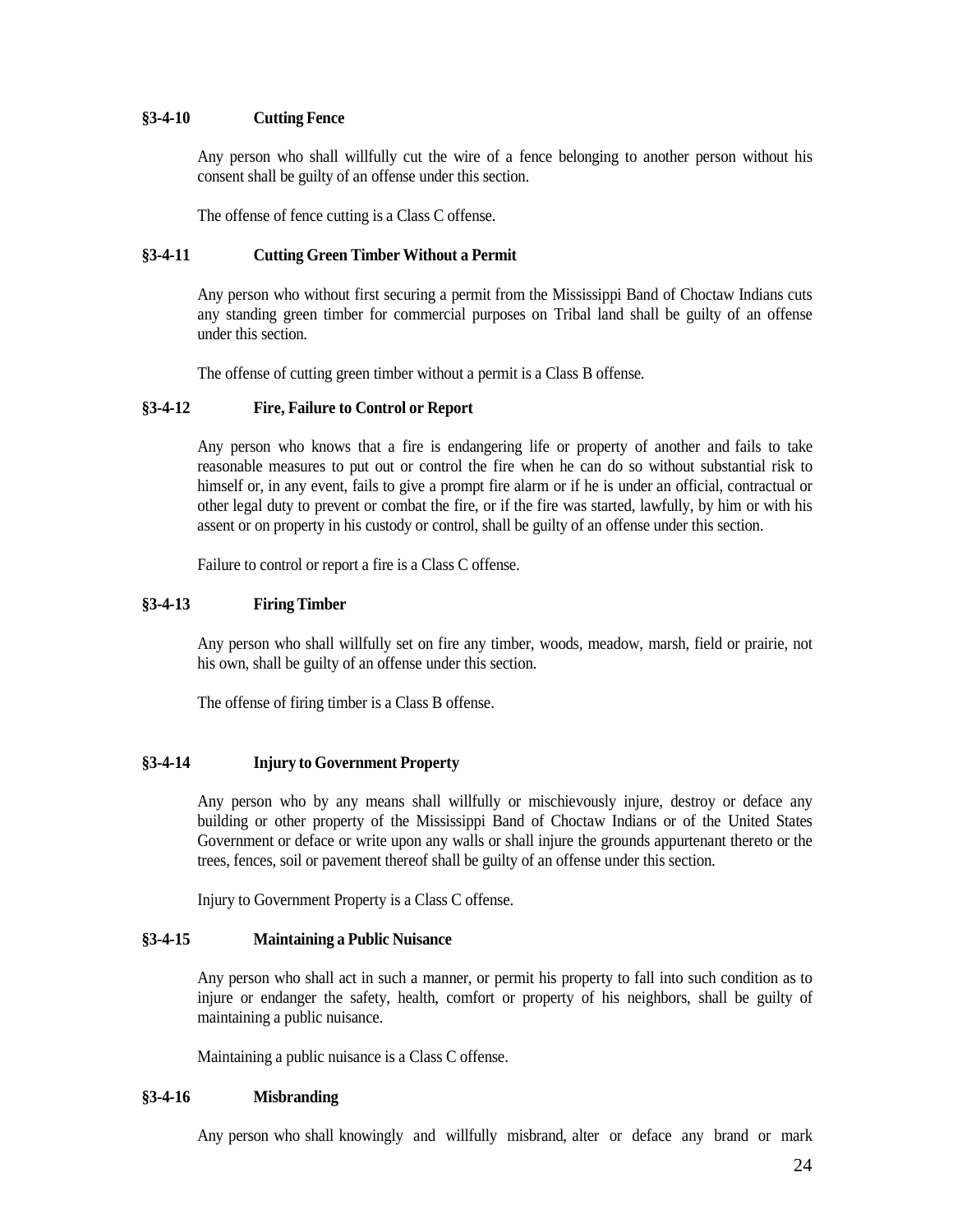## <span id="page-23-0"></span>**§3-4-10 Cutting Fence**

Any person who shall willfully cut the wire of a fence belonging to another person without his consent shall be guilty of an offense under this section.

The offense of fence cutting is a Class C offense.

## <span id="page-23-1"></span>**§3-4-11 Cutting Green Timber Without a Permit**

Any person who without first securing a permit from the Mississippi Band of Choctaw Indians cuts any standing green timber for commercial purposes on Tribal land shall be guilty of an offense under this section.

The offense of cutting green timber without a permit is a Class B offense.

## <span id="page-23-2"></span>**§3-4-12 Fire, Failure to Control or Report**

Any person who knows that a fire is endangering life or property of another and fails to take reasonable measures to put out or control the fire when he can do so without substantial risk to himself or, in any event, fails to give a prompt fire alarm or if he is under an official, contractual or other legal duty to prevent or combat the fire, or if the fire was started, lawfully, by him or with his assent or on property in his custody or control, shall be guilty of an offense under this section.

Failure to control or report a fire is a Class C offense.

## <span id="page-23-3"></span>**§3-4-13 Firing Timber**

Any person who shall willfully set on fire any timber, woods, meadow, marsh, field or prairie, not his own, shall be guilty of an offense under this section.

The offense of firing timber is a Class B offense.

## <span id="page-23-4"></span>**§3-4-14 Injury to Government Property**

Any person who by any means shall willfully or mischievously injure, destroy or deface any building or other property of the Mississippi Band of Choctaw Indians or of the United States Government or deface or write upon any walls or shall injure the grounds appurtenant thereto or the trees, fences, soil or pavement thereof shall be guilty of an offense under this section.

Injury to Government Property is a Class C offense.

### <span id="page-23-5"></span>**§3-4-15 Maintaining a Public Nuisance**

Any person who shall act in such a manner, or permit his property to fall into such condition as to injure or endanger the safety, health, comfort or property of his neighbors, shall be guilty of maintaining a public nuisance.

Maintaining a public nuisance is a Class C offense.

### <span id="page-23-6"></span>**§3-4-16 Misbranding**

Any person who shall knowingly and willfully misbrand, alter or deface any brand or mark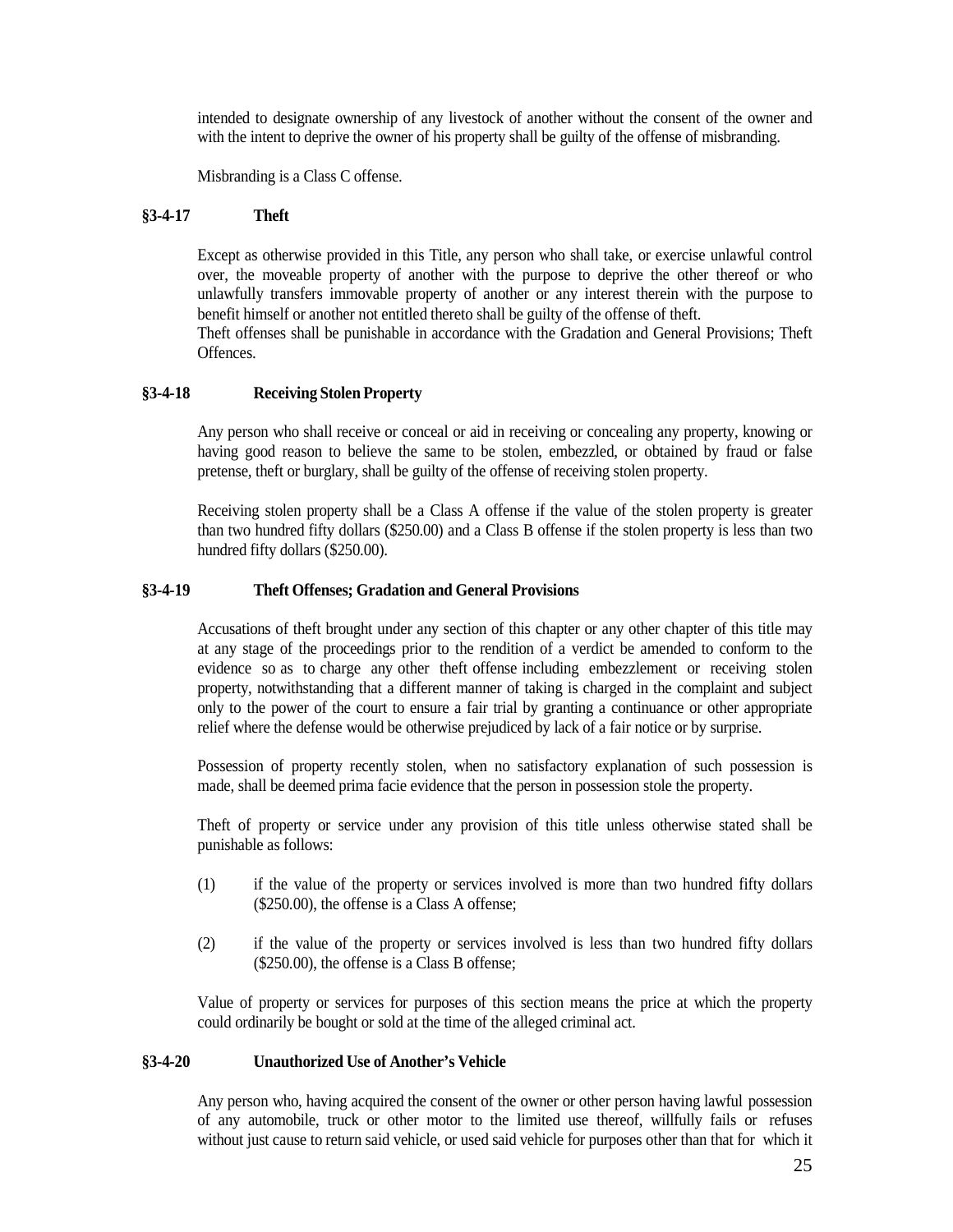intended to designate ownership of any livestock of another without the consent of the owner and with the intent to deprive the owner of his property shall be guilty of the offense of misbranding.

Misbranding is a Class C offense.

## <span id="page-24-0"></span>**§3-4-17 Theft**

Except as otherwise provided in this Title, any person who shall take, or exercise unlawful control over, the moveable property of another with the purpose to deprive the other thereof or who unlawfully transfers immovable property of another or any interest therein with the purpose to benefit himself or another not entitled thereto shall be guilty of the offense of theft.

Theft offenses shall be punishable in accordance with the Gradation and General Provisions; Theft Offences.

## <span id="page-24-1"></span>**§3-4-18 Receiving Stolen Property**

Any person who shall receive or conceal or aid in receiving or concealing any property, knowing or having good reason to believe the same to be stolen, embezzled, or obtained by fraud or false pretense, theft or burglary, shall be guilty of the offense of receiving stolen property.

Receiving stolen property shall be a Class A offense if the value of the stolen property is greater than two hundred fifty dollars (\$250.00) and a Class B offense if the stolen property is less than two hundred fifty dollars (\$250.00).

## <span id="page-24-2"></span>**§3-4-19 Theft Offenses; Gradation and General Provisions**

Accusations of theft brought under any section of this chapter or any other chapter of this title may at any stage of the proceedings prior to the rendition of a verdict be amended to conform to the evidence so as to charge any other theft offense including embezzlement or receiving stolen property, notwithstanding that a different manner of taking is charged in the complaint and subject only to the power of the court to ensure a fair trial by granting a continuance or other appropriate relief where the defense would be otherwise prejudiced by lack of a fair notice or by surprise.

Possession of property recently stolen, when no satisfactory explanation of such possession is made, shall be deemed prima facie evidence that the person in possession stole the property.

Theft of property or service under any provision of this title unless otherwise stated shall be punishable as follows:

- (1) if the value of the property or services involved is more than two hundred fifty dollars (\$250.00), the offense is a Class A offense;
- (2) if the value of the property or services involved is less than two hundred fifty dollars (\$250.00), the offense is a Class B offense;

Value of property or services for purposes of this section means the price at which the property could ordinarily be bought or sold at the time of the alleged criminal act.

### <span id="page-24-3"></span>**§3-4-20 Unauthorized Use of Another's Vehicle**

Any person who, having acquired the consent of the owner or other person having lawful possession of any automobile, truck or other motor to the limited use thereof, willfully fails or refuses without just cause to return said vehicle, or used said vehicle for purposes other than that for which it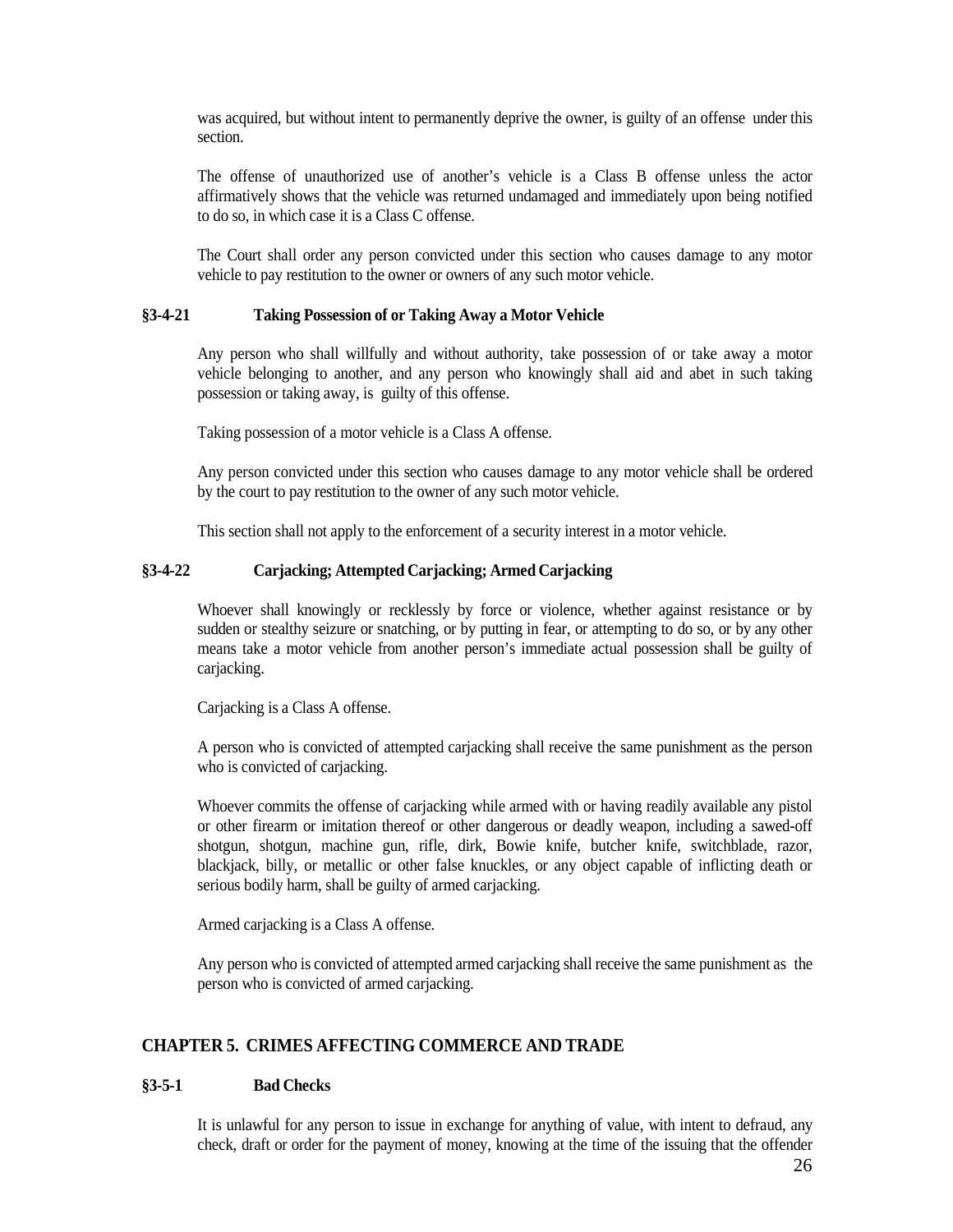was acquired, but without intent to permanently deprive the owner, is guilty of an offense under this section.

The offense of unauthorized use of another's vehicle is a Class B offense unless the actor affirmatively shows that the vehicle was returned undamaged and immediately upon being notified to do so, in which case it is a Class C offense.

The Court shall order any person convicted under this section who causes damage to any motor vehicle to pay restitution to the owner or owners of any such motor vehicle.

#### <span id="page-25-0"></span>**§3-4-21 Taking Possession of or Taking Away a Motor Vehicle**

Any person who shall willfully and without authority, take possession of or take away a motor vehicle belonging to another, and any person who knowingly shall aid and abet in such taking possession or taking away, is guilty of this offense.

Taking possession of a motor vehicle is a Class A offense.

Any person convicted under this section who causes damage to any motor vehicle shall be ordered by the court to pay restitution to the owner of any such motor vehicle.

This section shall not apply to the enforcement of a security interest in a motor vehicle.

#### <span id="page-25-1"></span>**§3-4-22 Carjacking; Attempted Carjacking; Armed Carjacking**

Whoever shall knowingly or recklessly by force or violence, whether against resistance or by sudden or stealthy seizure or snatching, or by putting in fear, or attempting to do so, or by any other means take a motor vehicle from another person's immediate actual possession shall be guilty of carjacking.

Carjacking is a Class A offense.

A person who is convicted of attempted carjacking shall receive the same punishment as the person who is convicted of carjacking.

Whoever commits the offense of carjacking while armed with or having readily available any pistol or other firearm or imitation thereof or other dangerous or deadly weapon, including a sawed-off shotgun, shotgun, machine gun, rifle, dirk, Bowie knife, butcher knife, switchblade, razor, blackjack, billy, or metallic or other false knuckles, or any object capable of inflicting death or serious bodily harm, shall be guilty of armed carjacking.

Armed carjacking is a Class A offense.

Any person who is convicted of attempted armed carjacking shall receive the same punishment as the person who is convicted of armed carjacking.

## <span id="page-25-2"></span>**CHAPTER 5. CRIMES AFFECTING COMMERCE AND TRADE**

## <span id="page-25-3"></span>**§3-5-1 Bad Checks**

It is unlawful for any person to issue in exchange for anything of value, with intent to defraud, any check, draft or order for the payment of money, knowing at the time of the issuing that the offender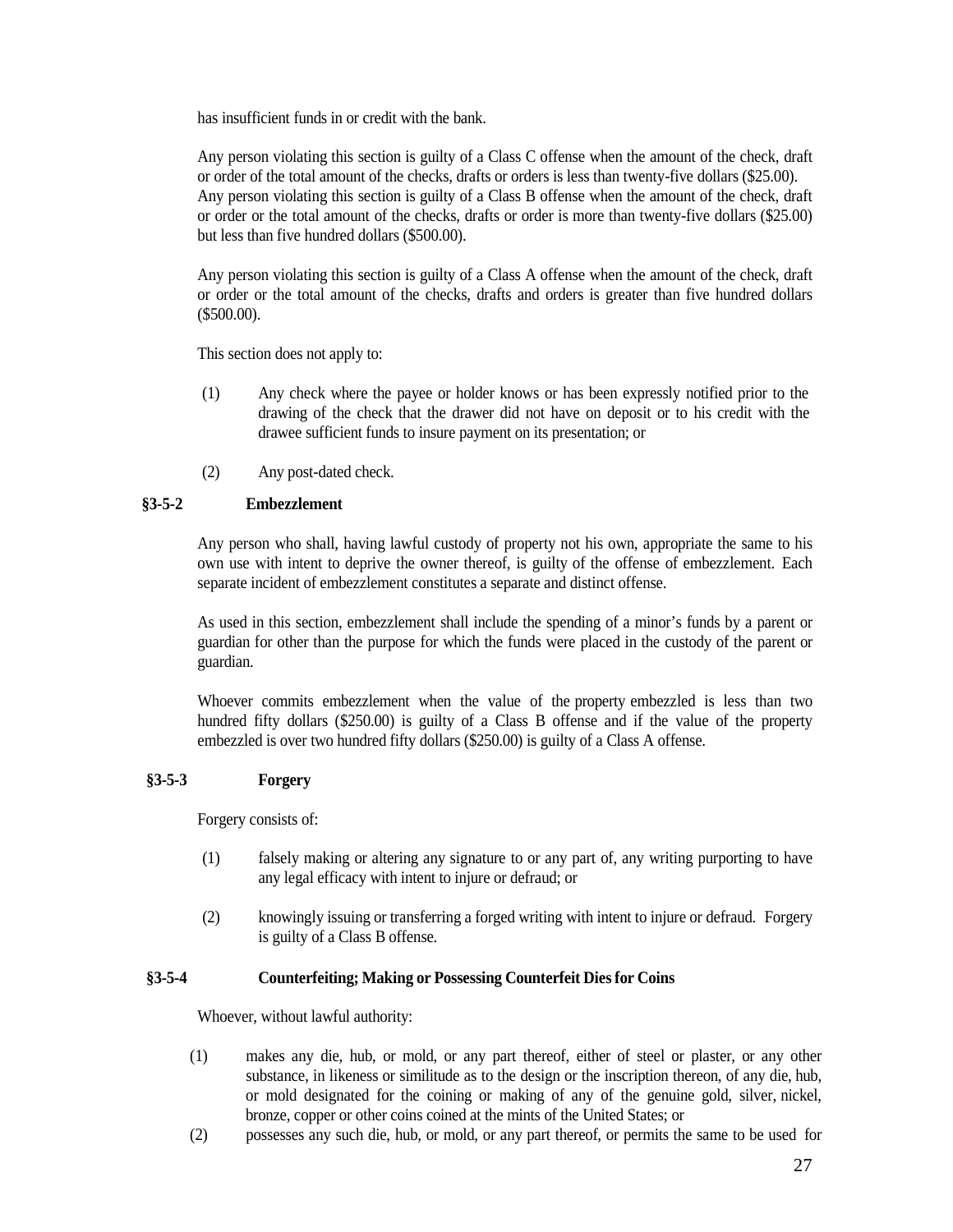has insufficient funds in or credit with the bank.

Any person violating this section is guilty of a Class C offense when the amount of the check, draft or order of the total amount of the checks, drafts or orders is less than twenty-five dollars (\$25.00). Any person violating this section is guilty of a Class B offense when the amount of the check, draft or order or the total amount of the checks, drafts or order is more than twenty-five dollars (\$25.00) but less than five hundred dollars (\$500.00).

Any person violating this section is guilty of a Class A offense when the amount of the check, draft or order or the total amount of the checks, drafts and orders is greater than five hundred dollars (\$500.00).

This section does not apply to:

- (1) Any check where the payee or holder knows or has been expressly notified prior to the drawing of the check that the drawer did not have on deposit or to his credit with the drawee sufficient funds to insure payment on its presentation; or
- (2) Any post-dated check.

## <span id="page-26-0"></span>**§3-5-2 Embezzlement**

Any person who shall, having lawful custody of property not his own, appropriate the same to his own use with intent to deprive the owner thereof, is guilty of the offense of embezzlement. Each separate incident of embezzlement constitutes a separate and distinct offense.

As used in this section, embezzlement shall include the spending of a minor's funds by a parent or guardian for other than the purpose for which the funds were placed in the custody of the parent or guardian.

Whoever commits embezzlement when the value of the property embezzled is less than two hundred fifty dollars (\$250.00) is guilty of a Class B offense and if the value of the property embezzled is over two hundred fifty dollars (\$250.00) is guilty of a Class A offense.

## <span id="page-26-1"></span>**§3-5-3 Forgery**

Forgery consists of:

- (1) falsely making or altering any signature to or any part of, any writing purporting to have any legal efficacy with intent to injure or defraud; or
- (2) knowingly issuing or transferring a forged writing with intent to injure or defraud. Forgery is guilty of a Class B offense.

### <span id="page-26-2"></span>**§3-5-4 Counterfeiting; Making or Possessing Counterfeit Diesfor Coins**

Whoever, without lawful authority:

- (1) makes any die, hub, or mold, or any part thereof, either of steel or plaster, or any other substance, in likeness or similitude as to the design or the inscription thereon, of any die, hub, or mold designated for the coining or making of any of the genuine gold, silver, nickel, bronze, copper or other coins coined at the mints of the United States; or
- (2) possesses any such die, hub, or mold, or any part thereof, or permits the same to be used for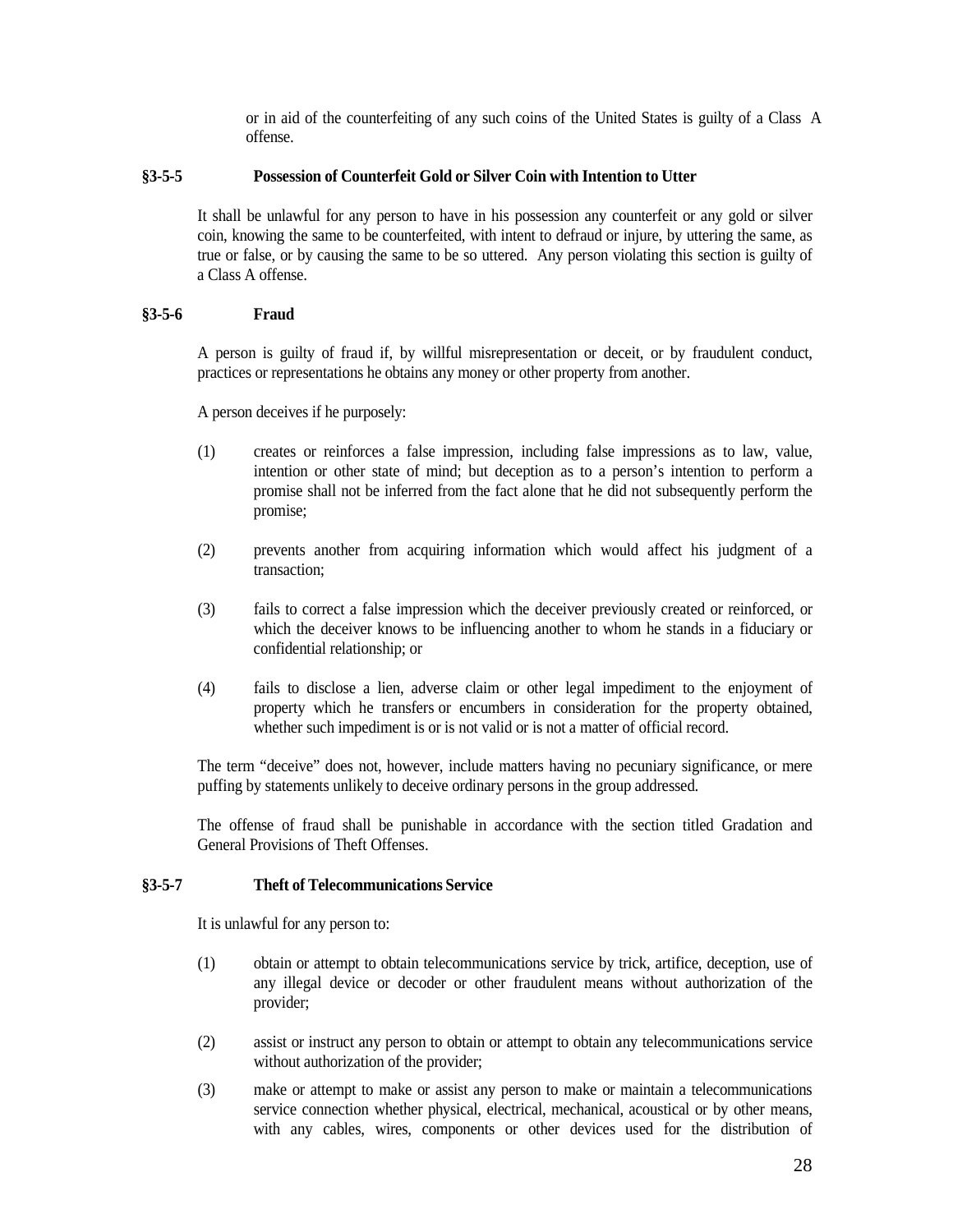or in aid of the counterfeiting of any such coins of the United States is guilty of a Class A offense.

### <span id="page-27-0"></span>**§3-5-5 Possession of Counterfeit Gold or Silver Coin with Intention to Utter**

It shall be unlawful for any person to have in his possession any counterfeit or any gold or silver coin, knowing the same to be counterfeited, with intent to defraud or injure, by uttering the same, as true or false, or by causing the same to be so uttered. Any person violating this section is guilty of a Class A offense.

### <span id="page-27-1"></span>**§3-5-6 Fraud**

A person is guilty of fraud if, by willful misrepresentation or deceit, or by fraudulent conduct, practices or representations he obtains any money or other property from another.

A person deceives if he purposely:

- (1) creates or reinforces a false impression, including false impressions as to law, value, intention or other state of mind; but deception as to a person's intention to perform a promise shall not be inferred from the fact alone that he did not subsequently perform the promise;
- (2) prevents another from acquiring information which would affect his judgment of a transaction;
- (3) fails to correct a false impression which the deceiver previously created or reinforced, or which the deceiver knows to be influencing another to whom he stands in a fiduciary or confidential relationship; or
- (4) fails to disclose a lien, adverse claim or other legal impediment to the enjoyment of property which he transfers or encumbers in consideration for the property obtained, whether such impediment is or is not valid or is not a matter of official record.

The term "deceive" does not, however, include matters having no pecuniary significance, or mere puffing by statements unlikely to deceive ordinary persons in the group addressed.

The offense of fraud shall be punishable in accordance with the section titled Gradation and General Provisions of Theft Offenses.

### <span id="page-27-2"></span>**§3-5-7 Theft of Telecommunications Service**

It is unlawful for any person to:

- (1) obtain or attempt to obtain telecommunications service by trick, artifice, deception, use of any illegal device or decoder or other fraudulent means without authorization of the provider;
- (2) assist or instruct any person to obtain or attempt to obtain any telecommunications service without authorization of the provider;
- (3) make or attempt to make or assist any person to make or maintain a telecommunications service connection whether physical, electrical, mechanical, acoustical or by other means, with any cables, wires, components or other devices used for the distribution of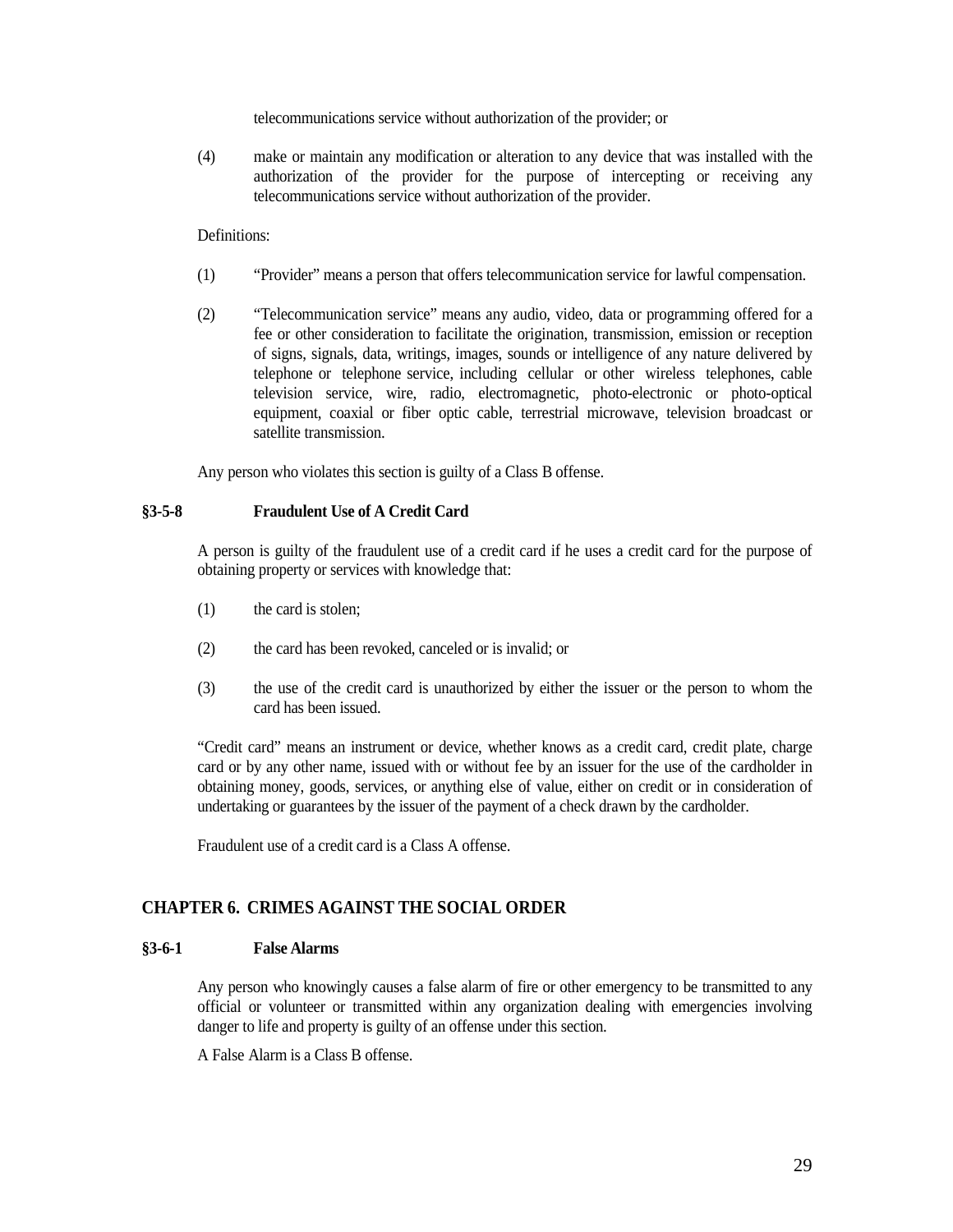telecommunications service without authorization of the provider; or

(4) make or maintain any modification or alteration to any device that was installed with the authorization of the provider for the purpose of intercepting or receiving any telecommunications service without authorization of the provider.

### Definitions:

- (1) "Provider" means a person that offers telecommunication service for lawful compensation.
- (2) "Telecommunication service" means any audio, video, data or programming offered for a fee or other consideration to facilitate the origination, transmission, emission or reception of signs, signals, data, writings, images, sounds or intelligence of any nature delivered by telephone or telephone service, including cellular or other wireless telephones, cable television service, wire, radio, electromagnetic, photo-electronic or photo-optical equipment, coaxial or fiber optic cable, terrestrial microwave, television broadcast or satellite transmission.

Any person who violates this section is guilty of a Class B offense.

## <span id="page-28-0"></span>**§3-5-8 Fraudulent Use of A Credit Card**

A person is guilty of the fraudulent use of a credit card if he uses a credit card for the purpose of obtaining property or services with knowledge that:

- (1) the card is stolen;
- (2) the card has been revoked, canceled or is invalid; or
- (3) the use of the credit card is unauthorized by either the issuer or the person to whom the card has been issued.

"Credit card" means an instrument or device, whether knows as a credit card, credit plate, charge card or by any other name, issued with or without fee by an issuer for the use of the cardholder in obtaining money, goods, services, or anything else of value, either on credit or in consideration of undertaking or guarantees by the issuer of the payment of a check drawn by the cardholder.

Fraudulent use of a credit card is a Class A offense.

## <span id="page-28-1"></span>**CHAPTER 6. CRIMES AGAINST THE SOCIAL ORDER**

#### <span id="page-28-2"></span>**§3-6-1 False Alarms**

Any person who knowingly causes a false alarm of fire or other emergency to be transmitted to any official or volunteer or transmitted within any organization dealing with emergencies involving danger to life and property is guilty of an offense under this section.

<span id="page-28-3"></span>A False Alarm is a Class B offense.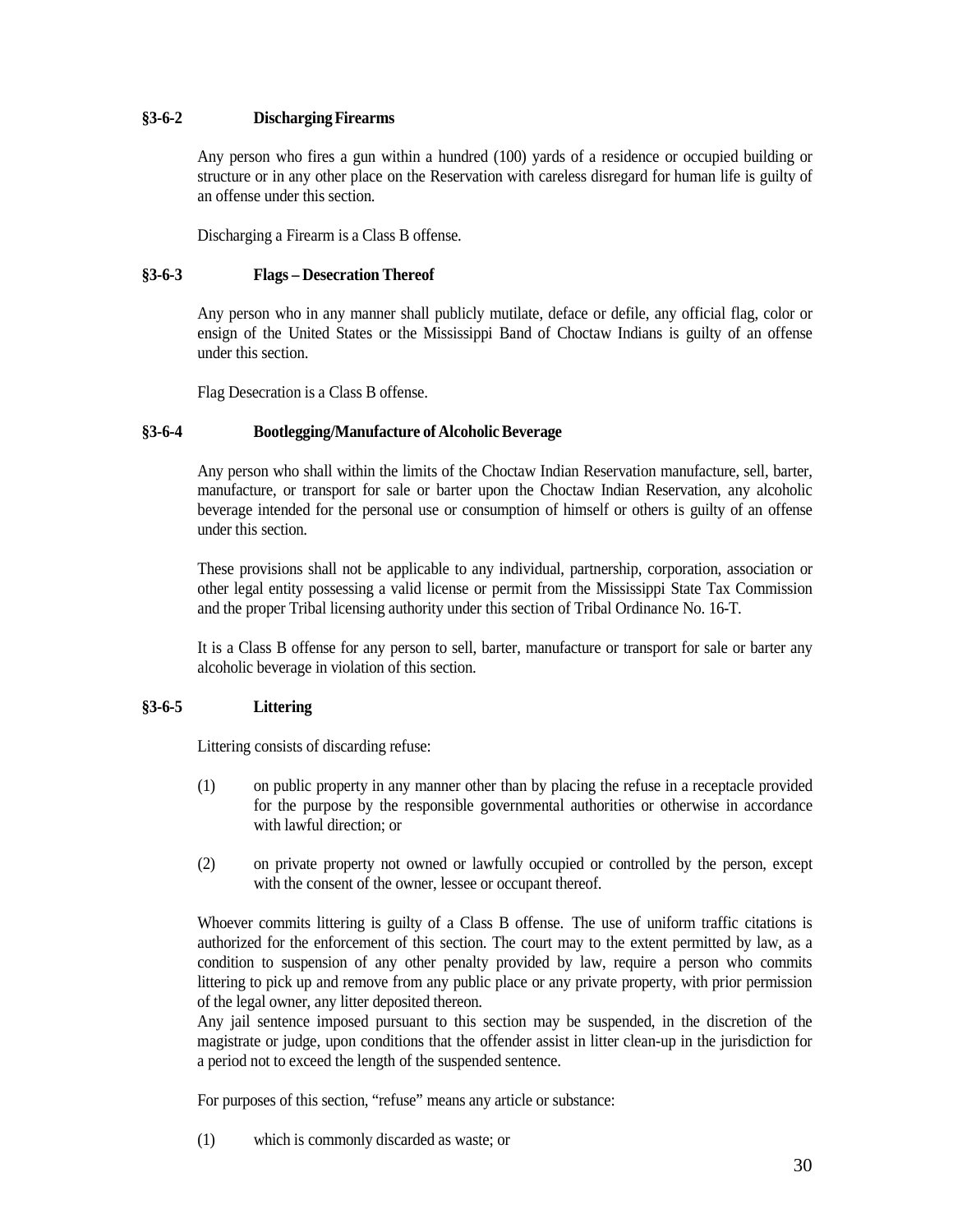## **§3-6-2 DischargingFirearms**

Any person who fires a gun within a hundred (100) yards of a residence or occupied building or structure or in any other place on the Reservation with careless disregard for human life is guilty of an offense under this section.

Discharging a Firearm is a Class B offense.

## <span id="page-29-0"></span>**§3-6-3 Flags – Desecration Thereof**

Any person who in any manner shall publicly mutilate, deface or defile, any official flag, color or ensign of the United States or the Mississippi Band of Choctaw Indians is guilty of an offense under this section.

Flag Desecration is a Class B offense.

## <span id="page-29-1"></span>**§3-6-4 Bootlegging/Manufacture of AlcoholicBeverage**

Any person who shall within the limits of the Choctaw Indian Reservation manufacture, sell, barter, manufacture, or transport for sale or barter upon the Choctaw Indian Reservation, any alcoholic beverage intended for the personal use or consumption of himself or others is guilty of an offense under this section.

These provisions shall not be applicable to any individual, partnership, corporation, association or other legal entity possessing a valid license or permit from the Mississippi State Tax Commission and the proper Tribal licensing authority under this section of Tribal Ordinance No. 16-T.

It is a Class B offense for any person to sell, barter, manufacture or transport for sale or barter any alcoholic beverage in violation of this section.

## <span id="page-29-2"></span>**§3-6-5 Littering**

Littering consists of discarding refuse:

- (1) on public property in any manner other than by placing the refuse in a receptacle provided for the purpose by the responsible governmental authorities or otherwise in accordance with lawful direction; or
- (2) on private property not owned or lawfully occupied or controlled by the person, except with the consent of the owner, lessee or occupant thereof.

Whoever commits littering is guilty of a Class B offense. The use of uniform traffic citations is authorized for the enforcement of this section. The court may to the extent permitted by law, as a condition to suspension of any other penalty provided by law, require a person who commits littering to pick up and remove from any public place or any private property, with prior permission of the legal owner, any litter deposited thereon.

Any jail sentence imposed pursuant to this section may be suspended, in the discretion of the magistrate or judge, upon conditions that the offender assist in litter clean-up in the jurisdiction for a period not to exceed the length of the suspended sentence.

For purposes of this section, "refuse" means any article or substance:

(1) which is commonly discarded as waste; or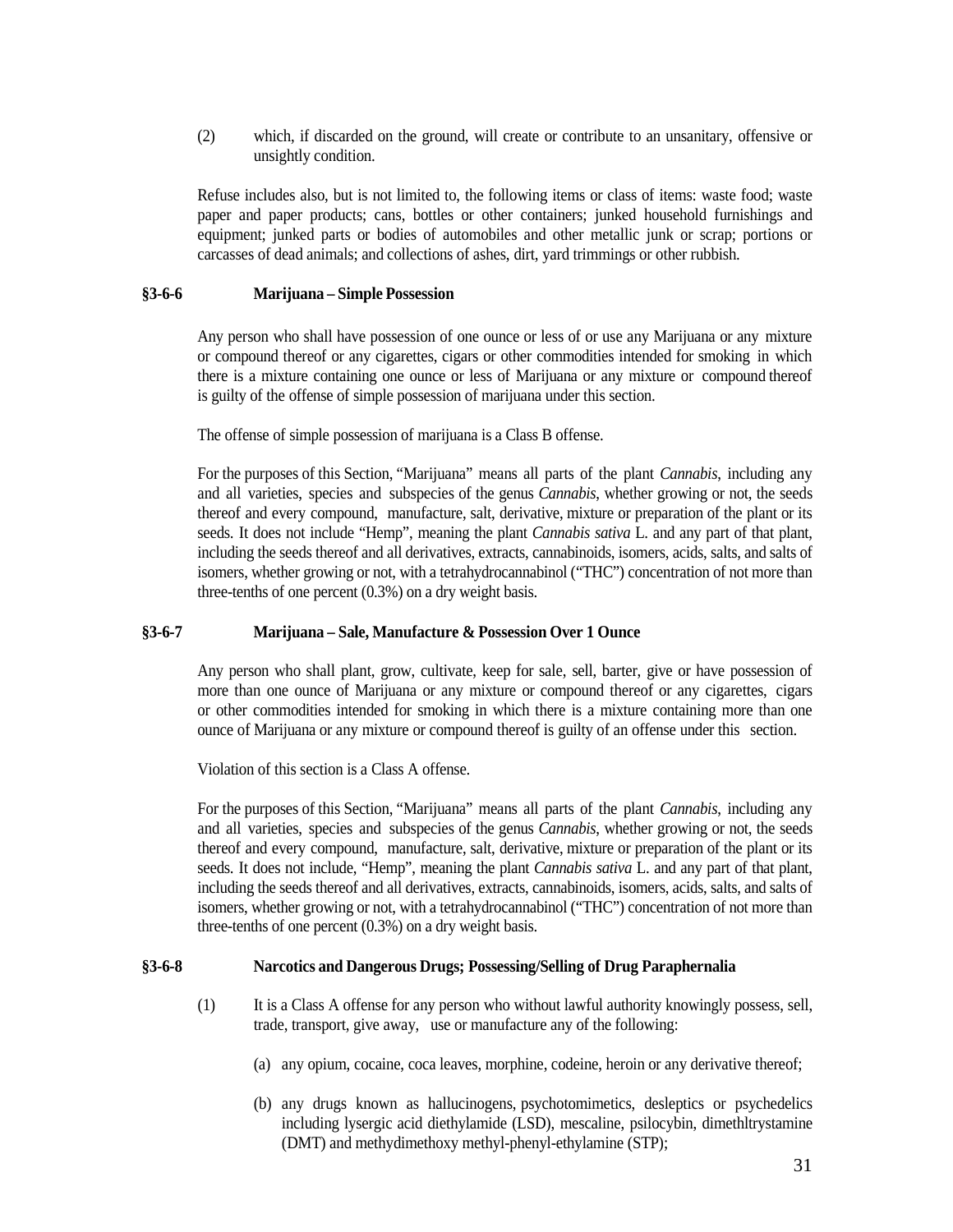(2) which, if discarded on the ground, will create or contribute to an unsanitary, offensive or unsightly condition.

Refuse includes also, but is not limited to, the following items or class of items: waste food; waste paper and paper products; cans, bottles or other containers; junked household furnishings and equipment; junked parts or bodies of automobiles and other metallic junk or scrap; portions or carcasses of dead animals; and collections of ashes, dirt, yard trimmings or other rubbish.

### <span id="page-30-0"></span>**§3-6-6 Marijuana – Simple Possession**

Any person who shall have possession of one ounce or less of or use any Marijuana or any mixture or compound thereof or any cigarettes, cigars or other commodities intended for smoking in which there is a mixture containing one ounce or less of Marijuana or any mixture or compound thereof is guilty of the offense of simple possession of marijuana under this section.

The offense of simple possession of marijuana is a Class B offense.

For the purposes of this Section, "Marijuana" means all parts of the plant *Cannabis*, including any and all varieties, species and subspecies of the genus *Cannabis*, whether growing or not, the seeds thereof and every compound, manufacture, salt, derivative, mixture or preparation of the plant or its seeds. It does not include "Hemp", meaning the plant *Cannabis sativa* L. and any part of that plant, including the seeds thereof and all derivatives, extracts, cannabinoids, isomers, acids, salts, and salts of isomers, whether growing or not, with a tetrahydrocannabinol ("THC") concentration of not more than three-tenths of one percent (0.3%) on a dry weight basis.

## <span id="page-30-1"></span>**§3-6-7 Marijuana – Sale, Manufacture & Possession Over 1 Ounce**

Any person who shall plant, grow, cultivate, keep for sale, sell, barter, give or have possession of more than one ounce of Marijuana or any mixture or compound thereof or any cigarettes, cigars or other commodities intended for smoking in which there is a mixture containing more than one ounce of Marijuana or any mixture or compound thereof is guilty of an offense under this section.

Violation of this section is a Class A offense.

For the purposes of this Section, "Marijuana" means all parts of the plant *Cannabis*, including any and all varieties, species and subspecies of the genus *Cannabis*, whether growing or not, the seeds thereof and every compound, manufacture, salt, derivative, mixture or preparation of the plant or its seeds. It does not include, "Hemp", meaning the plant *Cannabis sativa* L. and any part of that plant, including the seeds thereof and all derivatives, extracts, cannabinoids, isomers, acids, salts, and salts of isomers, whether growing or not, with a tetrahydrocannabinol ("THC") concentration of not more than three-tenths of one percent (0.3%) on a dry weight basis.

## <span id="page-30-2"></span>**§3-6-8 Narcotics and Dangerous Drugs; Possessing/Selling of Drug Paraphernalia**

- (1) It is a Class A offense for any person who without lawful authority knowingly possess, sell, trade, transport, give away, use or manufacture any of the following:
	- (a) any opium, cocaine, coca leaves, morphine, codeine, heroin or any derivative thereof;
	- (b) any drugs known as hallucinogens, psychotomimetics, desleptics or psychedelics including lysergic acid diethylamide (LSD), mescaline, psilocybin, dimethltrystamine (DMT) and methydimethoxy methyl-phenyl-ethylamine (STP);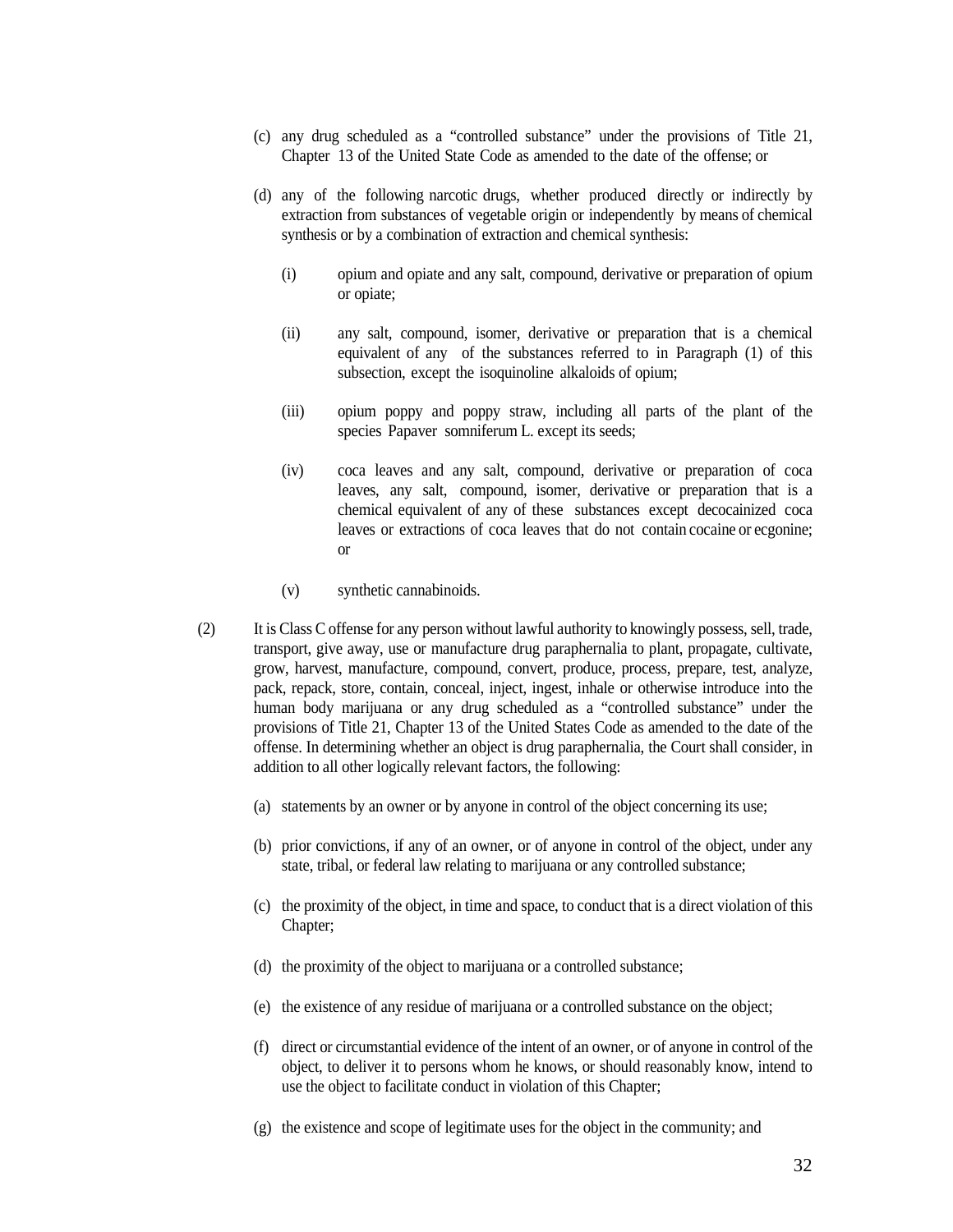- (c) any drug scheduled as a "controlled substance" under the provisions of Title 21, Chapter 13 of the United State Code as amended to the date of the offense; or
- (d) any of the following narcotic drugs, whether produced directly or indirectly by extraction from substances of vegetable origin or independently by means of chemical synthesis or by a combination of extraction and chemical synthesis:
	- (i) opium and opiate and any salt, compound, derivative or preparation of opium or opiate;
	- (ii) any salt, compound, isomer, derivative or preparation that is a chemical equivalent of any of the substances referred to in Paragraph (1) of this subsection, except the isoquinoline alkaloids of opium;
	- (iii) opium poppy and poppy straw, including all parts of the plant of the species Papaver somniferum L. except its seeds;
	- (iv) coca leaves and any salt, compound, derivative or preparation of coca leaves, any salt, compound, isomer, derivative or preparation that is a chemical equivalent of any of these substances except decocainized coca leaves or extractions of coca leaves that do not contain cocaine or ecgonine; or
	- (v) synthetic cannabinoids.
- (2) It is Class C offense for any person without lawful authority to knowingly possess, sell, trade, transport, give away, use or manufacture drug paraphernalia to plant, propagate, cultivate, grow, harvest, manufacture, compound, convert, produce, process, prepare, test, analyze, pack, repack, store, contain, conceal, inject, ingest, inhale or otherwise introduce into the human body marijuana or any drug scheduled as a "controlled substance" under the provisions of Title 21, Chapter 13 of the United States Code as amended to the date of the offense. In determining whether an object is drug paraphernalia, the Court shall consider, in addition to all other logically relevant factors, the following:
	- (a) statements by an owner or by anyone in control of the object concerning its use;
	- (b) prior convictions, if any of an owner, or of anyone in control of the object, under any state, tribal, or federal law relating to marijuana or any controlled substance;
	- (c) the proximity of the object, in time and space, to conduct that is a direct violation of this Chapter;
	- (d) the proximity of the object to marijuana or a controlled substance;
	- (e) the existence of any residue of marijuana or a controlled substance on the object;
	- (f) direct or circumstantial evidence of the intent of an owner, or of anyone in control of the object, to deliver it to persons whom he knows, or should reasonably know, intend to use the object to facilitate conduct in violation of this Chapter;
	- (g) the existence and scope of legitimate uses for the object in the community; and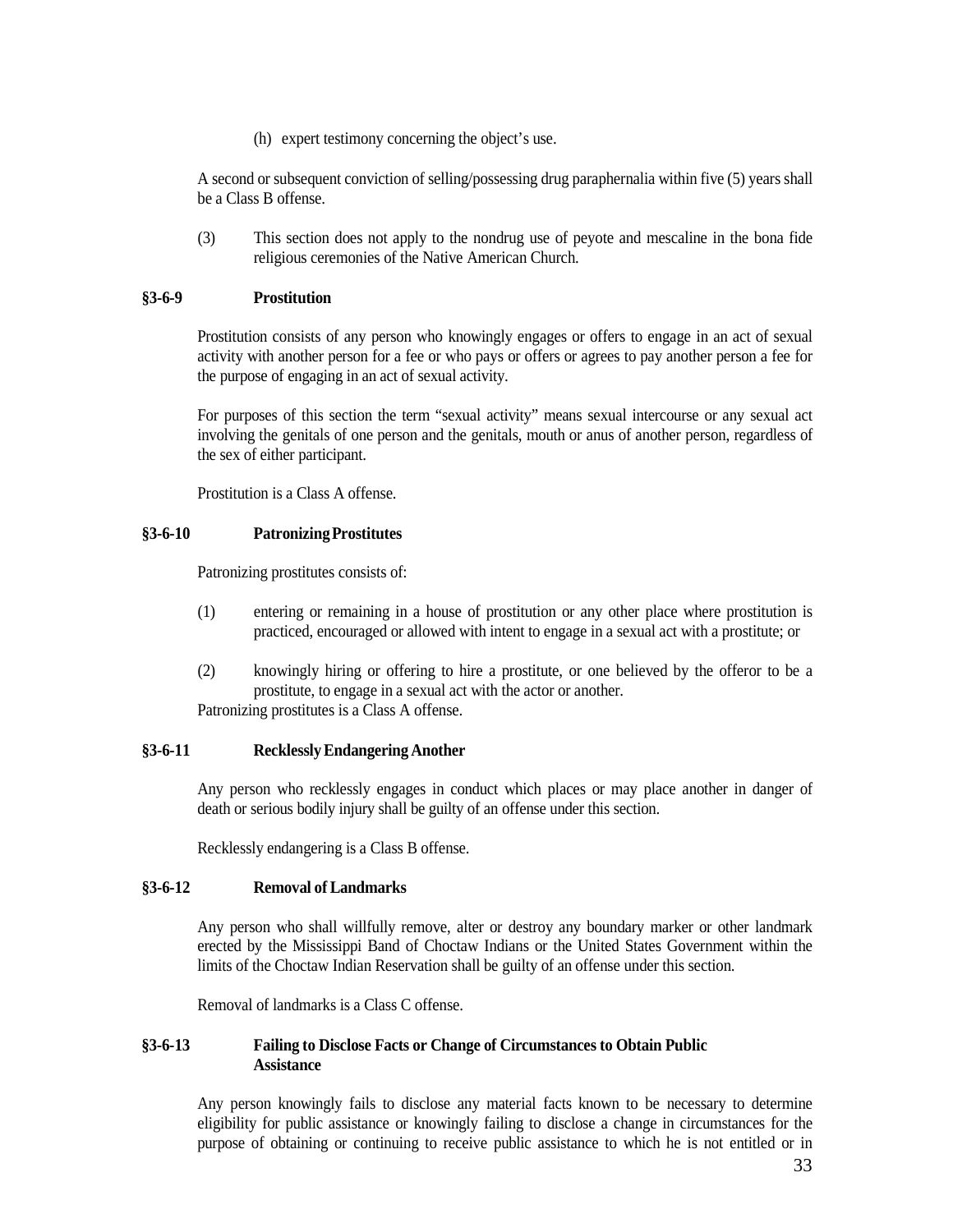(h) expert testimony concerning the object's use.

A second or subsequent conviction of selling/possessing drug paraphernalia within five (5) years shall be a Class B offense.

(3) This section does not apply to the nondrug use of peyote and mescaline in the bona fide religious ceremonies of the Native American Church.

## <span id="page-32-0"></span>**§3-6-9 Prostitution**

Prostitution consists of any person who knowingly engages or offers to engage in an act of sexual activity with another person for a fee or who pays or offers or agrees to pay another person a fee for the purpose of engaging in an act of sexual activity.

For purposes of this section the term "sexual activity" means sexual intercourse or any sexual act involving the genitals of one person and the genitals, mouth or anus of another person, regardless of the sex of either participant.

Prostitution is a Class A offense.

## <span id="page-32-1"></span>**§3-6-10 PatronizingProstitutes**

Patronizing prostitutes consists of:

- (1) entering or remaining in a house of prostitution or any other place where prostitution is practiced, encouraged or allowed with intent to engage in a sexual act with a prostitute; or
- (2) knowingly hiring or offering to hire a prostitute, or one believed by the offeror to be a prostitute, to engage in a sexual act with the actor or another.

Patronizing prostitutes is a Class A offense.

## <span id="page-32-2"></span>**§3-6-11 RecklesslyEndangering Another**

Any person who recklessly engages in conduct which places or may place another in danger of death or serious bodily injury shall be guilty of an offense under this section.

Recklessly endangering is a Class B offense.

## <span id="page-32-3"></span>**§3-6-12 Removal of Landmarks**

Any person who shall willfully remove, alter or destroy any boundary marker or other landmark erected by the Mississippi Band of Choctaw Indians or the United States Government within the limits of the Choctaw Indian Reservation shall be guilty of an offense under this section.

Removal of landmarks is a Class C offense.

## <span id="page-32-4"></span>**§3-6-13 Failing to Disclose Facts or Change of Circumstances to Obtain Public Assistance**

Any person knowingly fails to disclose any material facts known to be necessary to determine eligibility for public assistance or knowingly failing to disclose a change in circumstances for the purpose of obtaining or continuing to receive public assistance to which he is not entitled or in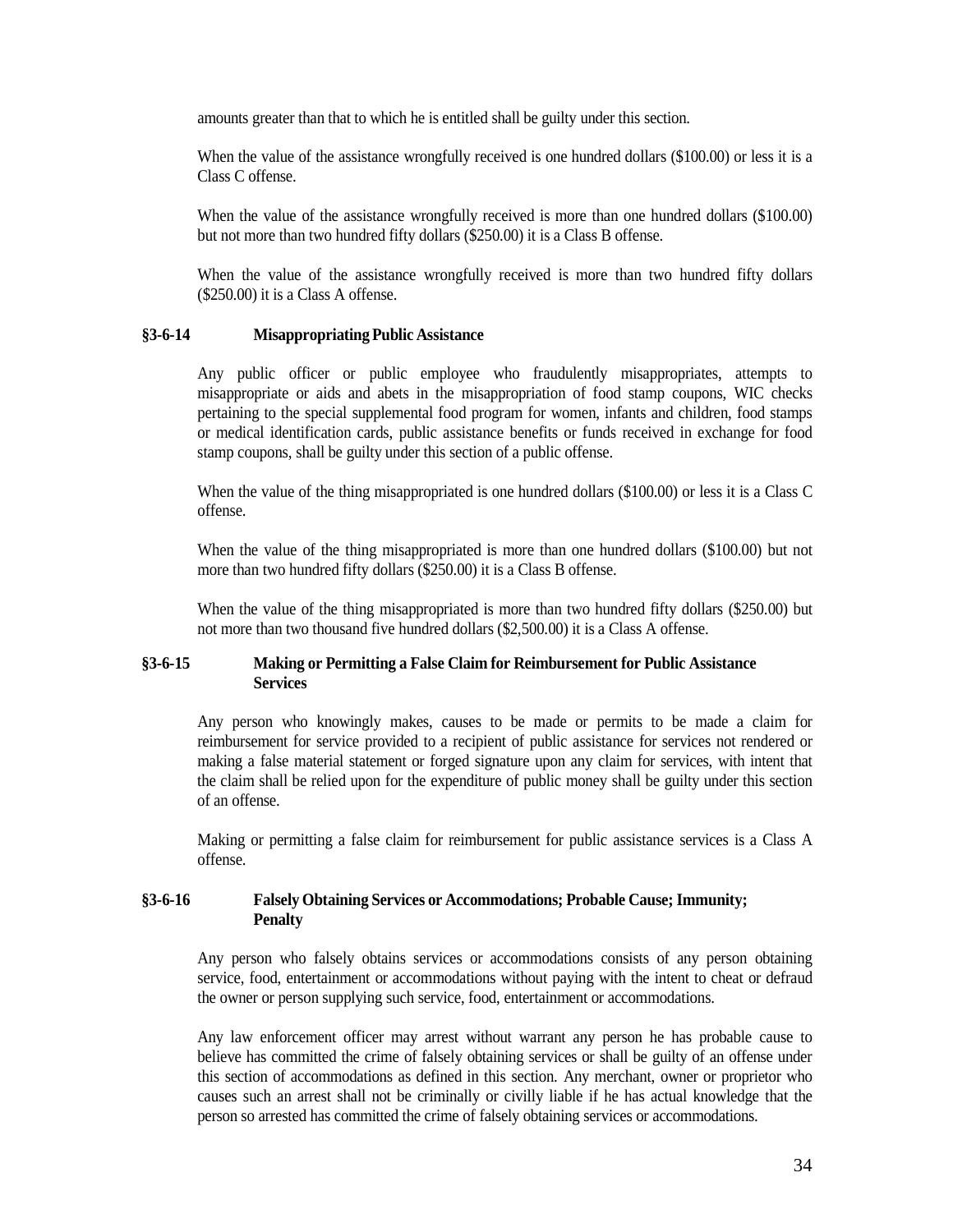amounts greater than that to which he is entitled shall be guilty under this section.

When the value of the assistance wrongfully received is one hundred dollars (\$100.00) or less it is a Class C offense.

When the value of the assistance wrongfully received is more than one hundred dollars (\$100.00) but not more than two hundred fifty dollars (\$250.00) it is a Class B offense.

When the value of the assistance wrongfully received is more than two hundred fifty dollars (\$250.00) it is a Class A offense.

#### <span id="page-33-0"></span>**§3-6-14 Misappropriating Public Assistance**

Any public officer or public employee who fraudulently misappropriates, attempts to misappropriate or aids and abets in the misappropriation of food stamp coupons, WIC checks pertaining to the special supplemental food program for women, infants and children, food stamps or medical identification cards, public assistance benefits or funds received in exchange for food stamp coupons, shall be guilty under this section of a public offense.

When the value of the thing misappropriated is one hundred dollars (\$100.00) or less it is a Class C offense.

When the value of the thing misappropriated is more than one hundred dollars (\$100.00) but not more than two hundred fifty dollars (\$250.00) it is a Class B offense.

When the value of the thing misappropriated is more than two hundred fifty dollars (\$250.00) but not more than two thousand five hundred dollars (\$2,500.00) it is a Class A offense.

### <span id="page-33-1"></span>**§3-6-15 Making or Permitting a False Claim for Reimbursement for Public Assistance Services**

Any person who knowingly makes, causes to be made or permits to be made a claim for reimbursement for service provided to a recipient of public assistance for services not rendered or making a false material statement or forged signature upon any claim for services, with intent that the claim shall be relied upon for the expenditure of public money shall be guilty under this section of an offense.

Making or permitting a false claim for reimbursement for public assistance services is a Class A offense.

### <span id="page-33-2"></span>**§3-6-16 Falsely Obtaining Services or Accommodations; Probable Cause; Immunity; Penalty**

Any person who falsely obtains services or accommodations consists of any person obtaining service, food, entertainment or accommodations without paying with the intent to cheat or defraud the owner or person supplying such service, food, entertainment or accommodations.

Any law enforcement officer may arrest without warrant any person he has probable cause to believe has committed the crime of falsely obtaining services or shall be guilty of an offense under this section of accommodations as defined in this section. Any merchant, owner or proprietor who causes such an arrest shall not be criminally or civilly liable if he has actual knowledge that the person so arrested has committed the crime of falsely obtaining services or accommodations.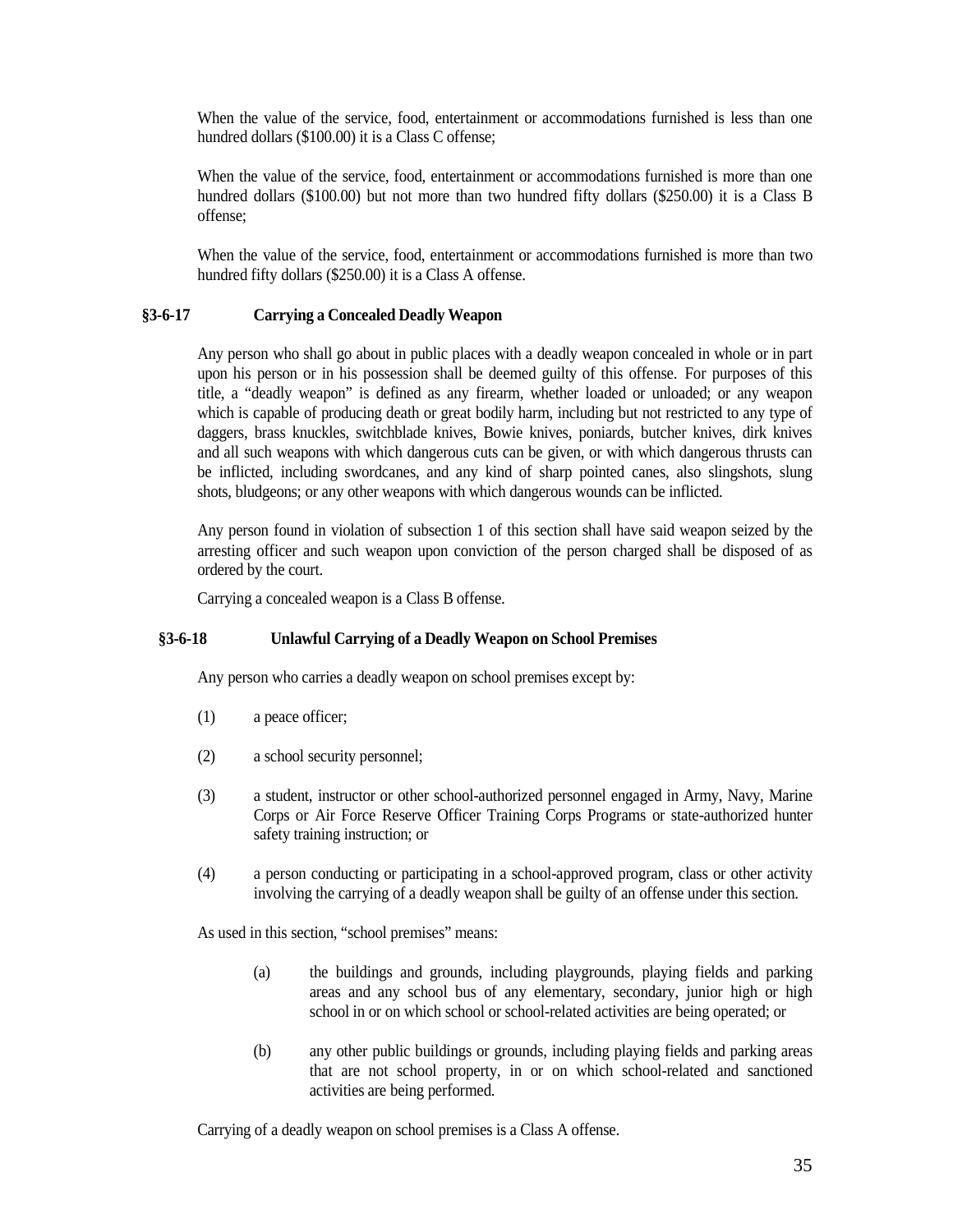When the value of the service, food, entertainment or accommodations furnished is less than one hundred dollars (\$100.00) it is a Class C offense;

When the value of the service, food, entertainment or accommodations furnished is more than one hundred dollars (\$100.00) but not more than two hundred fifty dollars (\$250.00) it is a Class B offense;

When the value of the service, food, entertainment or accommodations furnished is more than two hundred fifty dollars (\$250.00) it is a Class A offense.

### <span id="page-34-0"></span>**§3-6-17 Carrying a Concealed Deadly Weapon**

Any person who shall go about in public places with a deadly weapon concealed in whole or in part upon his person or in his possession shall be deemed guilty of this offense. For purposes of this title, a "deadly weapon" is defined as any firearm, whether loaded or unloaded; or any weapon which is capable of producing death or great bodily harm, including but not restricted to any type of daggers, brass knuckles, switchblade knives, Bowie knives, poniards, butcher knives, dirk knives and all such weapons with which dangerous cuts can be given, or with which dangerous thrusts can be inflicted, including swordcanes, and any kind of sharp pointed canes, also slingshots, slung shots, bludgeons; or any other weapons with which dangerous wounds can be inflicted.

Any person found in violation of subsection 1 of this section shall have said weapon seized by the arresting officer and such weapon upon conviction of the person charged shall be disposed of as ordered by the court.

Carrying a concealed weapon is a Class B offense.

### <span id="page-34-1"></span>**§3-6-18 Unlawful Carrying of a Deadly Weapon on School Premises**

Any person who carries a deadly weapon on school premises except by:

- (1) a peace officer;
- (2) a school security personnel;
- (3) a student, instructor or other school-authorized personnel engaged in Army, Navy, Marine Corps or Air Force Reserve Officer Training Corps Programs or state-authorized hunter safety training instruction; or
- (4) a person conducting or participating in a school-approved program, class or other activity involving the carrying of a deadly weapon shall be guilty of an offense under this section.

As used in this section, "school premises" means:

- (a) the buildings and grounds, including playgrounds, playing fields and parking areas and any school bus of any elementary, secondary, junior high or high school in or on which school or school-related activities are being operated; or
- (b) any other public buildings or grounds, including playing fields and parking areas that are not school property, in or on which school-related and sanctioned activities are being performed.

Carrying of a deadly weapon on school premises is a Class A offense.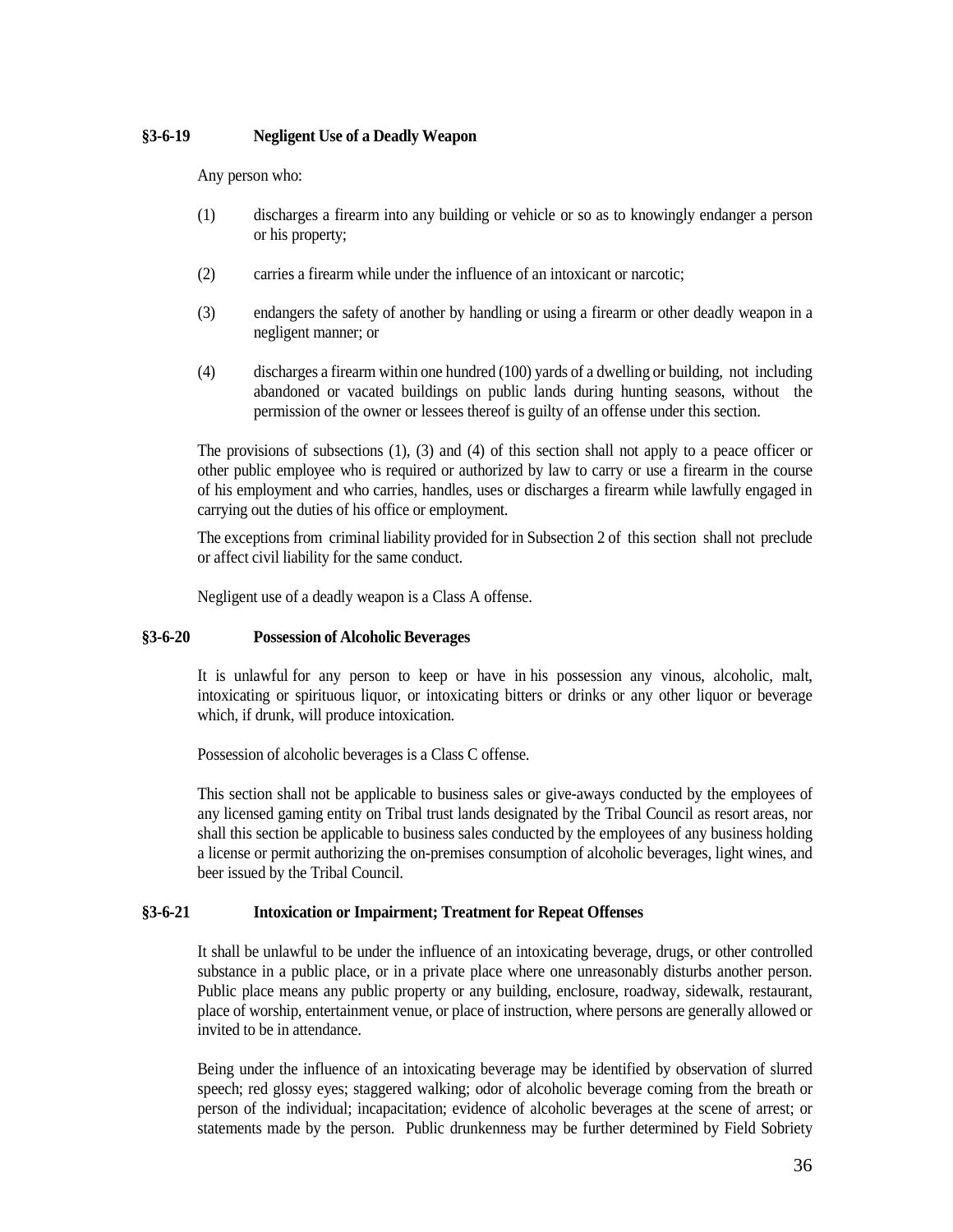## <span id="page-35-0"></span>**§3-6-19 Negligent Use of a Deadly Weapon**

Any person who:

- (1) discharges a firearm into any building or vehicle or so as to knowingly endanger a person or his property;
- (2) carries a firearm while under the influence of an intoxicant or narcotic;
- (3) endangers the safety of another by handling or using a firearm or other deadly weapon in a negligent manner; or
- (4) discharges a firearm within one hundred (100) yards of a dwelling or building, not including abandoned or vacated buildings on public lands during hunting seasons, without the permission of the owner or lessees thereof is guilty of an offense under this section.

The provisions of subsections (1), (3) and (4) of this section shall not apply to a peace officer or other public employee who is required or authorized by law to carry or use a firearm in the course of his employment and who carries, handles, uses or discharges a firearm while lawfully engaged in carrying out the duties of his office or employment.

The exceptions from criminal liability provided for in Subsection 2 of this section shall not preclude or affect civil liability for the same conduct.

Negligent use of a deadly weapon is a Class A offense.

## <span id="page-35-1"></span>**§3-6-20 Possession of Alcoholic Beverages**

It is unlawful for any person to keep or have in his possession any vinous, alcoholic, malt, intoxicating or spirituous liquor, or intoxicating bitters or drinks or any other liquor or beverage which, if drunk, will produce intoxication.

Possession of alcoholic beverages is a Class C offense.

This section shall not be applicable to business sales or give-aways conducted by the employees of any licensed gaming entity on Tribal trust lands designated by the Tribal Council as resort areas, nor shall this section be applicable to business sales conducted by the employees of any business holding a license or permit authorizing the on-premises consumption of alcoholic beverages, light wines, and beer issued by the Tribal Council.

## <span id="page-35-2"></span>**§3-6-21 Intoxication or Impairment; Treatment for Repeat Offenses**

It shall be unlawful to be under the influence of an intoxicating beverage, drugs, or other controlled substance in a public place, or in a private place where one unreasonably disturbs another person. Public place means any public property or any building, enclosure, roadway, sidewalk, restaurant, place of worship, entertainment venue, or place of instruction, where persons are generally allowed or invited to be in attendance.

Being under the influence of an intoxicating beverage may be identified by observation of slurred speech; red glossy eyes; staggered walking; odor of alcoholic beverage coming from the breath or person of the individual; incapacitation; evidence of alcoholic beverages at the scene of arrest; or statements made by the person. Public drunkenness may be further determined by Field Sobriety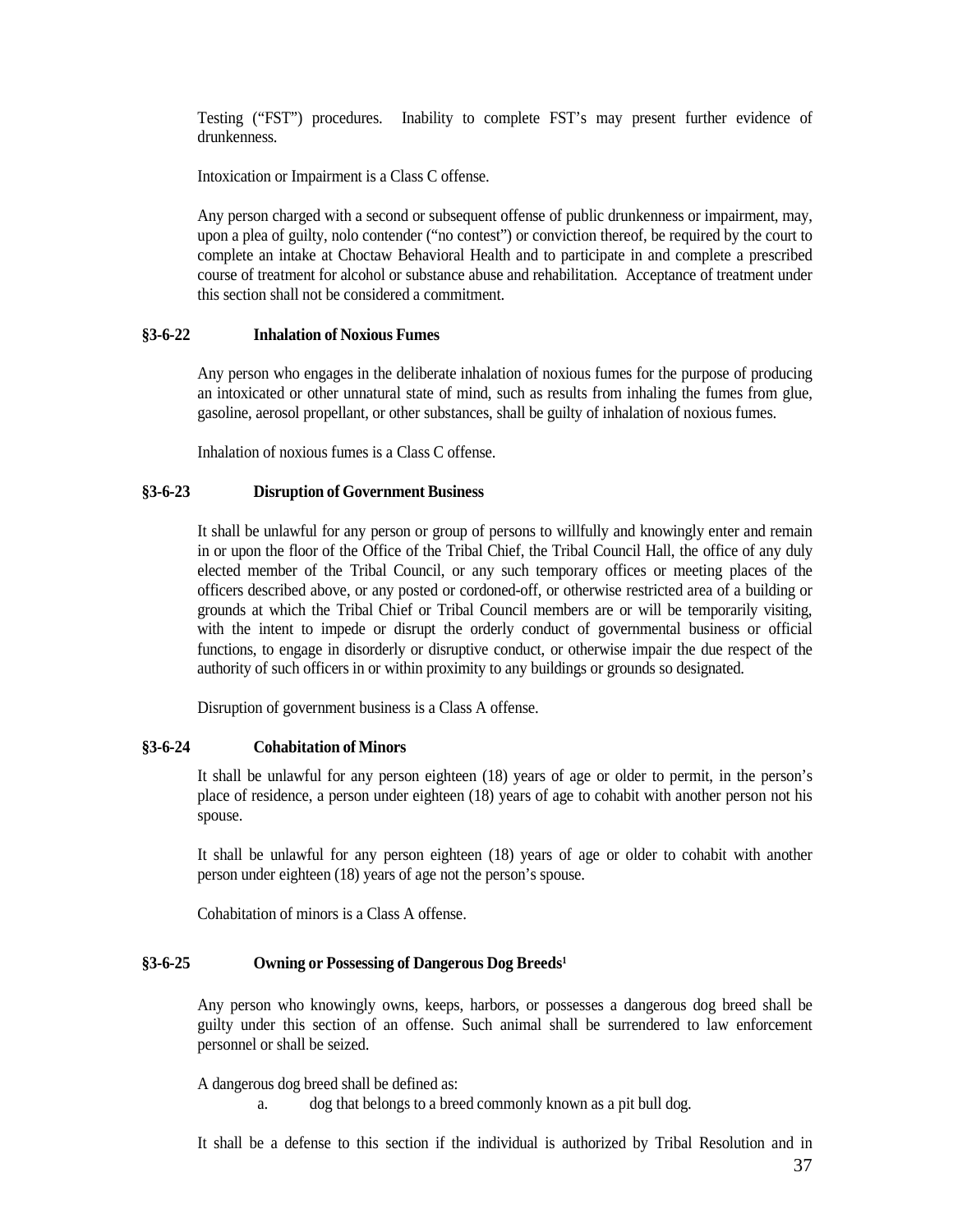Testing ("FST") procedures. Inability to complete FST's may present further evidence of drunkenness.

Intoxication or Impairment is a Class C offense.

Any person charged with a second or subsequent offense of public drunkenness or impairment, may, upon a plea of guilty, nolo contender ("no contest") or conviction thereof, be required by the court to complete an intake at Choctaw Behavioral Health and to participate in and complete a prescribed course of treatment for alcohol or substance abuse and rehabilitation. Acceptance of treatment under this section shall not be considered a commitment.

### <span id="page-36-0"></span>**§3-6-22 Inhalation of Noxious Fumes**

Any person who engages in the deliberate inhalation of noxious fumes for the purpose of producing an intoxicated or other unnatural state of mind, such as results from inhaling the fumes from glue, gasoline, aerosol propellant, or other substances, shall be guilty of inhalation of noxious fumes.

Inhalation of noxious fumes is a Class C offense.

#### <span id="page-36-1"></span>**§3-6-23 Disruption of Government Business**

It shall be unlawful for any person or group of persons to willfully and knowingly enter and remain in or upon the floor of the Office of the Tribal Chief, the Tribal Council Hall, the office of any duly elected member of the Tribal Council, or any such temporary offices or meeting places of the officers described above, or any posted or cordoned-off, or otherwise restricted area of a building or grounds at which the Tribal Chief or Tribal Council members are or will be temporarily visiting, with the intent to impede or disrupt the orderly conduct of governmental business or official functions, to engage in disorderly or disruptive conduct, or otherwise impair the due respect of the authority of such officers in or within proximity to any buildings or grounds so designated.

Disruption of government business is a Class A offense.

### <span id="page-36-2"></span>**§3-6-24 Cohabitation of Minors**

It shall be unlawful for any person eighteen (18) years of age or older to permit, in the person's place of residence, a person under eighteen (18) years of age to cohabit with another person not his spouse.

It shall be unlawful for any person eighteen (18) years of age or older to cohabit with another person under eighteen (18) years of age not the person's spouse.

Cohabitation of minors is a Class A offense.

#### <span id="page-36-3"></span>**§3-6-25 Owning or Possessing of Dangerous Dog Breed[s1](#page-40-5)**

Any person who knowingly owns, keeps, harbors, or possesses a dangerous dog breed shall be guilty under this section of an offense. Such animal shall be surrendered to law enforcement personnel or shall be seized.

A dangerous dog breed shall be defined as:

a. dog that belongs to a breed commonly known as a pit bull dog.

It shall be a defense to this section if the individual is authorized by Tribal Resolution and in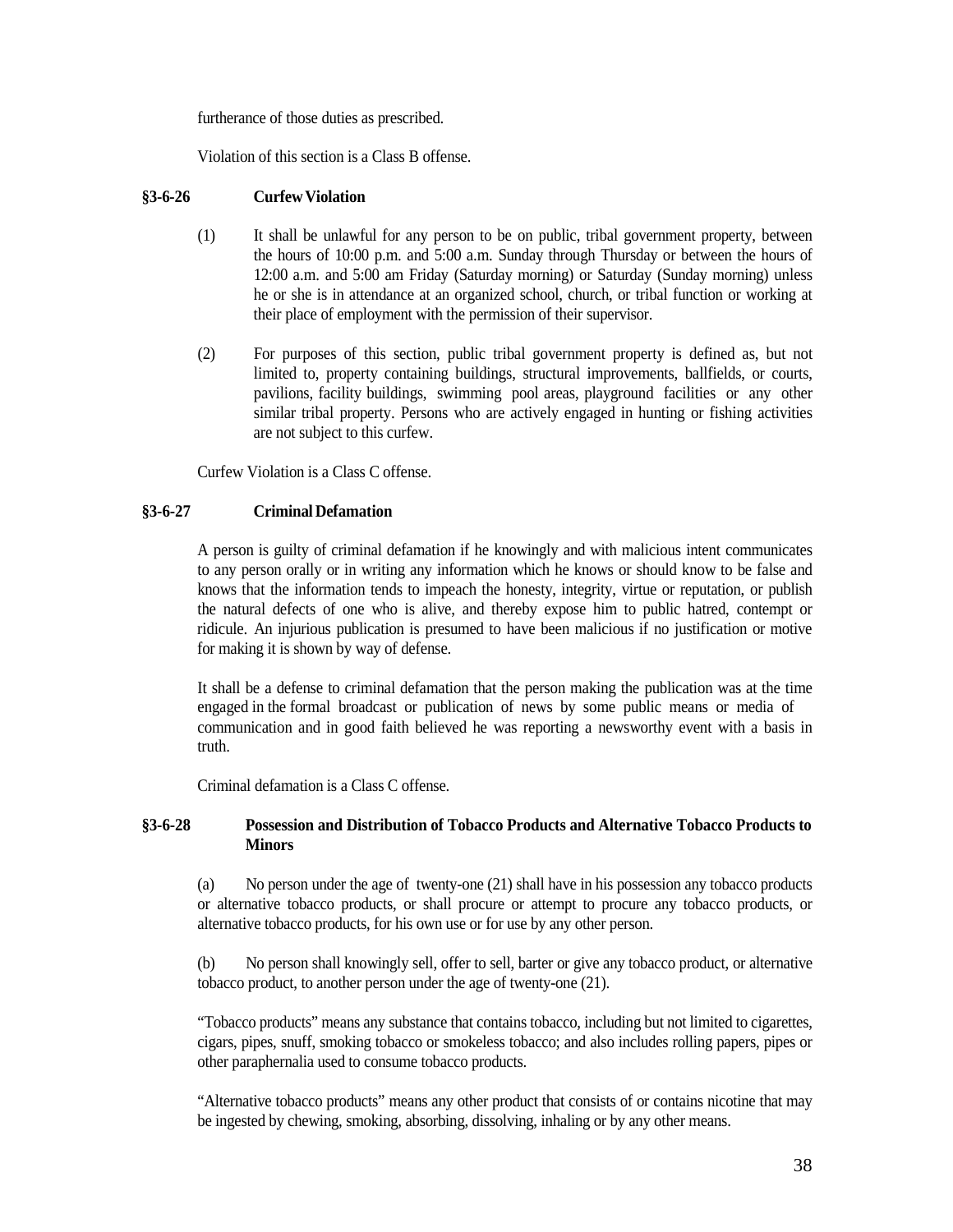furtherance of those duties as prescribed.

Violation of this section is a Class B offense.

### <span id="page-37-0"></span>**§3-6-26 CurfewViolation**

- (1) It shall be unlawful for any person to be on public, tribal government property, between the hours of 10:00 p.m. and 5:00 a.m. Sunday through Thursday or between the hours of 12:00 a.m. and 5:00 am Friday (Saturday morning) or Saturday (Sunday morning) unless he or she is in attendance at an organized school, church, or tribal function or working at their place of employment with the permission of their supervisor.
- (2) For purposes of this section, public tribal government property is defined as, but not limited to, property containing buildings, structural improvements, ballfields, or courts, pavilions, facility buildings, swimming pool areas, playground facilities or any other similar tribal property. Persons who are actively engaged in hunting or fishing activities are not subject to this curfew.

Curfew Violation is a Class C offense.

## <span id="page-37-1"></span>**§3-6-27 Criminal Defamation**

A person is guilty of criminal defamation if he knowingly and with malicious intent communicates to any person orally or in writing any information which he knows or should know to be false and knows that the information tends to impeach the honesty, integrity, virtue or reputation, or publish the natural defects of one who is alive, and thereby expose him to public hatred, contempt or ridicule. An injurious publication is presumed to have been malicious if no justification or motive for making it is shown by way of defense.

It shall be a defense to criminal defamation that the person making the publication was at the time engaged in the formal broadcast or publication of news by some public means or media of communication and in good faith believed he was reporting a newsworthy event with a basis in truth.

Criminal defamation is a Class C offense.

## <span id="page-37-2"></span>**§3-6-28 Possession and Distribution of Tobacco Products and Alternative Tobacco Products to Minors**

(a) No person under the age of twenty-one (21) shall have in his possession any tobacco products or alternative tobacco products, or shall procure or attempt to procure any tobacco products, or alternative tobacco products, for his own use or for use by any other person.

(b) No person shall knowingly sell, offer to sell, barter or give any tobacco product, or alternative tobacco product, to another person under the age of twenty-one (21).

"Tobacco products" means any substance that contains tobacco, including but not limited to cigarettes, cigars, pipes, snuff, smoking tobacco or smokeless tobacco; and also includes rolling papers, pipes or other paraphernalia used to consume tobacco products.

"Alternative tobacco products" means any other product that consists of or contains nicotine that may be ingested by chewing, smoking, absorbing, dissolving, inhaling or by any other means.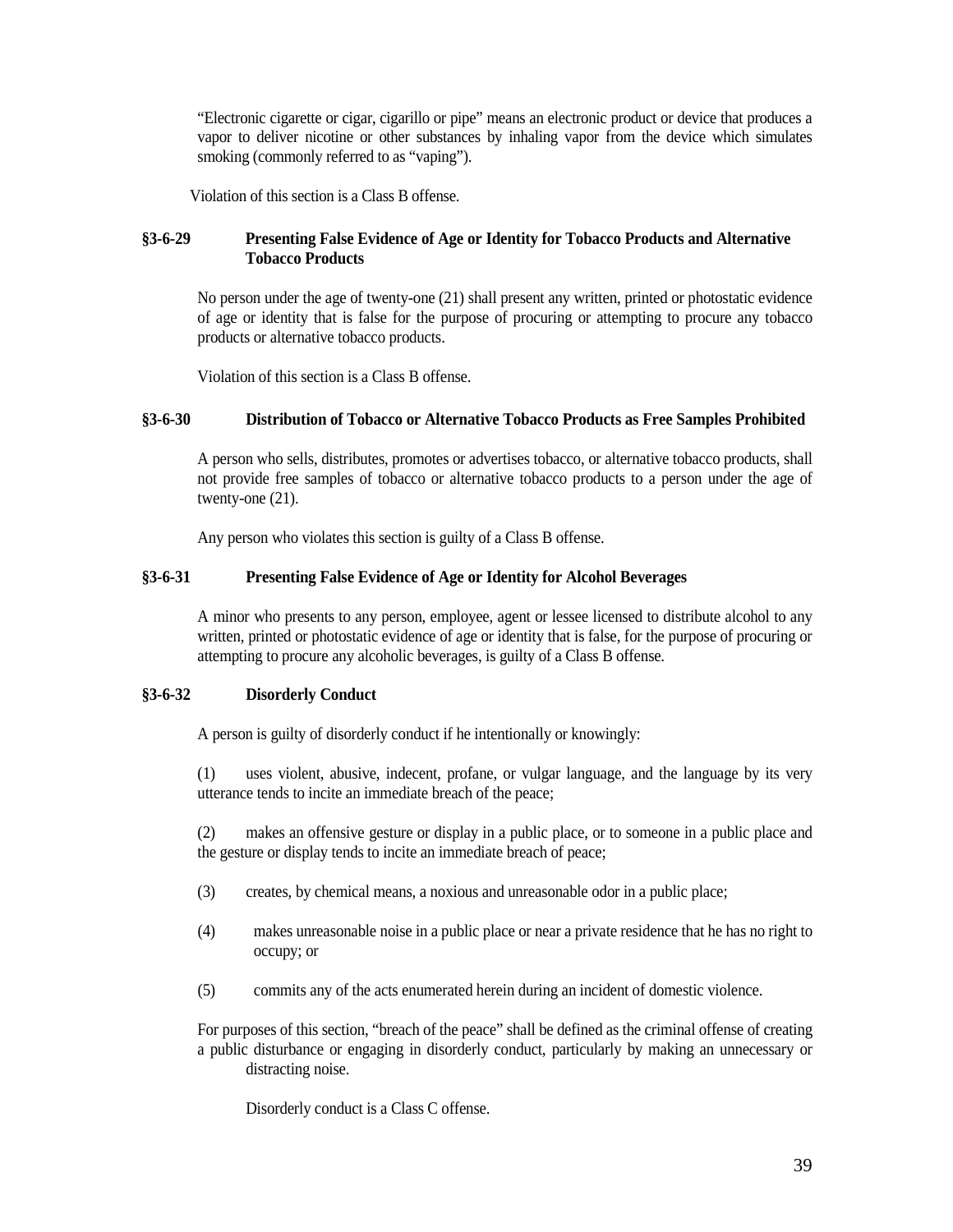"Electronic cigarette or cigar, cigarillo or pipe" means an electronic product or device that produces a vapor to deliver nicotine or other substances by inhaling vapor from the device which simulates smoking (commonly referred to as "vaping").

Violation of this section is a Class B offense.

## <span id="page-38-0"></span>**§3-6-29 Presenting False Evidence of Age or Identity for Tobacco Products and Alternative Tobacco Products**

No person under the age of twenty-one (21) shall present any written, printed or photostatic evidence of age or identity that is false for the purpose of procuring or attempting to procure any tobacco products or alternative tobacco products.

Violation of this section is a Class B offense.

## <span id="page-38-1"></span>**§3-6-30 Distribution of Tobacco or Alternative Tobacco Products as Free Samples Prohibited**

A person who sells, distributes, promotes or advertises tobacco, or alternative tobacco products, shall not provide free samples of tobacco or alternative tobacco products to a person under the age of twenty-one (21).

Any person who violates this section is guilty of a Class B offense.

## <span id="page-38-2"></span>**§3-6-31 Presenting False Evidence of Age or Identity for Alcohol Beverages**

A minor who presents to any person, employee, agent or lessee licensed to distribute alcohol to any written, printed or photostatic evidence of age or identity that is false, for the purpose of procuring or attempting to procure any alcoholic beverages, is guilty of a Class B offense.

### <span id="page-38-3"></span>**§3-6-32 Disorderly Conduct**

A person is guilty of disorderly conduct if he intentionally or knowingly:

(1) uses violent, abusive, indecent, profane, or vulgar language, and the language by its very utterance tends to incite an immediate breach of the peace;

(2) makes an offensive gesture or display in a public place, or to someone in a public place and the gesture or display tends to incite an immediate breach of peace;

- (3) creates, by chemical means, a noxious and unreasonable odor in a public place;
- (4) makes unreasonable noise in a public place or near a private residence that he has no right to occupy; or
- (5) commits any of the acts enumerated herein during an incident of domestic violence.

For purposes of this section, "breach of the peace" shall be defined as the criminal offense of creating a public disturbance or engaging in disorderly conduct, particularly by making an unnecessary or distracting noise.

Disorderly conduct is a Class C offense.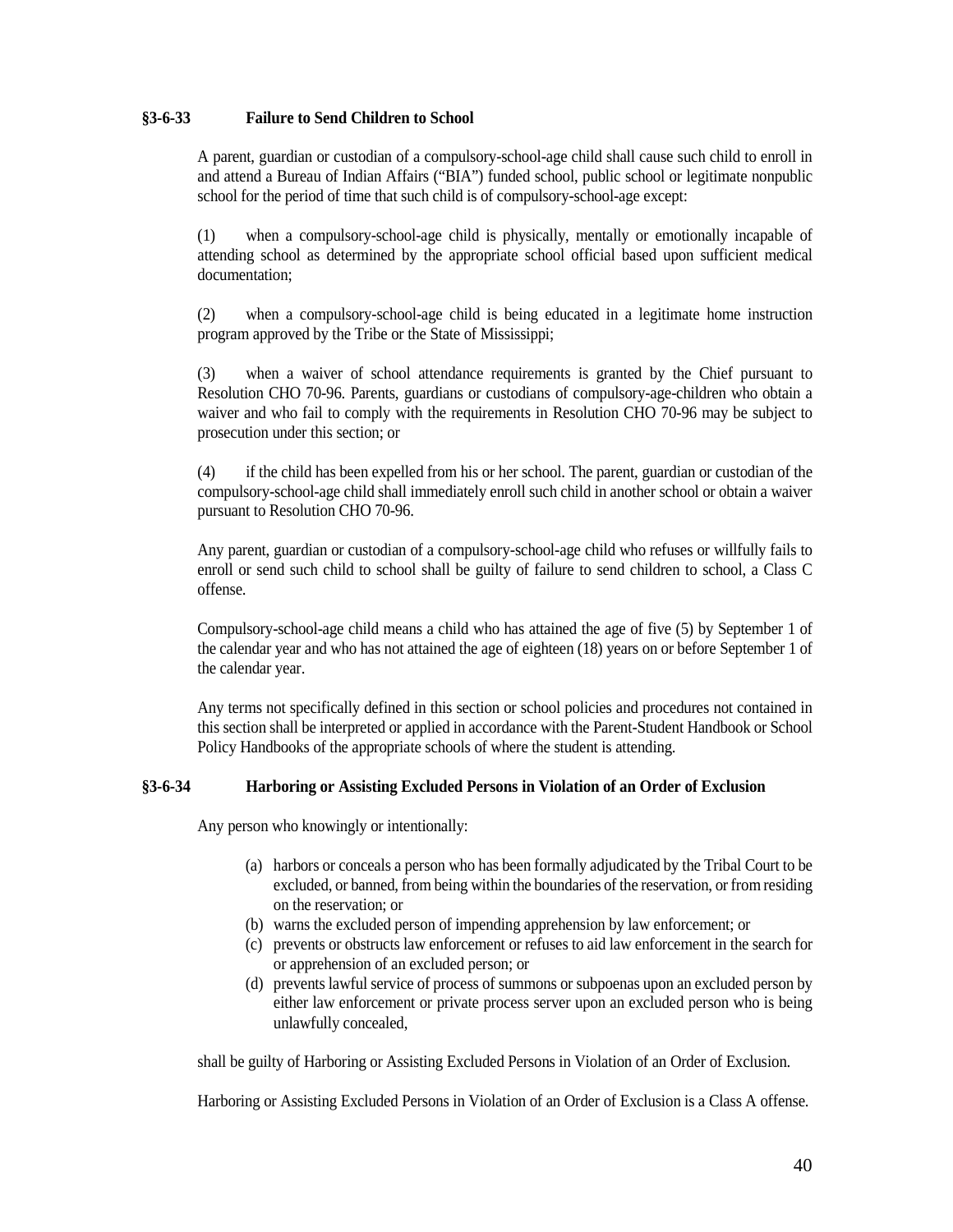## <span id="page-39-0"></span>**§3-6-33 Failure to Send Children to School**

A parent, guardian or custodian of a compulsory-school-age child shall cause such child to enroll in and attend a Bureau of Indian Affairs ("BIA") funded school, public school or legitimate nonpublic school for the period of time that such child is of compulsory-school-age except:

(1) when a compulsory-school-age child is physically, mentally or emotionally incapable of attending school as determined by the appropriate school official based upon sufficient medical documentation;

(2) when a compulsory-school-age child is being educated in a legitimate home instruction program approved by the Tribe or the State of Mississippi;

(3) when a waiver of school attendance requirements is granted by the Chief pursuant to Resolution CHO 70-96. Parents, guardians or custodians of compulsory-age-children who obtain a waiver and who fail to comply with the requirements in Resolution CHO 70-96 may be subject to prosecution under this section; or

(4) if the child has been expelled from his or her school. The parent, guardian or custodian of the compulsory-school-age child shall immediately enroll such child in another school or obtain a waiver pursuant to Resolution CHO 70-96.

Any parent, guardian or custodian of a compulsory-school-age child who refuses or willfully fails to enroll or send such child to school shall be guilty of failure to send children to school, a Class C offense.

Compulsory-school-age child means a child who has attained the age of five (5) by September 1 of the calendar year and who has not attained the age of eighteen (18) years on or before September 1 of the calendar year.

Any terms not specifically defined in this section or school policies and procedures not contained in this section shall be interpreted or applied in accordance with the Parent-Student Handbook or School Policy Handbooks of the appropriate schools of where the student is attending.

## <span id="page-39-1"></span>**§3-6-34 Harboring or Assisting Excluded Persons in Violation of an Order of Exclusion**

Any person who knowingly or intentionally:

- (a) harbors or conceals a person who has been formally adjudicated by the Tribal Court to be excluded, or banned, from being within the boundaries of the reservation, or from residing on the reservation; or
- (b) warns the excluded person of impending apprehension by law enforcement; or
- (c) prevents or obstructs law enforcement or refuses to aid law enforcement in the search for or apprehension of an excluded person; or
- (d) prevents lawful service of process of summons or subpoenas upon an excluded person by either law enforcement or private process server upon an excluded person who is being unlawfully concealed,

shall be guilty of Harboring or Assisting Excluded Persons in Violation of an Order of Exclusion.

Harboring or Assisting Excluded Persons in Violation of an Order of Exclusion is a Class A offense.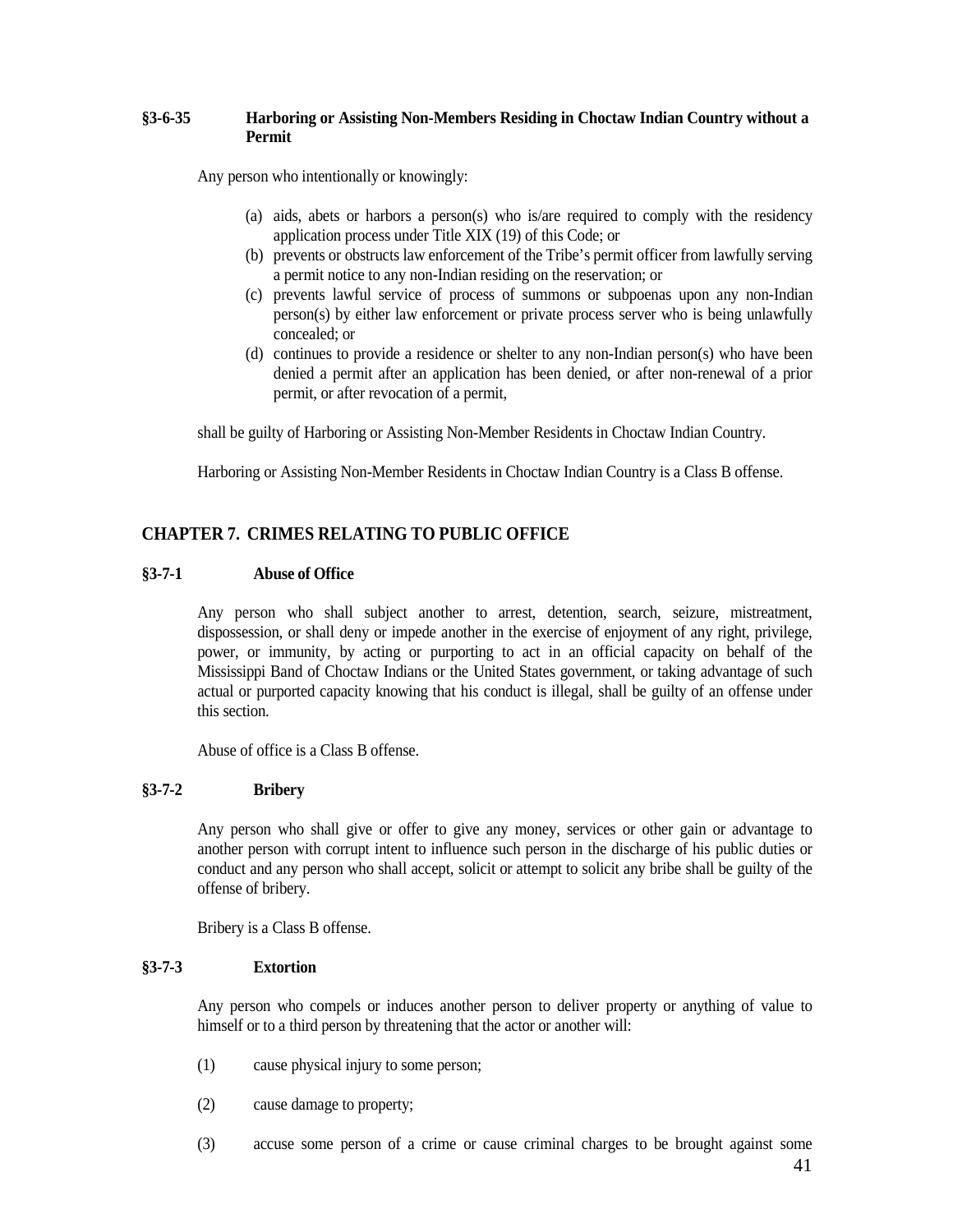## <span id="page-40-0"></span>**§3-6-35 Harboring or Assisting Non-Members Residing in Choctaw Indian Country without a Permit**

Any person who intentionally or knowingly:

- (a) aids, abets or harbors a person(s) who is/are required to comply with the residency application process under Title XIX (19) of this Code; or
- (b) prevents or obstructs law enforcement of the Tribe's permit officer from lawfully serving a permit notice to any non-Indian residing on the reservation; or
- (c) prevents lawful service of process of summons or subpoenas upon any non-Indian person(s) by either law enforcement or private process server who is being unlawfully concealed; or
- (d) continues to provide a residence or shelter to any non-Indian person(s) who have been denied a permit after an application has been denied, or after non-renewal of a prior permit, or after revocation of a permit,

shall be guilty of Harboring or Assisting Non-Member Residents in Choctaw Indian Country.

Harboring or Assisting Non-Member Residents in Choctaw Indian Country is a Class B offense.

## <span id="page-40-1"></span>**CHAPTER 7. CRIMES RELATING TO PUBLIC OFFICE**

## <span id="page-40-2"></span>**§3-7-1 Abuse of Office**

<span id="page-40-5"></span>Any person who shall subject another to arrest, detention, search, seizure, mistreatment, dispossession, or shall deny or impede another in the exercise of enjoyment of any right, privilege, power, or immunity, by acting or purporting to act in an official capacity on behalf of the Mississippi Band of Choctaw Indians or the United States government, or taking advantage of such actual or purported capacity knowing that his conduct is illegal, shall be guilty of an offense under this section.

Abuse of office is a Class B offense.

### <span id="page-40-3"></span>**§3-7-2 Bribery**

Any person who shall give or offer to give any money, services or other gain or advantage to another person with corrupt intent to influence such person in the discharge of his public duties or conduct and any person who shall accept, solicit or attempt to solicit any bribe shall be guilty of the offense of bribery.

Bribery is a Class B offense.

### <span id="page-40-4"></span>**§3-7-3 Extortion**

Any person who compels or induces another person to deliver property or anything of value to himself or to a third person by threatening that the actor or another will:

- (1) cause physical injury to some person;
- (2) cause damage to property;
- (3) accuse some person of a crime or cause criminal charges to be brought against some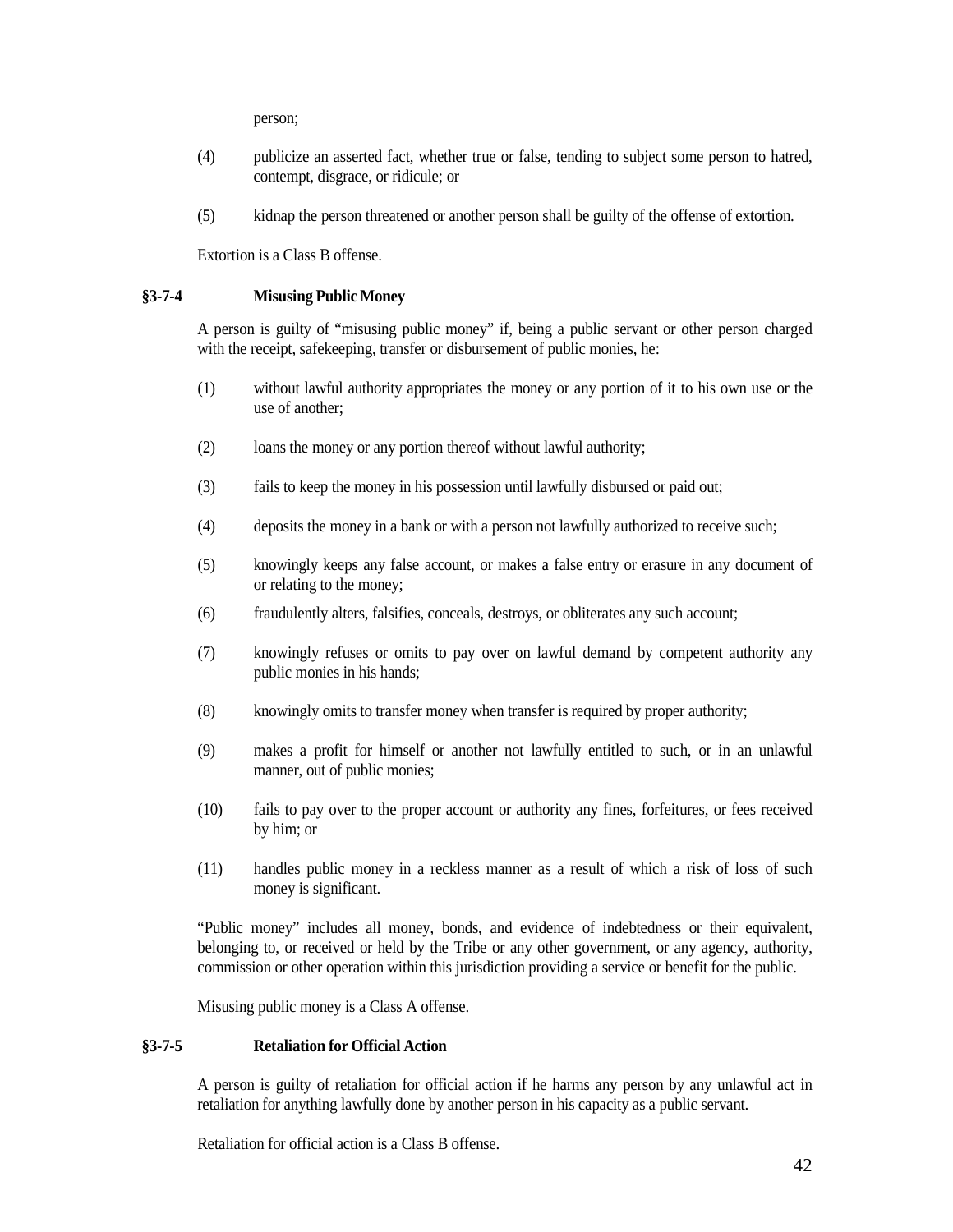person;

- (4) publicize an asserted fact, whether true or false, tending to subject some person to hatred, contempt, disgrace, or ridicule; or
- (5) kidnap the person threatened or another person shall be guilty of the offense of extortion.

Extortion is a Class B offense.

## <span id="page-41-0"></span>**§3-7-4 Misusing Public Money**

A person is guilty of "misusing public money" if, being a public servant or other person charged with the receipt, safekeeping, transfer or disbursement of public monies, he:

- (1) without lawful authority appropriates the money or any portion of it to his own use or the use of another;
- (2) loans the money or any portion thereof without lawful authority;
- (3) fails to keep the money in his possession until lawfully disbursed or paid out;
- (4) deposits the money in a bank or with a person not lawfully authorized to receive such;
- (5) knowingly keeps any false account, or makes a false entry or erasure in any document of or relating to the money;
- (6) fraudulently alters, falsifies, conceals, destroys, or obliterates any such account;
- (7) knowingly refuses or omits to pay over on lawful demand by competent authority any public monies in his hands;
- (8) knowingly omits to transfer money when transfer is required by proper authority;
- (9) makes a profit for himself or another not lawfully entitled to such, or in an unlawful manner, out of public monies;
- (10) fails to pay over to the proper account or authority any fines, forfeitures, or fees received by him; or
- (11) handles public money in a reckless manner as a result of which a risk of loss of such money is significant.

"Public money" includes all money, bonds, and evidence of indebtedness or their equivalent, belonging to, or received or held by the Tribe or any other government, or any agency, authority, commission or other operation within this jurisdiction providing a service or benefit for the public.

Misusing public money is a Class A offense.

## <span id="page-41-1"></span>**§3-7-5 Retaliation for Official Action**

A person is guilty of retaliation for official action if he harms any person by any unlawful act in retaliation for anything lawfully done by another person in his capacity as a public servant.

Retaliation for official action is a Class B offense.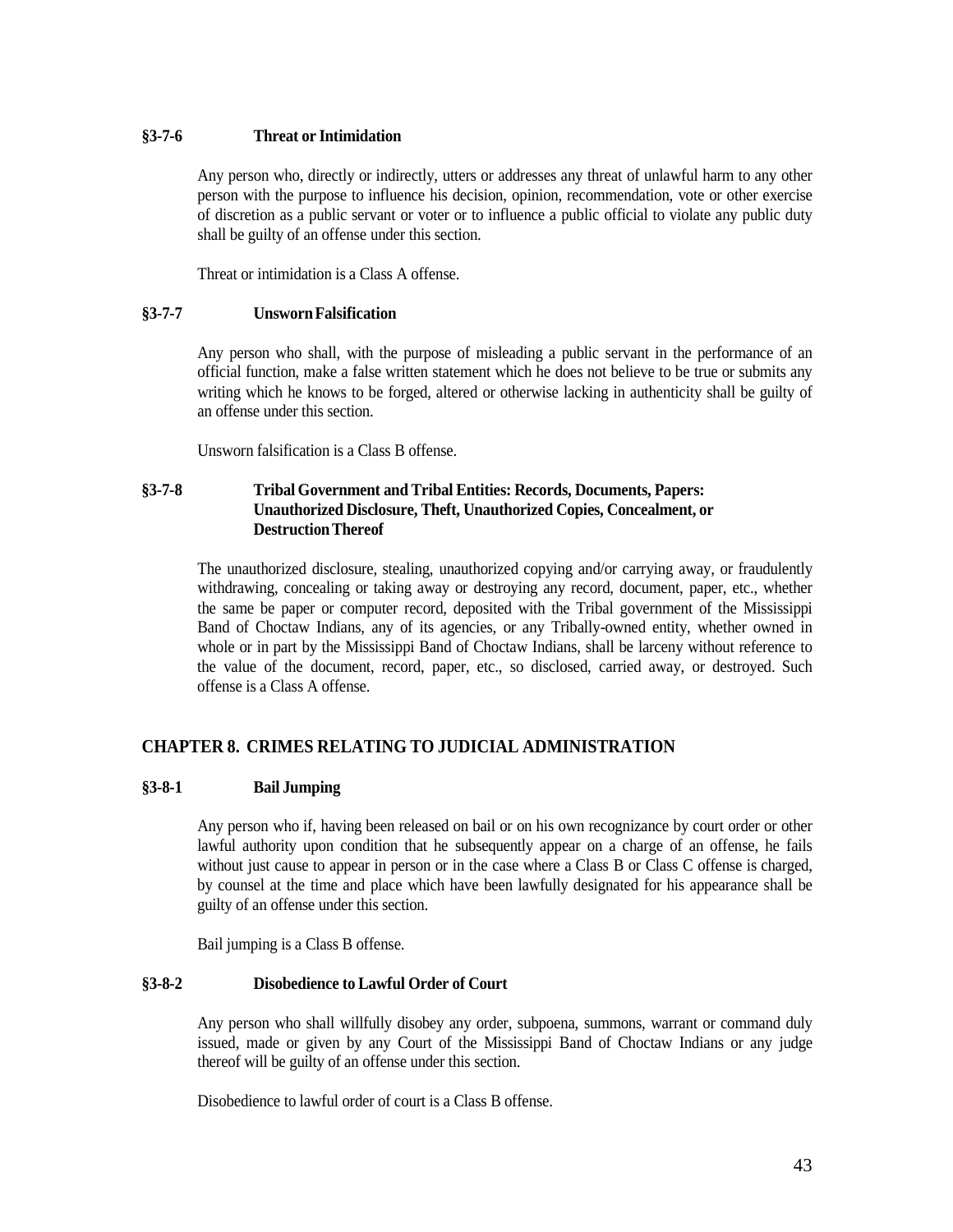## <span id="page-42-0"></span>**§3-7-6 Threat or Intimidation**

Any person who, directly or indirectly, utters or addresses any threat of unlawful harm to any other person with the purpose to influence his decision, opinion, recommendation, vote or other exercise of discretion as a public servant or voter or to influence a public official to violate any public duty shall be guilty of an offense under this section.

Threat or intimidation is a Class A offense.

## <span id="page-42-1"></span>**§3-7-7 UnswornFalsification**

Any person who shall, with the purpose of misleading a public servant in the performance of an official function, make a false written statement which he does not believe to be true or submits any writing which he knows to be forged, altered or otherwise lacking in authenticity shall be guilty of an offense under this section.

Unsworn falsification is a Class B offense.

## <span id="page-42-2"></span>**§3-7-8 Tribal Government and Tribal Entities: Records, Documents, Papers: Unauthorized Disclosure, Theft, Unauthorized Copies, Concealment, or DestructionThereof**

The unauthorized disclosure, stealing, unauthorized copying and/or carrying away, or fraudulently withdrawing, concealing or taking away or destroying any record, document, paper, etc., whether the same be paper or computer record, deposited with the Tribal government of the Mississippi Band of Choctaw Indians, any of its agencies, or any Tribally-owned entity, whether owned in whole or in part by the Mississippi Band of Choctaw Indians, shall be larceny without reference to the value of the document, record, paper, etc., so disclosed, carried away, or destroyed. Such offense is a Class A offense.

## <span id="page-42-3"></span>**CHAPTER 8. CRIMES RELATING TO JUDICIAL ADMINISTRATION**

## <span id="page-42-4"></span>**§3-8-1 Bail Jumping**

Any person who if, having been released on bail or on his own recognizance by court order or other lawful authority upon condition that he subsequently appear on a charge of an offense, he fails without just cause to appear in person or in the case where a Class B or Class C offense is charged, by counsel at the time and place which have been lawfully designated for his appearance shall be guilty of an offense under this section.

Bail jumping is a Class B offense.

## <span id="page-42-5"></span>**§3-8-2 Disobedience to Lawful Order of Court**

Any person who shall willfully disobey any order, subpoena, summons, warrant or command duly issued, made or given by any Court of the Mississippi Band of Choctaw Indians or any judge thereof will be guilty of an offense under this section.

Disobedience to lawful order of court is a Class B offense.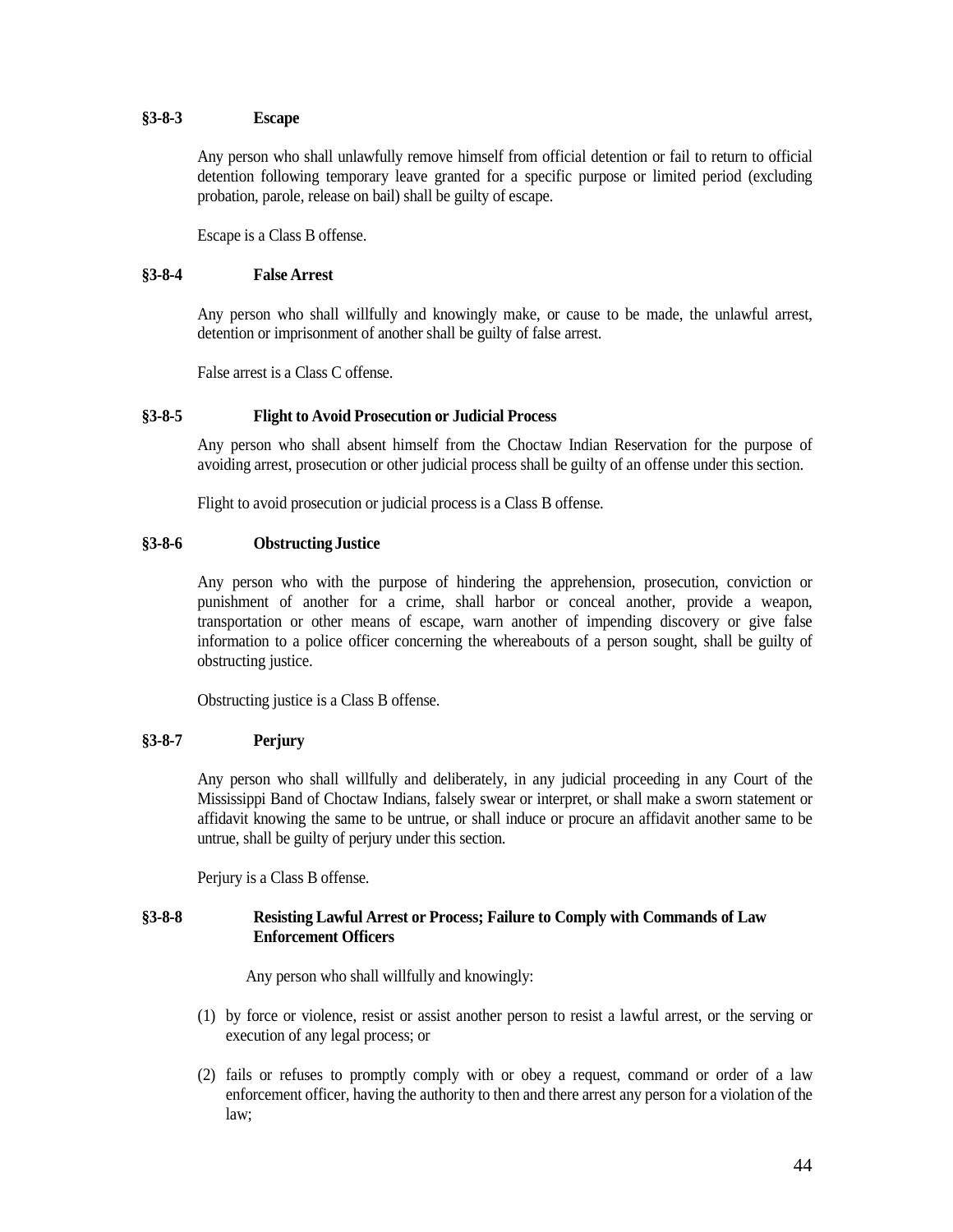## <span id="page-43-0"></span>**§3-8-3 Escape**

Any person who shall unlawfully remove himself from official detention or fail to return to official detention following temporary leave granted for a specific purpose or limited period (excluding probation, parole, release on bail) shall be guilty of escape.

Escape is a Class B offense.

## <span id="page-43-1"></span>**§3-8-4 False Arrest**

Any person who shall willfully and knowingly make, or cause to be made, the unlawful arrest, detention or imprisonment of another shall be guilty of false arrest.

False arrest is a Class C offense.

## <span id="page-43-2"></span>**§3-8-5 Flight to Avoid Prosecution or Judicial Process**

Any person who shall absent himself from the Choctaw Indian Reservation for the purpose of avoiding arrest, prosecution or other judicial process shall be guilty of an offense under this section.

Flight to avoid prosecution or judicial process is a Class B offense.

## <span id="page-43-3"></span>**§3-8-6 Obstructing Justice**

Any person who with the purpose of hindering the apprehension, prosecution, conviction or punishment of another for a crime, shall harbor or conceal another, provide a weapon, transportation or other means of escape, warn another of impending discovery or give false information to a police officer concerning the whereabouts of a person sought, shall be guilty of obstructing justice.

Obstructing justice is a Class B offense.

## <span id="page-43-4"></span>**§3-8-7 Perjury**

Any person who shall willfully and deliberately, in any judicial proceeding in any Court of the Mississippi Band of Choctaw Indians, falsely swear or interpret, or shall make a sworn statement or affidavit knowing the same to be untrue, or shall induce or procure an affidavit another same to be untrue, shall be guilty of perjury under this section.

Perjury is a Class B offense.

## <span id="page-43-5"></span>**§3-8-8 Resisting Lawful Arrest or Process; Failure to Comply with Commands of Law Enforcement Officers**

Any person who shall willfully and knowingly:

- (1) by force or violence, resist or assist another person to resist a lawful arrest, or the serving or execution of any legal process; or
- (2) fails or refuses to promptly comply with or obey a request, command or order of a law enforcement officer, having the authority to then and there arrest any person for a violation of the law;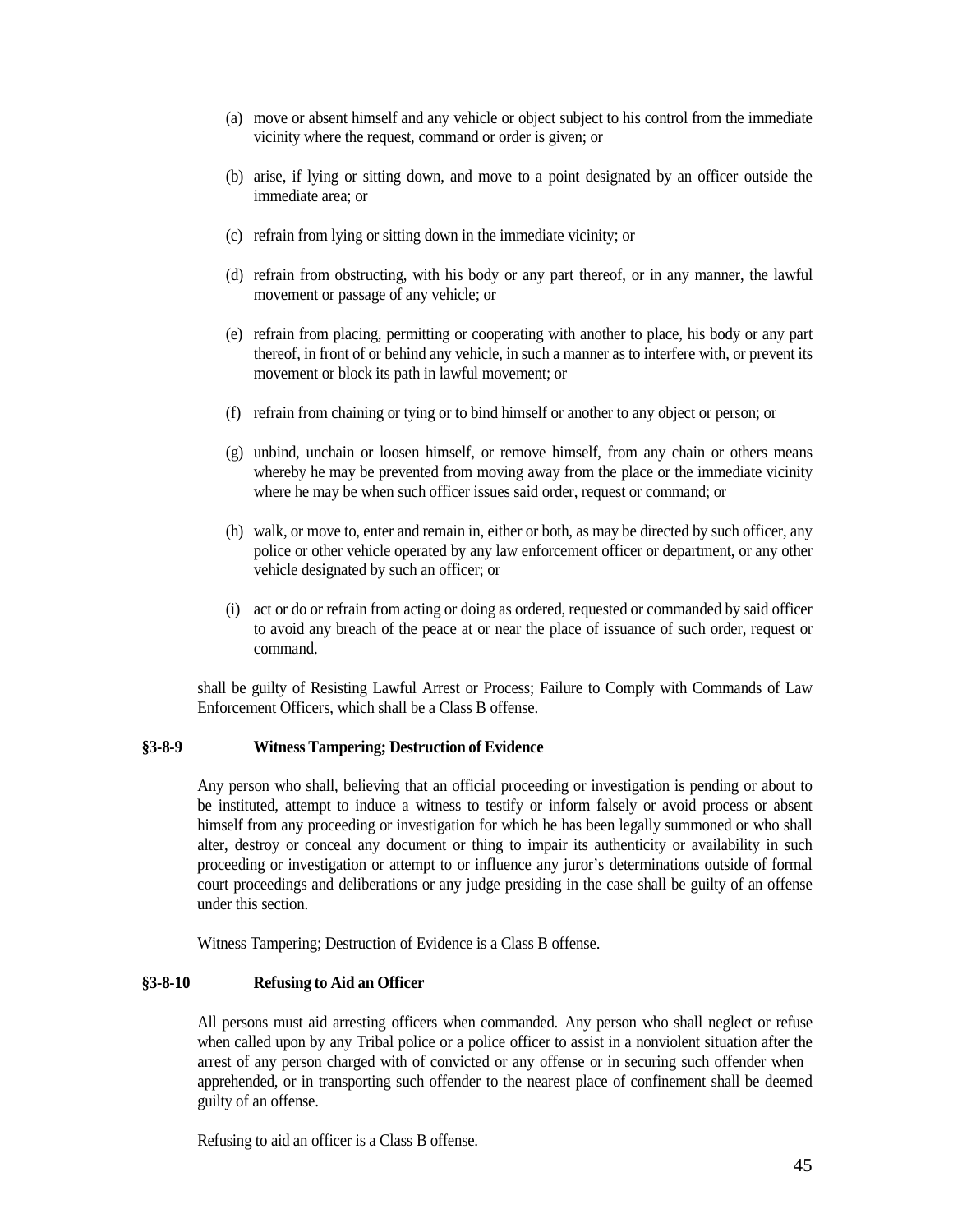- (a) move or absent himself and any vehicle or object subject to his control from the immediate vicinity where the request, command or order is given; or
- (b) arise, if lying or sitting down, and move to a point designated by an officer outside the immediate area; or
- (c) refrain from lying or sitting down in the immediate vicinity; or
- (d) refrain from obstructing, with his body or any part thereof, or in any manner, the lawful movement or passage of any vehicle; or
- (e) refrain from placing, permitting or cooperating with another to place, his body or any part thereof, in front of or behind any vehicle, in such a manner as to interfere with, or prevent its movement or block its path in lawful movement; or
- (f) refrain from chaining or tying or to bind himself or another to any object or person; or
- (g) unbind, unchain or loosen himself, or remove himself, from any chain or others means whereby he may be prevented from moving away from the place or the immediate vicinity where he may be when such officer issues said order, request or command; or
- (h) walk, or move to, enter and remain in, either or both, as may be directed by such officer, any police or other vehicle operated by any law enforcement officer or department, or any other vehicle designated by such an officer; or
- (i) act or do or refrain from acting or doing as ordered, requested or commanded by said officer to avoid any breach of the peace at or near the place of issuance of such order, request or command.

shall be guilty of Resisting Lawful Arrest or Process; Failure to Comply with Commands of Law Enforcement Officers, which shall be a Class B offense.

## <span id="page-44-0"></span>**§3-8-9 Witness Tampering; Destruction of Evidence**

Any person who shall, believing that an official proceeding or investigation is pending or about to be instituted, attempt to induce a witness to testify or inform falsely or avoid process or absent himself from any proceeding or investigation for which he has been legally summoned or who shall alter, destroy or conceal any document or thing to impair its authenticity or availability in such proceeding or investigation or attempt to or influence any juror's determinations outside of formal court proceedings and deliberations or any judge presiding in the case shall be guilty of an offense under this section.

Witness Tampering; Destruction of Evidence is a Class B offense.

## <span id="page-44-1"></span>**§3-8-10 Refusing to Aid an Officer**

All persons must aid arresting officers when commanded. Any person who shall neglect or refuse when called upon by any Tribal police or a police officer to assist in a nonviolent situation after the arrest of any person charged with of convicted or any offense or in securing such offender when apprehended, or in transporting such offender to the nearest place of confinement shall be deemed guilty of an offense.

Refusing to aid an officer is a Class B offense.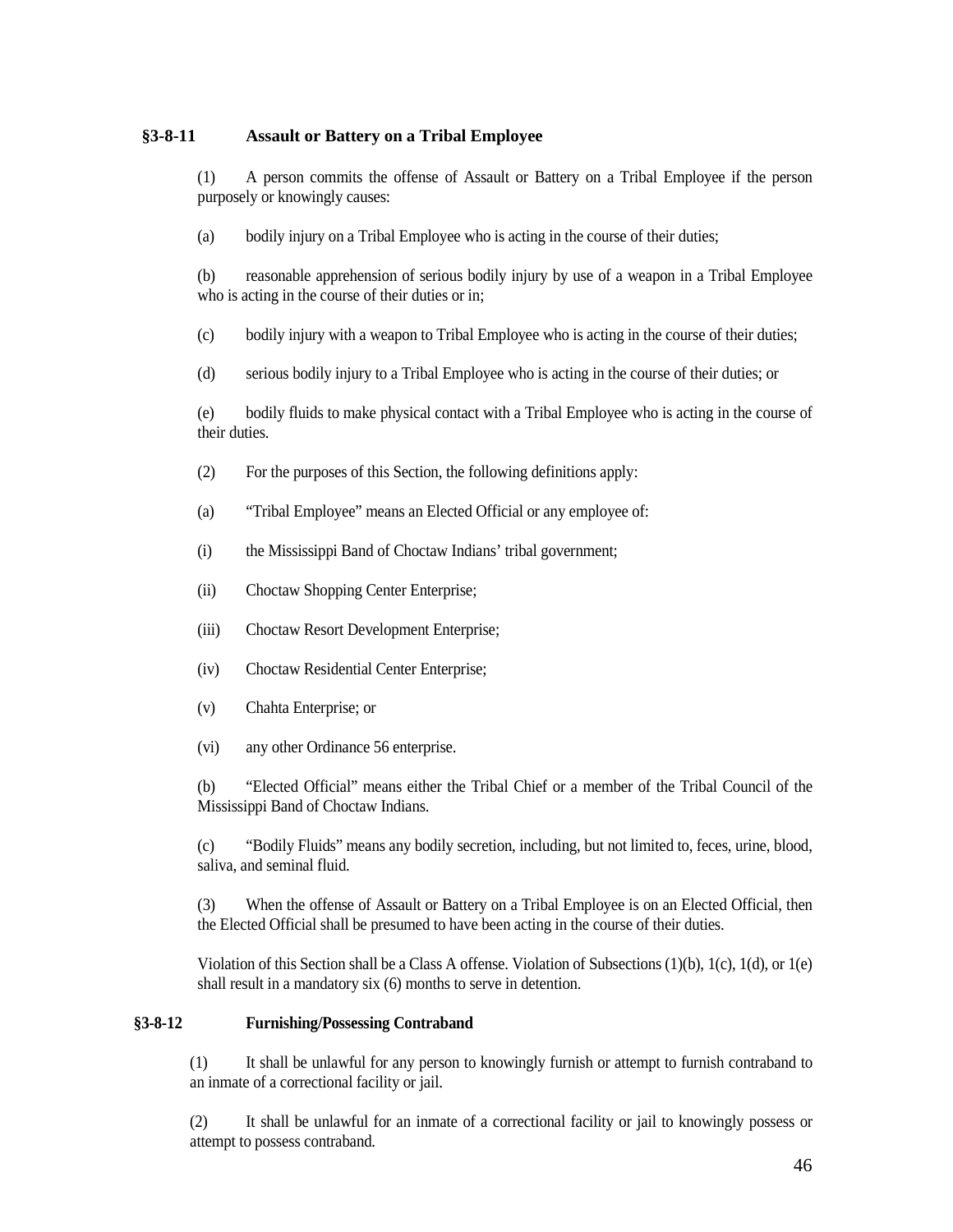## <span id="page-45-0"></span>**§3-8-11 Assault or Battery on a Tribal Employee**

(1) A person commits the offense of Assault or Battery on a Tribal Employee if the person purposely or knowingly causes:

(a) bodily injury on a Tribal Employee who is acting in the course of their duties;

(b) reasonable apprehension of serious bodily injury by use of a weapon in a Tribal Employee who is acting in the course of their duties or in;

(c) bodily injury with a weapon to Tribal Employee who is acting in the course of their duties;

(d) serious bodily injury to a Tribal Employee who is acting in the course of their duties; or

(e) bodily fluids to make physical contact with a Tribal Employee who is acting in the course of their duties.

- (2) For the purposes of this Section, the following definitions apply:
- (a) "Tribal Employee" means an Elected Official or any employee of:
- (i) the Mississippi Band of Choctaw Indians' tribal government;
- (ii) Choctaw Shopping Center Enterprise;
- (iii) Choctaw Resort Development Enterprise;
- (iv) Choctaw Residential Center Enterprise;
- (v) Chahta Enterprise; or
- (vi) any other Ordinance 56 enterprise.

(b) "Elected Official" means either the Tribal Chief or a member of the Tribal Council of the Mississippi Band of Choctaw Indians.

(c) "Bodily Fluids" means any bodily secretion, including, but not limited to, feces, urine, blood, saliva, and seminal fluid.

(3) When the offense of Assault or Battery on a Tribal Employee is on an Elected Official, then the Elected Official shall be presumed to have been acting in the course of their duties.

Violation of this Section shall be a Class A offense. Violation of Subsections (1)(b), 1(c), 1(d), or 1(e) shall result in a mandatory six (6) months to serve in detention.

## <span id="page-45-1"></span>**§3-8-12 Furnishing/Possessing Contraband**

(1) It shall be unlawful for any person to knowingly furnish or attempt to furnish contraband to an inmate of a correctional facility or jail.

(2) It shall be unlawful for an inmate of a correctional facility or jail to knowingly possess or attempt to possess contraband.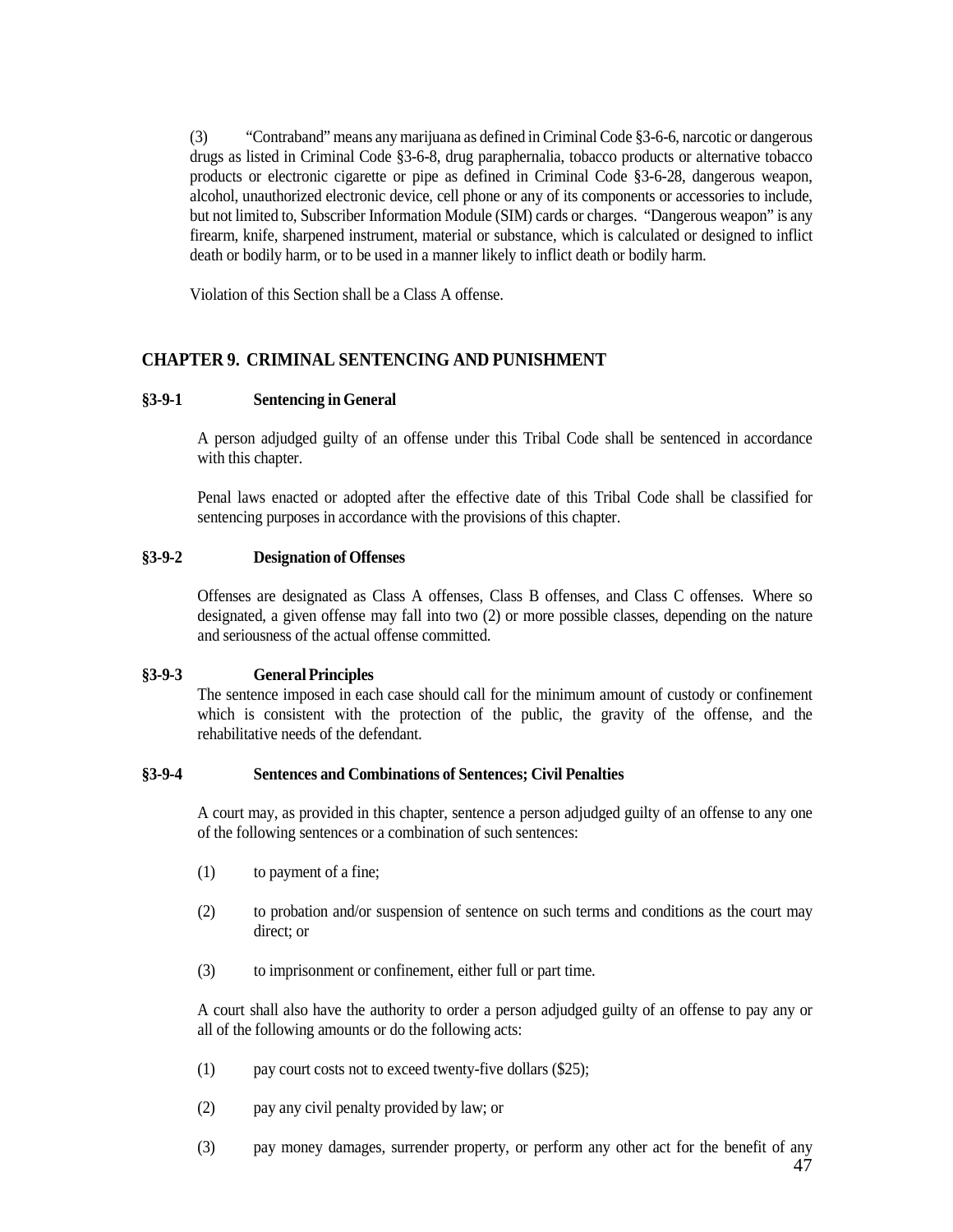(3) "Contraband" means any marijuana as defined in Criminal Code §3-6-6, narcotic or dangerous drugs as listed in Criminal Code §3-6-8, drug paraphernalia, tobacco products or alternative tobacco products or electronic cigarette or pipe as defined in Criminal Code §3-6-28, dangerous weapon, alcohol, unauthorized electronic device, cell phone or any of its components or accessories to include, but not limited to, Subscriber Information Module (SIM) cards or charges. "Dangerous weapon" is any firearm, knife, sharpened instrument, material or substance, which is calculated or designed to inflict death or bodily harm, or to be used in a manner likely to inflict death or bodily harm.

Violation of this Section shall be a Class A offense.

## <span id="page-46-0"></span>**CHAPTER 9. CRIMINAL SENTENCING AND PUNISHMENT**

## <span id="page-46-1"></span>**§3-9-1 Sentencing in General**

A person adjudged guilty of an offense under this Tribal Code shall be sentenced in accordance with this chapter.

Penal laws enacted or adopted after the effective date of this Tribal Code shall be classified for sentencing purposes in accordance with the provisions of this chapter.

## <span id="page-46-2"></span>**§3-9-2 Designation of Offenses**

Offenses are designated as Class A offenses, Class B offenses, and Class C offenses. Where so designated, a given offense may fall into two (2) or more possible classes, depending on the nature and seriousness of the actual offense committed.

## <span id="page-46-3"></span>**§3-9-3 General Principles**

The sentence imposed in each case should call for the minimum amount of custody or confinement which is consistent with the protection of the public, the gravity of the offense, and the rehabilitative needs of the defendant.

## <span id="page-46-4"></span>**§3-9-4 Sentences and Combinations of Sentences; Civil Penalties**

A court may, as provided in this chapter, sentence a person adjudged guilty of an offense to any one of the following sentences or a combination of such sentences:

- (1) to payment of a fine;
- (2) to probation and/or suspension of sentence on such terms and conditions as the court may direct; or
- (3) to imprisonment or confinement, either full or part time.

A court shall also have the authority to order a person adjudged guilty of an offense to pay any or all of the following amounts or do the following acts:

- (1) pay court costs not to exceed twenty-five dollars (\$25);
- (2) pay any civil penalty provided by law; or
- (3) pay money damages, surrender property, or perform any other act for the benefit of any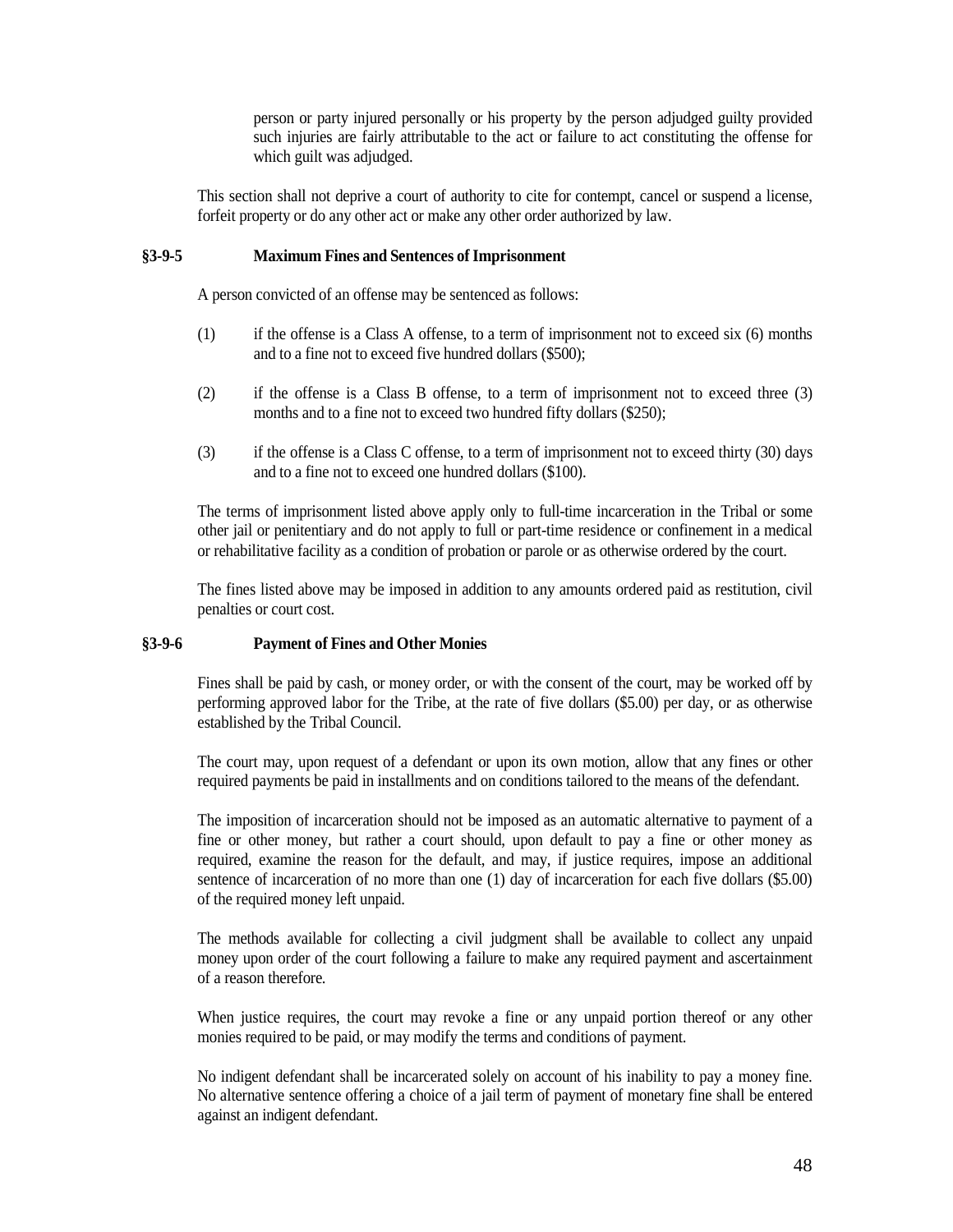person or party injured personally or his property by the person adjudged guilty provided such injuries are fairly attributable to the act or failure to act constituting the offense for which guilt was adjudged.

This section shall not deprive a court of authority to cite for contempt, cancel or suspend a license, forfeit property or do any other act or make any other order authorized by law.

#### <span id="page-47-0"></span>**§3-9-5 Maximum Fines and Sentences of Imprisonment**

A person convicted of an offense may be sentenced as follows:

- (1) if the offense is a Class A offense, to a term of imprisonment not to exceed six (6) months and to a fine not to exceed five hundred dollars (\$500);
- (2) if the offense is a Class B offense, to a term of imprisonment not to exceed three (3) months and to a fine not to exceed two hundred fifty dollars (\$250);
- (3) if the offense is a Class C offense, to a term of imprisonment not to exceed thirty (30) days and to a fine not to exceed one hundred dollars (\$100).

The terms of imprisonment listed above apply only to full-time incarceration in the Tribal or some other jail or penitentiary and do not apply to full or part-time residence or confinement in a medical or rehabilitative facility as a condition of probation or parole or as otherwise ordered by the court.

The fines listed above may be imposed in addition to any amounts ordered paid as restitution, civil penalties or court cost.

## <span id="page-47-1"></span>**§3-9-6 Payment of Fines and Other Monies**

Fines shall be paid by cash, or money order, or with the consent of the court, may be worked off by performing approved labor for the Tribe, at the rate of five dollars (\$5.00) per day, or as otherwise established by the Tribal Council.

The court may, upon request of a defendant or upon its own motion, allow that any fines or other required payments be paid in installments and on conditions tailored to the means of the defendant.

The imposition of incarceration should not be imposed as an automatic alternative to payment of a fine or other money, but rather a court should, upon default to pay a fine or other money as required, examine the reason for the default, and may, if justice requires, impose an additional sentence of incarceration of no more than one (1) day of incarceration for each five dollars (\$5.00) of the required money left unpaid.

The methods available for collecting a civil judgment shall be available to collect any unpaid money upon order of the court following a failure to make any required payment and ascertainment of a reason therefore.

When justice requires, the court may revoke a fine or any unpaid portion thereof or any other monies required to be paid, or may modify the terms and conditions of payment.

No indigent defendant shall be incarcerated solely on account of his inability to pay a money fine. No alternative sentence offering a choice of a jail term of payment of monetary fine shall be entered against an indigent defendant.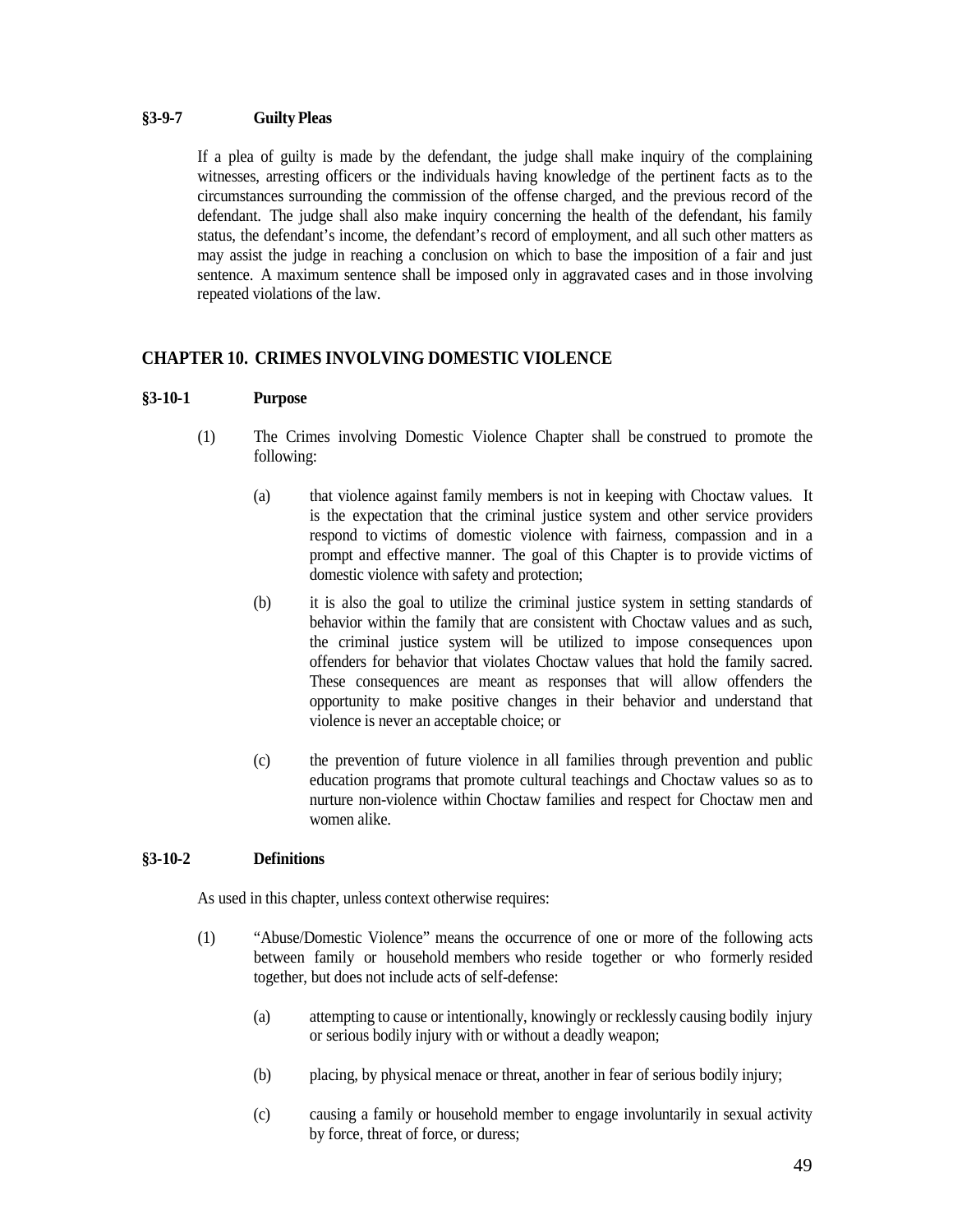## <span id="page-48-0"></span>**§3-9-7 Guilty Pleas**

If a plea of guilty is made by the defendant, the judge shall make inquiry of the complaining witnesses, arresting officers or the individuals having knowledge of the pertinent facts as to the circumstances surrounding the commission of the offense charged, and the previous record of the defendant. The judge shall also make inquiry concerning the health of the defendant, his family status, the defendant's income, the defendant's record of employment, and all such other matters as may assist the judge in reaching a conclusion on which to base the imposition of a fair and just sentence. A maximum sentence shall be imposed only in aggravated cases and in those involving repeated violations of the law.

## <span id="page-48-1"></span>**CHAPTER 10. CRIMES INVOLVING DOMESTIC VIOLENCE**

## <span id="page-48-2"></span>**§3-10-1 Purpose**

- (1) The Crimes involving Domestic Violence Chapter shall be construed to promote the following:
	- (a) that violence against family members is not in keeping with Choctaw values. It is the expectation that the criminal justice system and other service providers respond to victims of domestic violence with fairness, compassion and in a prompt and effective manner. The goal of this Chapter is to provide victims of domestic violence with safety and protection;
	- (b) it is also the goal to utilize the criminal justice system in setting standards of behavior within the family that are consistent with Choctaw values and as such, the criminal justice system will be utilized to impose consequences upon offenders for behavior that violates Choctaw values that hold the family sacred. These consequences are meant as responses that will allow offenders the opportunity to make positive changes in their behavior and understand that violence is never an acceptable choice; or
	- (c) the prevention of future violence in all families through prevention and public education programs that promote cultural teachings and Choctaw values so as to nurture non-violence within Choctaw families and respect for Choctaw men and women alike.

### <span id="page-48-3"></span>**§3-10-2 Definitions**

As used in this chapter, unless context otherwise requires:

- (1) "Abuse/Domestic Violence" means the occurrence of one or more of the following acts between family or household members who reside together or who formerly resided together, but does not include acts of self-defense:
	- (a) attempting to cause or intentionally, knowingly or recklessly causing bodily injury or serious bodily injury with or without a deadly weapon;
	- (b) placing, by physical menace or threat, another in fear of serious bodily injury;
	- (c) causing a family or household member to engage involuntarily in sexual activity by force, threat of force, or duress;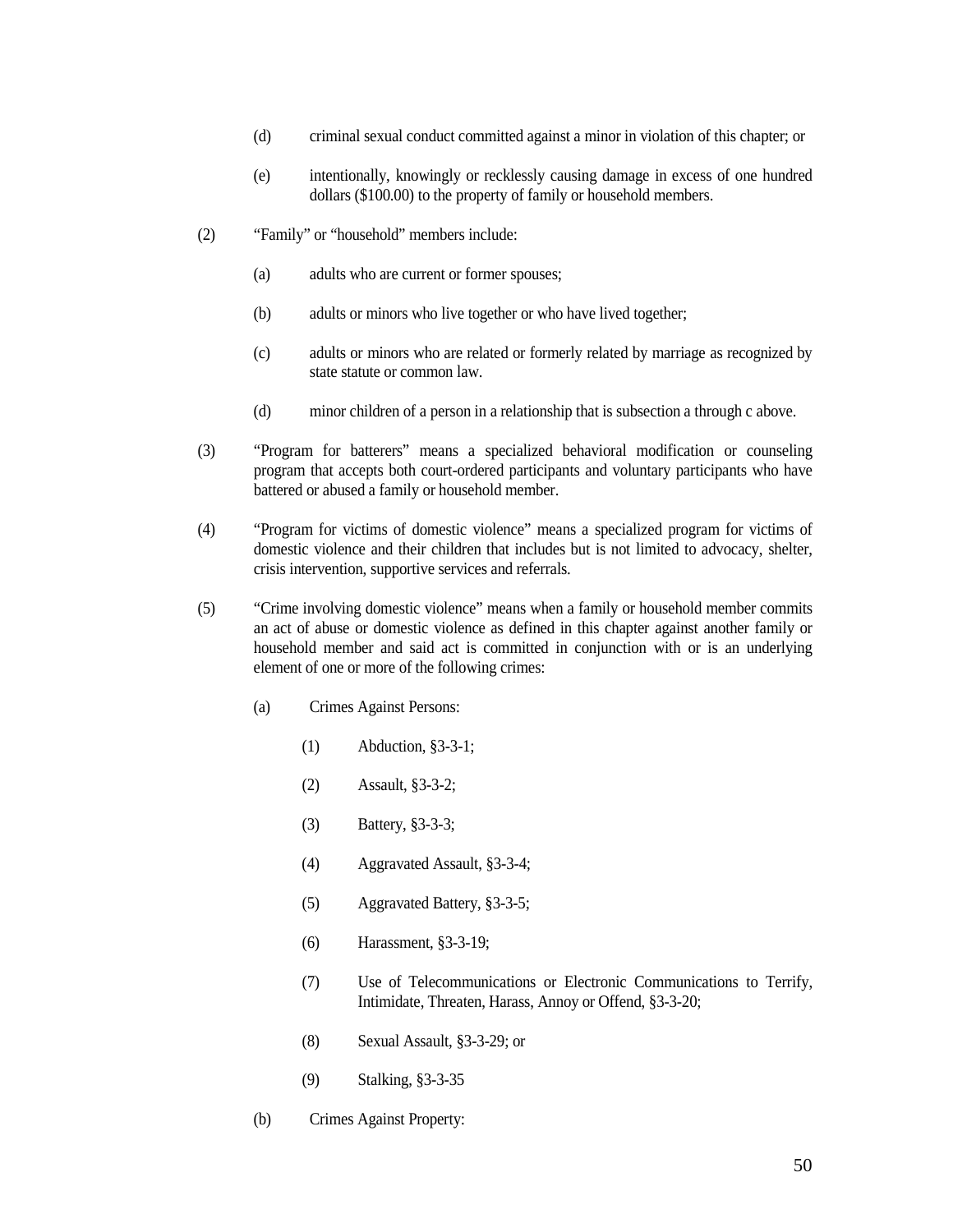- (d) criminal sexual conduct committed against a minor in violation of this chapter; or
- (e) intentionally, knowingly or recklessly causing damage in excess of one hundred dollars (\$100.00) to the property of family or household members.
- (2) "Family" or "household" members include:
	- (a) adults who are current or former spouses;
	- (b) adults or minors who live together or who have lived together;
	- (c) adults or minors who are related or formerly related by marriage as recognized by state statute or common law.
	- (d) minor children of a person in a relationship that is subsection a through c above.
- (3) "Program for batterers" means a specialized behavioral modification or counseling program that accepts both court-ordered participants and voluntary participants who have battered or abused a family or household member.
- (4) "Program for victims of domestic violence" means a specialized program for victims of domestic violence and their children that includes but is not limited to advocacy, shelter, crisis intervention, supportive services and referrals.
- (5) "Crime involving domestic violence" means when a family or household member commits an act of abuse or domestic violence as defined in this chapter against another family or household member and said act is committed in conjunction with or is an underlying element of one or more of the following crimes:
	- (a) Crimes Against Persons:
		- (1) Abduction, §3-3-1;
		- (2) Assault, §3-3-2;
		- (3) Battery, §3-3-3;
		- (4) Aggravated Assault, §3-3-4;
		- (5) Aggravated Battery, §3-3-5;
		- (6) Harassment, §3-3-19;
		- (7) Use of Telecommunications or Electronic Communications to Terrify, Intimidate, Threaten, Harass, Annoy or Offend, §3-3-20;
		- (8) Sexual Assault, §3-3-29; or
		- (9) Stalking, §3-3-35
	- (b) Crimes Against Property: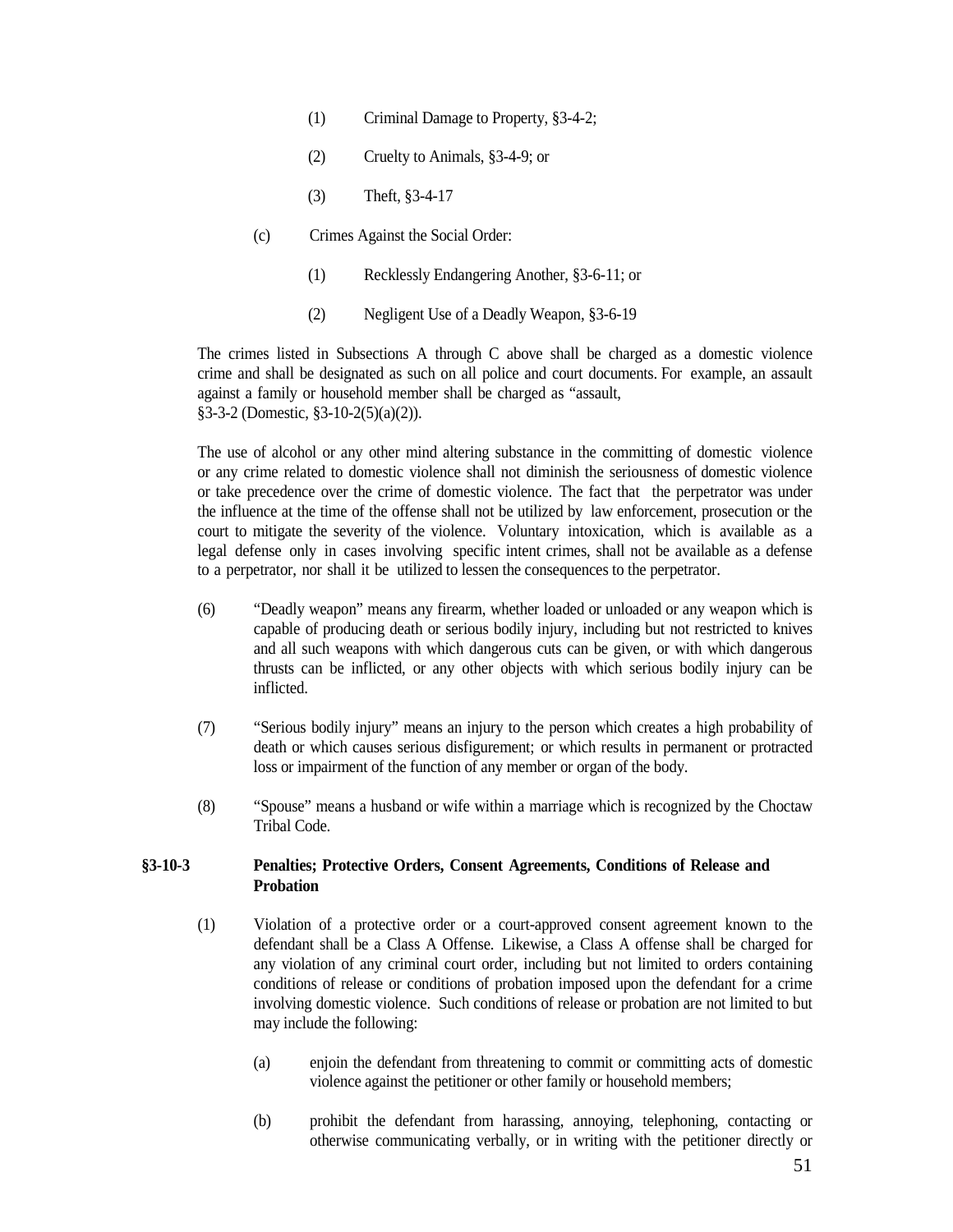- (1) Criminal Damage to Property, §3-4-2;
- (2) Cruelty to Animals, §3-4-9; or
- (3) Theft, §3-4-17
- (c) Crimes Against the Social Order:
	- (1) Recklessly Endangering Another, §3-6-11; or
	- (2) Negligent Use of a Deadly Weapon, §3-6-19

The crimes listed in Subsections A through C above shall be charged as a domestic violence crime and shall be designated as such on all police and court documents. For example, an assault against a family or household member shall be charged as "assault, §3-3-2 (Domestic, §3-10-2(5)(a)(2)).

The use of alcohol or any other mind altering substance in the committing of domestic violence or any crime related to domestic violence shall not diminish the seriousness of domestic violence or take precedence over the crime of domestic violence. The fact that the perpetrator was under the influence at the time of the offense shall not be utilized by law enforcement, prosecution or the court to mitigate the severity of the violence. Voluntary intoxication, which is available as a legal defense only in cases involving specific intent crimes, shall not be available as a defense to a perpetrator, nor shall it be utilized to lessen the consequences to the perpetrator.

- (6) "Deadly weapon" means any firearm, whether loaded or unloaded or any weapon which is capable of producing death or serious bodily injury, including but not restricted to knives and all such weapons with which dangerous cuts can be given, or with which dangerous thrusts can be inflicted, or any other objects with which serious bodily injury can be inflicted.
- (7) "Serious bodily injury" means an injury to the person which creates a high probability of death or which causes serious disfigurement; or which results in permanent or protracted loss or impairment of the function of any member or organ of the body.
- (8) "Spouse" means a husband or wife within a marriage which is recognized by the Choctaw Tribal Code.

### <span id="page-50-0"></span>**§3-10-3 Penalties; Protective Orders, Consent Agreements, Conditions of Release and Probation**

- (1) Violation of a protective order or a court-approved consent agreement known to the defendant shall be a Class A Offense. Likewise, a Class A offense shall be charged for any violation of any criminal court order, including but not limited to orders containing conditions of release or conditions of probation imposed upon the defendant for a crime involving domestic violence. Such conditions of release or probation are not limited to but may include the following:
	- (a) enjoin the defendant from threatening to commit or committing acts of domestic violence against the petitioner or other family or household members;
	- (b) prohibit the defendant from harassing, annoying, telephoning, contacting or otherwise communicating verbally, or in writing with the petitioner directly or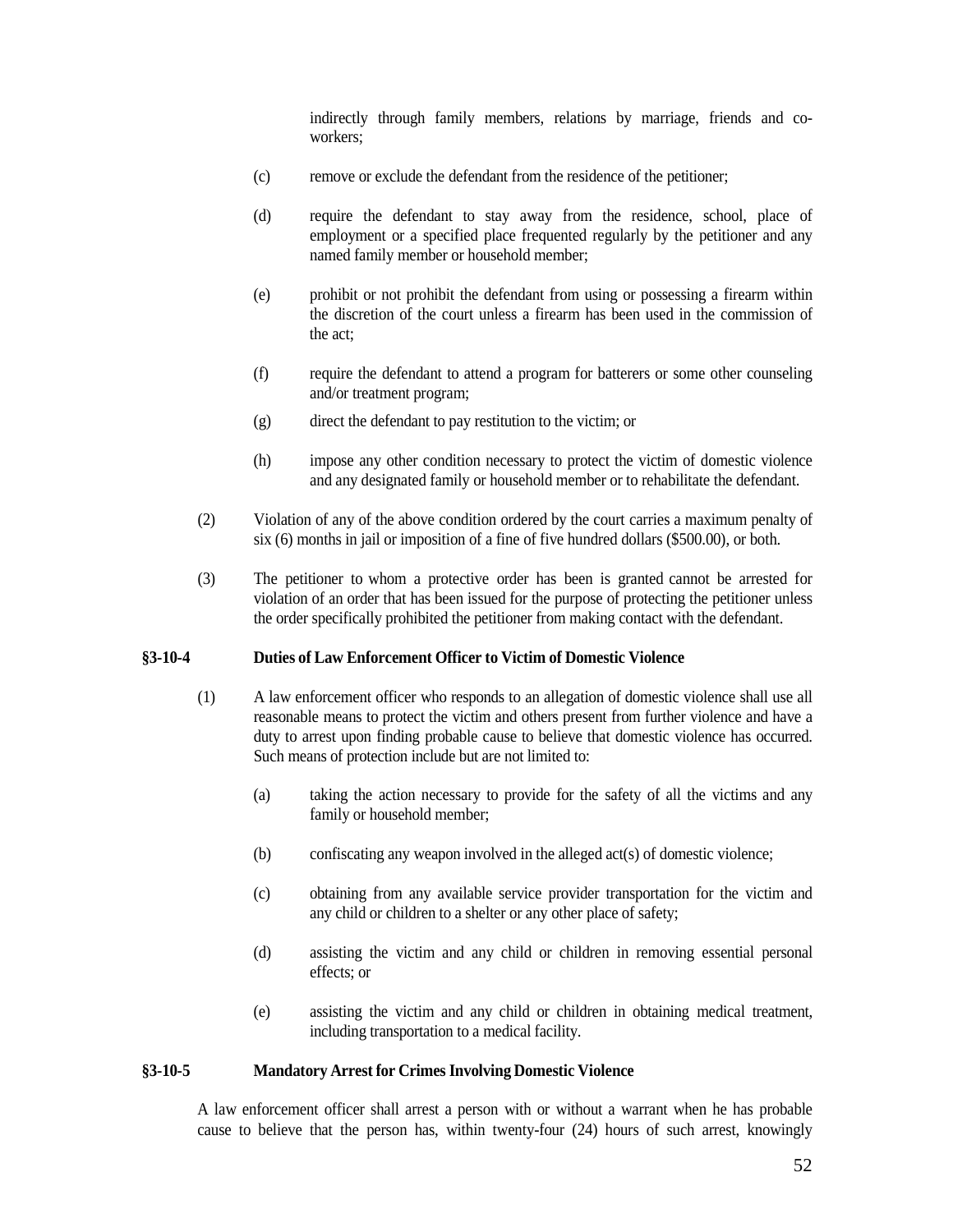indirectly through family members, relations by marriage, friends and coworkers;

- (c) remove or exclude the defendant from the residence of the petitioner;
- (d) require the defendant to stay away from the residence, school, place of employment or a specified place frequented regularly by the petitioner and any named family member or household member;
- (e) prohibit or not prohibit the defendant from using or possessing a firearm within the discretion of the court unless a firearm has been used in the commission of the act;
- (f) require the defendant to attend a program for batterers or some other counseling and/or treatment program;
- (g) direct the defendant to pay restitution to the victim; or
- (h) impose any other condition necessary to protect the victim of domestic violence and any designated family or household member or to rehabilitate the defendant.
- (2) Violation of any of the above condition ordered by the court carries a maximum penalty of six (6) months in jail or imposition of a fine of five hundred dollars (\$500.00), or both.
- (3) The petitioner to whom a protective order has been is granted cannot be arrested for violation of an order that has been issued for the purpose of protecting the petitioner unless the order specifically prohibited the petitioner from making contact with the defendant.

#### <span id="page-51-0"></span>**§3-10-4 Duties of Law Enforcement Officer to Victim of Domestic Violence**

- (1) A law enforcement officer who responds to an allegation of domestic violence shall use all reasonable means to protect the victim and others present from further violence and have a duty to arrest upon finding probable cause to believe that domestic violence has occurred. Such means of protection include but are not limited to:
	- (a) taking the action necessary to provide for the safety of all the victims and any family or household member;
	- (b) confiscating any weapon involved in the alleged act(s) of domestic violence;
	- (c) obtaining from any available service provider transportation for the victim and any child or children to a shelter or any other place of safety;
	- (d) assisting the victim and any child or children in removing essential personal effects; or
	- (e) assisting the victim and any child or children in obtaining medical treatment, including transportation to a medical facility.

#### <span id="page-51-1"></span>**§3-10-5 Mandatory Arrest for Crimes Involving Domestic Violence**

A law enforcement officer shall arrest a person with or without a warrant when he has probable cause to believe that the person has, within twenty-four (24) hours of such arrest, knowingly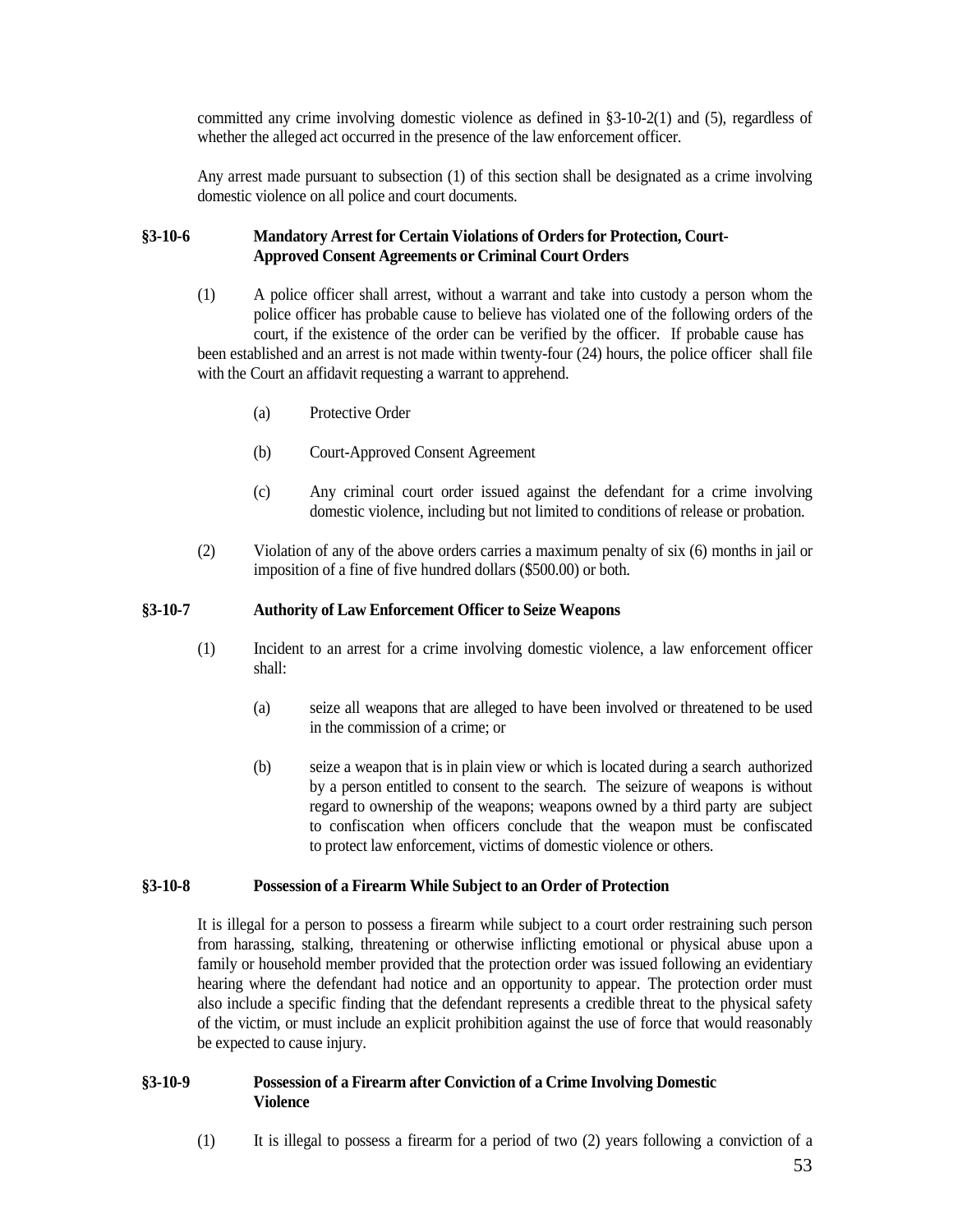committed any crime involving domestic violence as defined in §3-10-2(1) and (5), regardless of whether the alleged act occurred in the presence of the law enforcement officer.

Any arrest made pursuant to subsection (1) of this section shall be designated as a crime involving domestic violence on all police and court documents.

## <span id="page-52-0"></span>**§3-10-6 Mandatory Arrest for Certain Violations of Orders for Protection, Court-Approved Consent Agreements or Criminal Court Orders**

- (1) A police officer shall arrest, without a warrant and take into custody a person whom the police officer has probable cause to believe has violated one of the following orders of the court, if the existence of the order can be verified by the officer. If probable cause has been established and an arrest is not made within twenty-four (24) hours, the police officer shall file with the Court an affidavit requesting a warrant to apprehend.
	- (a) Protective Order
	- (b) Court-Approved Consent Agreement
	- (c) Any criminal court order issued against the defendant for a crime involving domestic violence, including but not limited to conditions of release or probation.
- (2) Violation of any of the above orders carries a maximum penalty of six (6) months in jail or imposition of a fine of five hundred dollars (\$500.00) or both.

#### <span id="page-52-1"></span>**§3-10-7 Authority of Law Enforcement Officer to Seize Weapons**

- (1) Incident to an arrest for a crime involving domestic violence, a law enforcement officer shall:
	- (a) seize all weapons that are alleged to have been involved or threatened to be used in the commission of a crime; or
	- (b) seize a weapon that is in plain view or which is located during a search authorized by a person entitled to consent to the search. The seizure of weapons is without regard to ownership of the weapons; weapons owned by a third party are subject to confiscation when officers conclude that the weapon must be confiscated to protect law enforcement, victims of domestic violence or others.

### <span id="page-52-2"></span>**§3-10-8 Possession of a Firearm While Subject to an Order of Protection**

It is illegal for a person to possess a firearm while subject to a court order restraining such person from harassing, stalking, threatening or otherwise inflicting emotional or physical abuse upon a family or household member provided that the protection order was issued following an evidentiary hearing where the defendant had notice and an opportunity to appear. The protection order must also include a specific finding that the defendant represents a credible threat to the physical safety of the victim, or must include an explicit prohibition against the use of force that would reasonably be expected to cause injury.

## <span id="page-52-3"></span>**§3-10-9 Possession of a Firearm after Conviction of a Crime Involving Domestic Violence**

(1) It is illegal to possess a firearm for a period of two (2) years following a conviction of a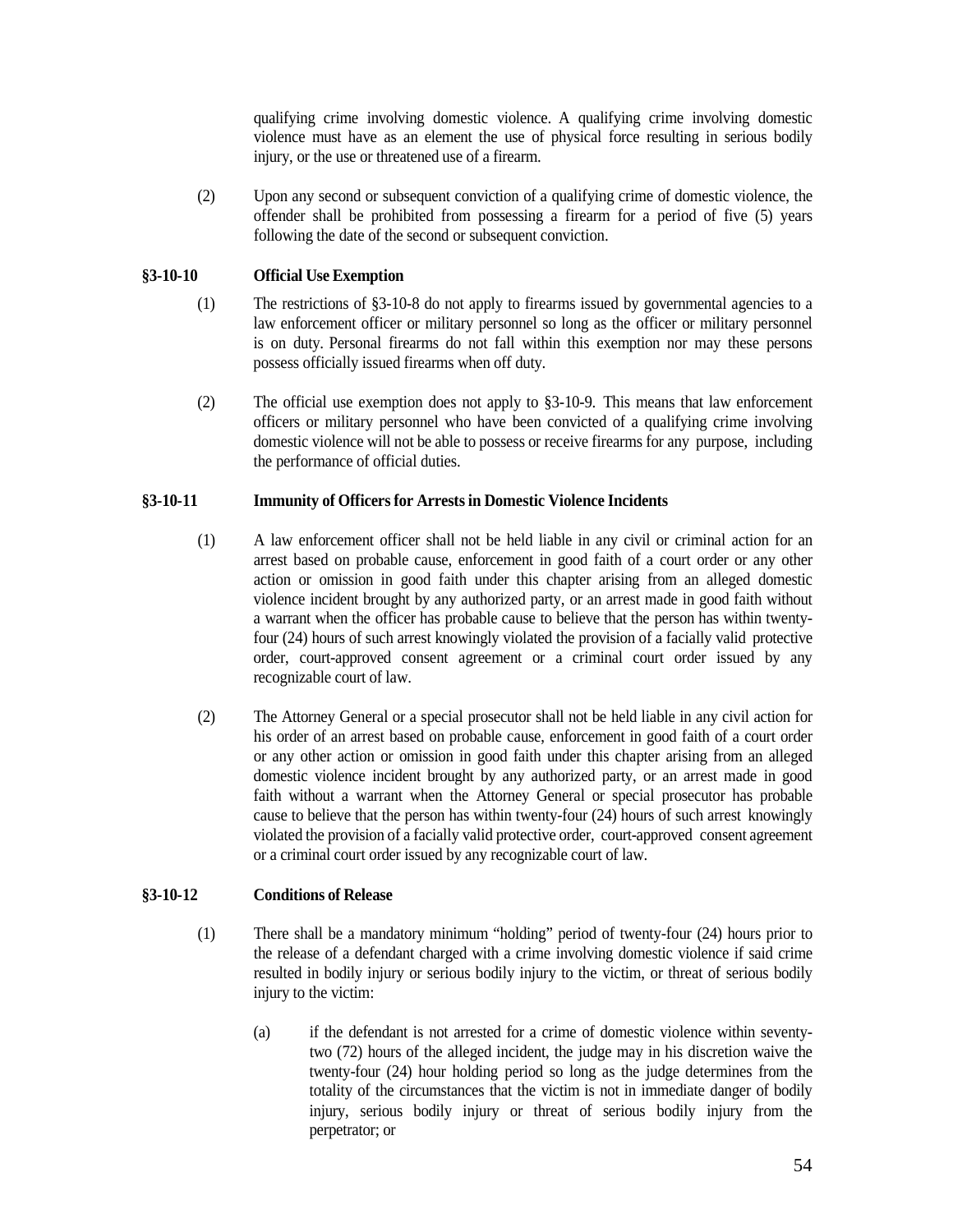qualifying crime involving domestic violence. A qualifying crime involving domestic violence must have as an element the use of physical force resulting in serious bodily injury, or the use or threatened use of a firearm.

(2) Upon any second or subsequent conviction of a qualifying crime of domestic violence, the offender shall be prohibited from possessing a firearm for a period of five (5) years following the date of the second or subsequent conviction.

## <span id="page-53-0"></span>**§3-10-10 Official Use Exemption**

- (1) The restrictions of §3-10-8 do not apply to firearms issued by governmental agencies to a law enforcement officer or military personnel so long as the officer or military personnel is on duty. Personal firearms do not fall within this exemption nor may these persons possess officially issued firearms when off duty.
- (2) The official use exemption does not apply to §3-10-9. This means that law enforcement officers or military personnel who have been convicted of a qualifying crime involving domestic violence will not be able to possess or receive firearms for any purpose, including the performance of official duties.

## <span id="page-53-1"></span>**§3-10-11 Immunity of Officersfor Arrests in Domestic Violence Incidents**

- (1) A law enforcement officer shall not be held liable in any civil or criminal action for an arrest based on probable cause, enforcement in good faith of a court order or any other action or omission in good faith under this chapter arising from an alleged domestic violence incident brought by any authorized party, or an arrest made in good faith without a warrant when the officer has probable cause to believe that the person has within twentyfour (24) hours of such arrest knowingly violated the provision of a facially valid protective order, court-approved consent agreement or a criminal court order issued by any recognizable court of law.
- (2) The Attorney General or a special prosecutor shall not be held liable in any civil action for his order of an arrest based on probable cause, enforcement in good faith of a court order or any other action or omission in good faith under this chapter arising from an alleged domestic violence incident brought by any authorized party, or an arrest made in good faith without a warrant when the Attorney General or special prosecutor has probable cause to believe that the person has within twenty-four (24) hours of such arrest knowingly violated the provision of a facially valid protective order, court-approved consent agreement or a criminal court order issued by any recognizable court of law.

## <span id="page-53-2"></span>**§3-10-12 Conditions of Release**

- (1) There shall be a mandatory minimum "holding" period of twenty-four (24) hours prior to the release of a defendant charged with a crime involving domestic violence if said crime resulted in bodily injury or serious bodily injury to the victim, or threat of serious bodily injury to the victim:
	- (a) if the defendant is not arrested for a crime of domestic violence within seventytwo (72) hours of the alleged incident, the judge may in his discretion waive the twenty-four (24) hour holding period so long as the judge determines from the totality of the circumstances that the victim is not in immediate danger of bodily injury, serious bodily injury or threat of serious bodily injury from the perpetrator; or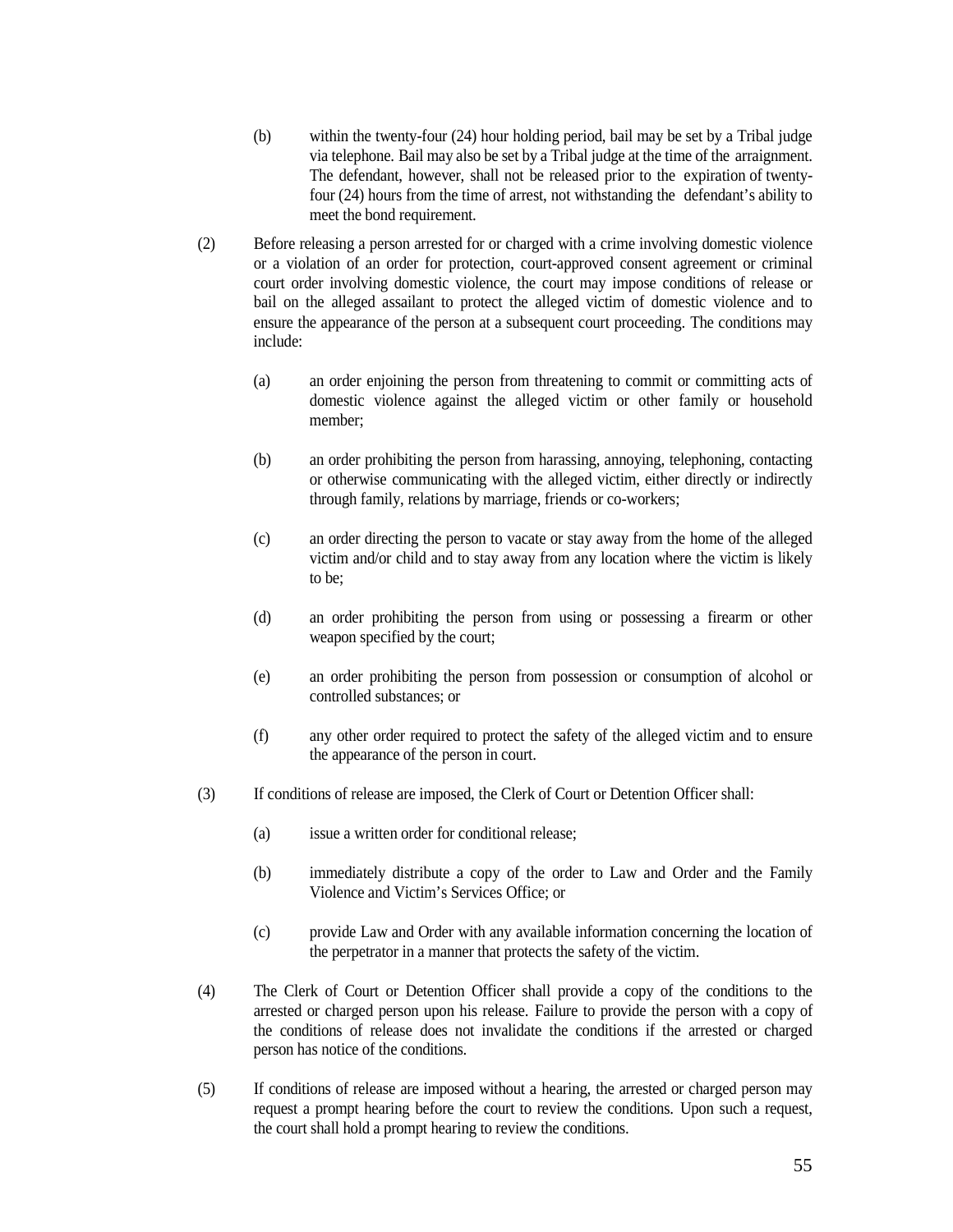- (b) within the twenty-four (24) hour holding period, bail may be set by a Tribal judge via telephone. Bail may also be set by a Tribal judge at the time of the arraignment. The defendant, however, shall not be released prior to the expiration of twentyfour (24) hours from the time of arrest, not withstanding the defendant's ability to meet the bond requirement.
- (2) Before releasing a person arrested for or charged with a crime involving domestic violence or a violation of an order for protection, court-approved consent agreement or criminal court order involving domestic violence, the court may impose conditions of release or bail on the alleged assailant to protect the alleged victim of domestic violence and to ensure the appearance of the person at a subsequent court proceeding. The conditions may include:
	- (a) an order enjoining the person from threatening to commit or committing acts of domestic violence against the alleged victim or other family or household member;
	- (b) an order prohibiting the person from harassing, annoying, telephoning, contacting or otherwise communicating with the alleged victim, either directly or indirectly through family, relations by marriage, friends or co-workers;
	- (c) an order directing the person to vacate or stay away from the home of the alleged victim and/or child and to stay away from any location where the victim is likely to be;
	- (d) an order prohibiting the person from using or possessing a firearm or other weapon specified by the court;
	- (e) an order prohibiting the person from possession or consumption of alcohol or controlled substances; or
	- (f) any other order required to protect the safety of the alleged victim and to ensure the appearance of the person in court.
- (3) If conditions of release are imposed, the Clerk of Court or Detention Officer shall:
	- (a) issue a written order for conditional release;
	- (b) immediately distribute a copy of the order to Law and Order and the Family Violence and Victim's Services Office; or
	- (c) provide Law and Order with any available information concerning the location of the perpetrator in a manner that protects the safety of the victim.
- (4) The Clerk of Court or Detention Officer shall provide a copy of the conditions to the arrested or charged person upon his release. Failure to provide the person with a copy of the conditions of release does not invalidate the conditions if the arrested or charged person has notice of the conditions.
- (5) If conditions of release are imposed without a hearing, the arrested or charged person may request a prompt hearing before the court to review the conditions. Upon such a request, the court shall hold a prompt hearing to review the conditions.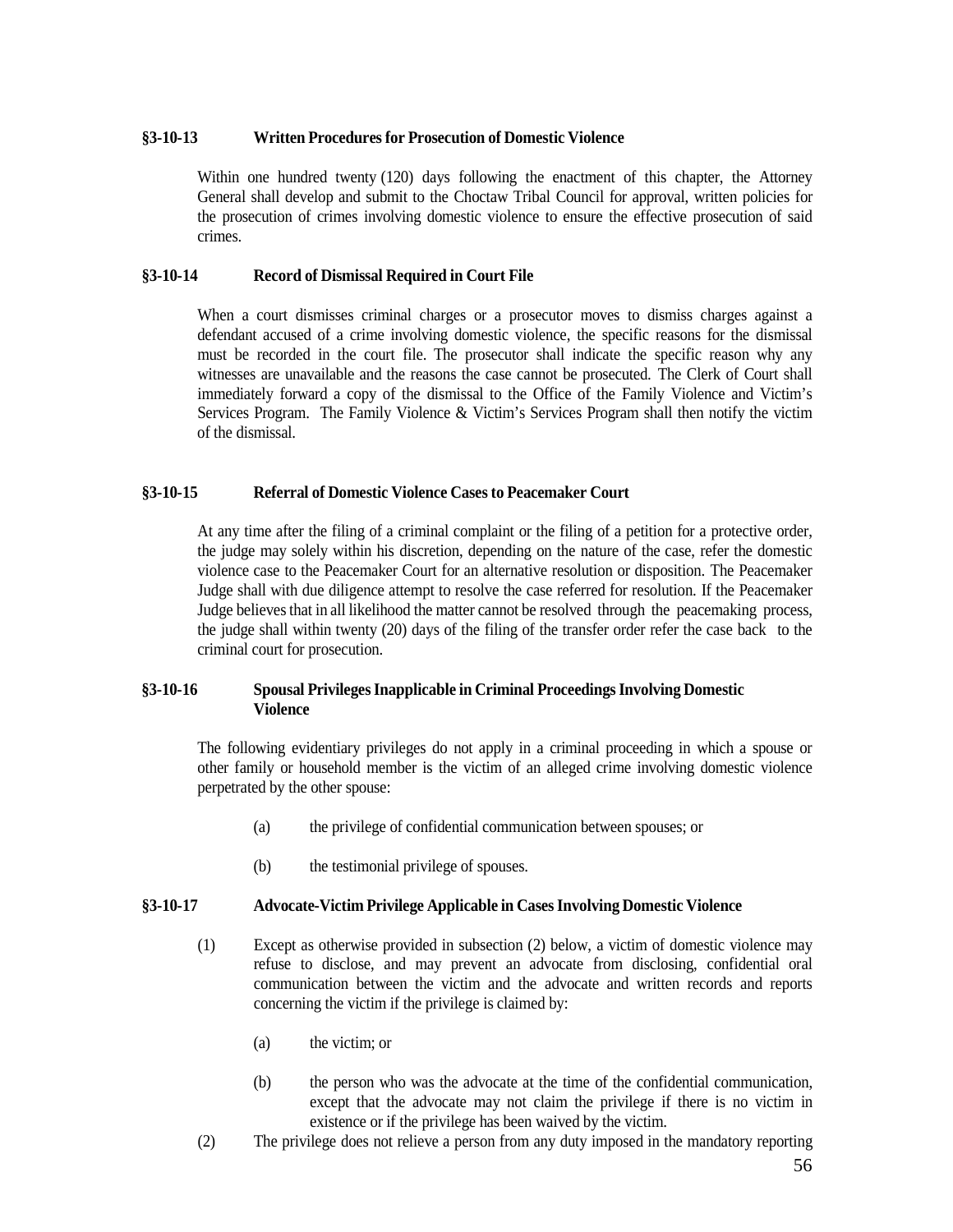## <span id="page-55-0"></span>**§3-10-13 Written Procedures for Prosecution of Domestic Violence**

Within one hundred twenty (120) days following the enactment of this chapter, the Attorney General shall develop and submit to the Choctaw Tribal Council for approval, written policies for the prosecution of crimes involving domestic violence to ensure the effective prosecution of said crimes.

## <span id="page-55-1"></span>**§3-10-14 Record of Dismissal Required in Court File**

When a court dismisses criminal charges or a prosecutor moves to dismiss charges against a defendant accused of a crime involving domestic violence, the specific reasons for the dismissal must be recorded in the court file. The prosecutor shall indicate the specific reason why any witnesses are unavailable and the reasons the case cannot be prosecuted. The Clerk of Court shall immediately forward a copy of the dismissal to the Office of the Family Violence and Victim's Services Program. The Family Violence & Victim's Services Program shall then notify the victim of the dismissal.

## <span id="page-55-2"></span>**§3-10-15 Referral of Domestic Violence Cases to Peacemaker Court**

At any time after the filing of a criminal complaint or the filing of a petition for a protective order, the judge may solely within his discretion, depending on the nature of the case, refer the domestic violence case to the Peacemaker Court for an alternative resolution or disposition. The Peacemaker Judge shall with due diligence attempt to resolve the case referred for resolution. If the Peacemaker Judge believes that in all likelihood the matter cannot be resolved through the peacemaking process, the judge shall within twenty (20) days of the filing of the transfer order refer the case back to the criminal court for prosecution.

## <span id="page-55-3"></span>**§3-10-16 Spousal PrivilegesInapplicable in Criminal ProceedingsInvolving Domestic Violence**

The following evidentiary privileges do not apply in a criminal proceeding in which a spouse or other family or household member is the victim of an alleged crime involving domestic violence perpetrated by the other spouse:

- (a) the privilege of confidential communication between spouses; or
- (b) the testimonial privilege of spouses.

### <span id="page-55-4"></span>**§3-10-17 Advocate-Victim Privilege Applicable in CasesInvolving Domestic Violence**

- (1) Except as otherwise provided in subsection (2) below, a victim of domestic violence may refuse to disclose, and may prevent an advocate from disclosing, confidential oral communication between the victim and the advocate and written records and reports concerning the victim if the privilege is claimed by:
	- (a) the victim; or
	- (b) the person who was the advocate at the time of the confidential communication, except that the advocate may not claim the privilege if there is no victim in existence or if the privilege has been waived by the victim.
- (2) The privilege does not relieve a person from any duty imposed in the mandatory reporting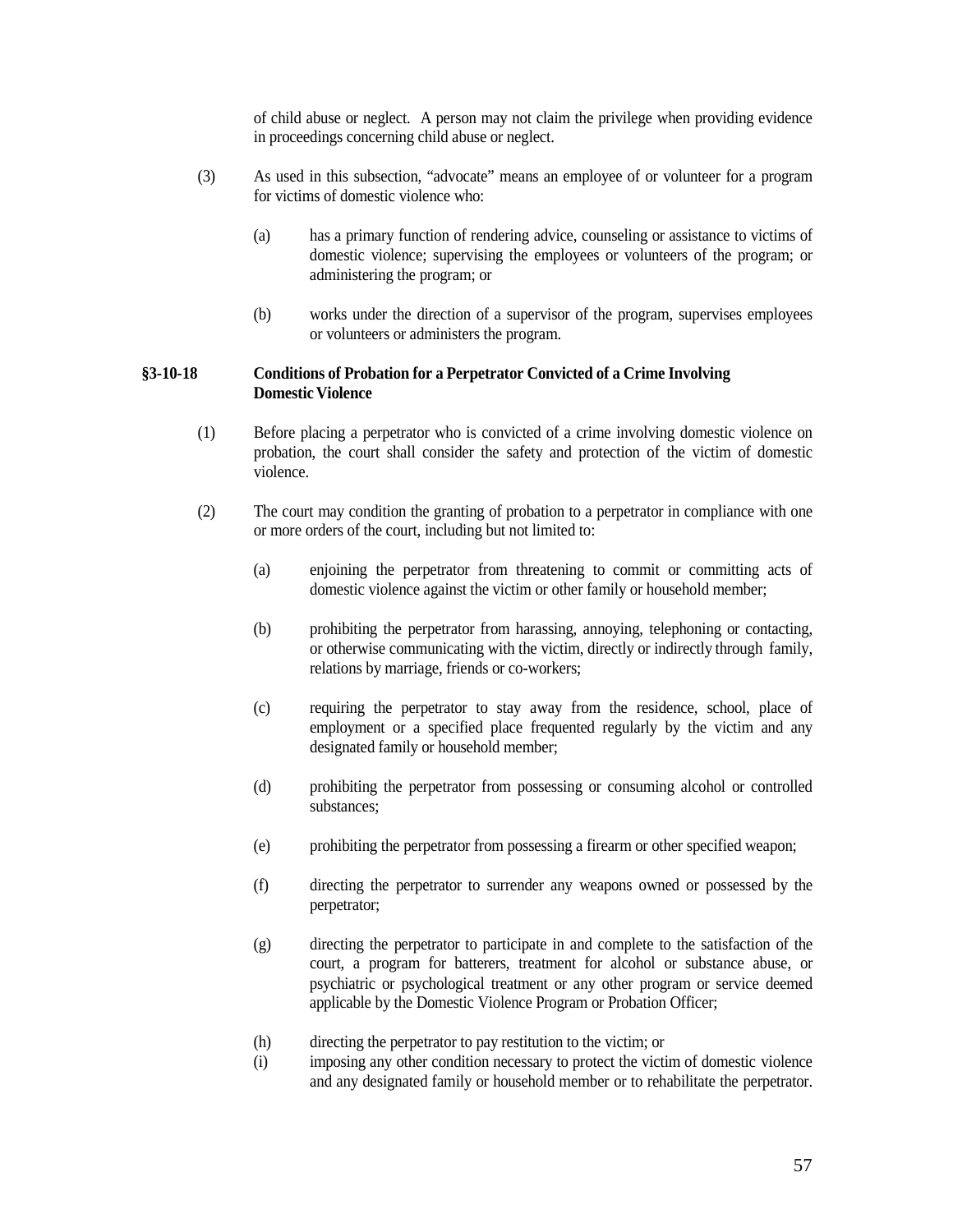of child abuse or neglect. A person may not claim the privilege when providing evidence in proceedings concerning child abuse or neglect.

- (3) As used in this subsection, "advocate" means an employee of or volunteer for a program for victims of domestic violence who:
	- (a) has a primary function of rendering advice, counseling or assistance to victims of domestic violence; supervising the employees or volunteers of the program; or administering the program; or
	- (b) works under the direction of a supervisor of the program, supervises employees or volunteers or administers the program.

## <span id="page-56-0"></span>**§3-10-18 Conditions of Probation for a Perpetrator Convicted of a Crime Involving Domestic Violence**

- (1) Before placing a perpetrator who is convicted of a crime involving domestic violence on probation, the court shall consider the safety and protection of the victim of domestic violence.
- (2) The court may condition the granting of probation to a perpetrator in compliance with one or more orders of the court, including but not limited to:
	- (a) enjoining the perpetrator from threatening to commit or committing acts of domestic violence against the victim or other family or household member;
	- (b) prohibiting the perpetrator from harassing, annoying, telephoning or contacting, or otherwise communicating with the victim, directly or indirectly through family, relations by marriage, friends or co-workers;
	- (c) requiring the perpetrator to stay away from the residence, school, place of employment or a specified place frequented regularly by the victim and any designated family or household member;
	- (d) prohibiting the perpetrator from possessing or consuming alcohol or controlled substances;
	- (e) prohibiting the perpetrator from possessing a firearm or other specified weapon;
	- (f) directing the perpetrator to surrender any weapons owned or possessed by the perpetrator;
	- (g) directing the perpetrator to participate in and complete to the satisfaction of the court, a program for batterers, treatment for alcohol or substance abuse, or psychiatric or psychological treatment or any other program or service deemed applicable by the Domestic Violence Program or Probation Officer;
	- (h) directing the perpetrator to pay restitution to the victim; or
	- (i) imposing any other condition necessary to protect the victim of domestic violence and any designated family or household member or to rehabilitate the perpetrator.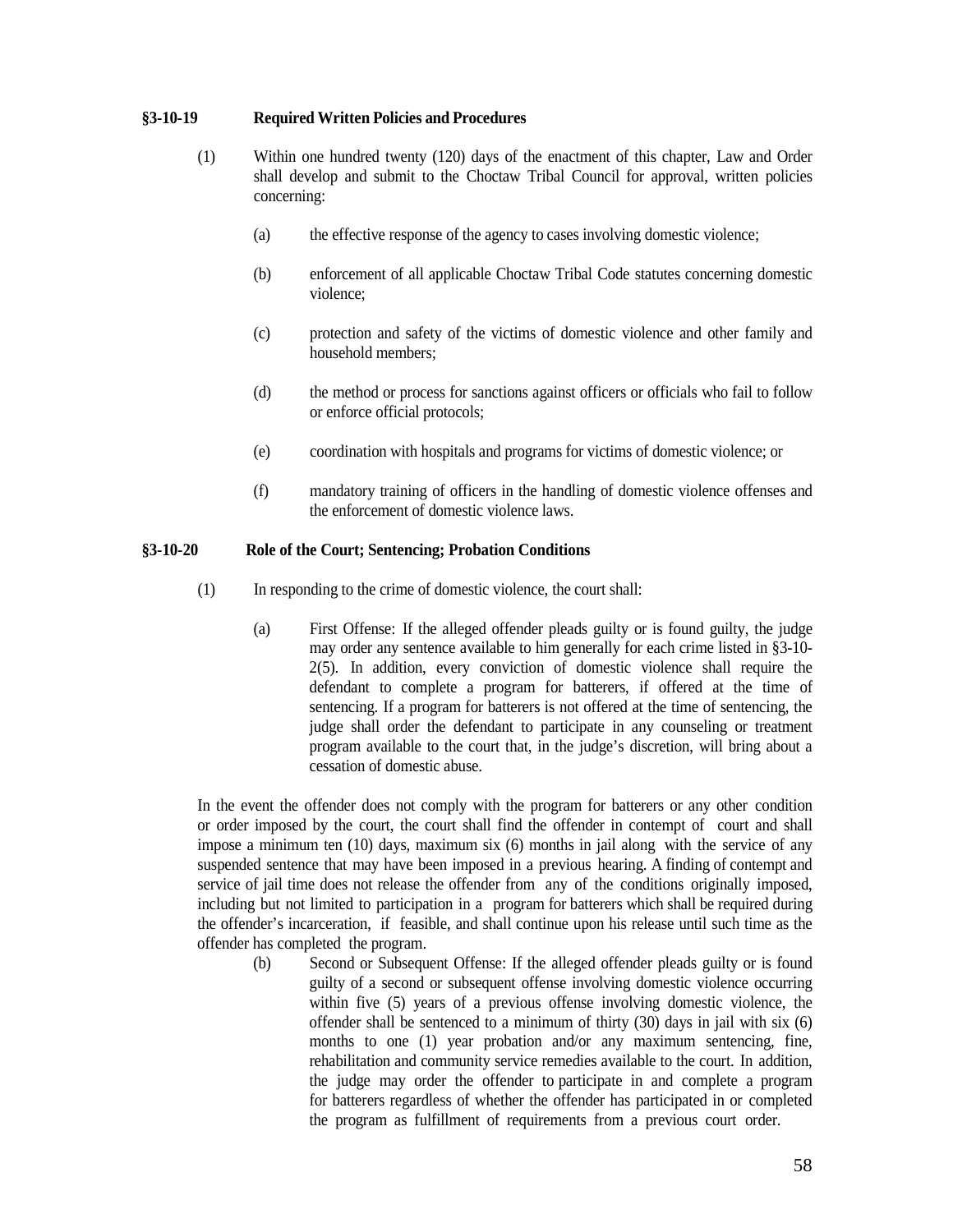### <span id="page-57-0"></span>**§3-10-19 Required Written Policies and Procedures**

- (1) Within one hundred twenty (120) days of the enactment of this chapter, Law and Order shall develop and submit to the Choctaw Tribal Council for approval, written policies concerning:
	- (a) the effective response of the agency to cases involving domestic violence;
	- (b) enforcement of all applicable Choctaw Tribal Code statutes concerning domestic violence;
	- (c) protection and safety of the victims of domestic violence and other family and household members;
	- (d) the method or process for sanctions against officers or officials who fail to follow or enforce official protocols;
	- (e) coordination with hospitals and programs for victims of domestic violence; or
	- (f) mandatory training of officers in the handling of domestic violence offenses and the enforcement of domestic violence laws.

### <span id="page-57-1"></span>**§3-10-20 Role of the Court; Sentencing; Probation Conditions**

- (1) In responding to the crime of domestic violence, the court shall:
	- (a) First Offense: If the alleged offender pleads guilty or is found guilty, the judge may order any sentence available to him generally for each crime listed in §3-10- 2(5). In addition, every conviction of domestic violence shall require the defendant to complete a program for batterers, if offered at the time of sentencing. If a program for batterers is not offered at the time of sentencing, the judge shall order the defendant to participate in any counseling or treatment program available to the court that, in the judge's discretion, will bring about a cessation of domestic abuse.

In the event the offender does not comply with the program for batterers or any other condition or order imposed by the court, the court shall find the offender in contempt of court and shall impose a minimum ten (10) days, maximum six (6) months in jail along with the service of any suspended sentence that may have been imposed in a previous hearing. A finding of contempt and service of jail time does not release the offender from any of the conditions originally imposed, including but not limited to participation in a program for batterers which shall be required during the offender's incarceration, if feasible, and shall continue upon his release until such time as the offender has completed the program.

(b) Second or Subsequent Offense: If the alleged offender pleads guilty or is found guilty of a second or subsequent offense involving domestic violence occurring within five (5) years of a previous offense involving domestic violence, the offender shall be sentenced to a minimum of thirty (30) days in jail with six (6) months to one (1) year probation and/or any maximum sentencing, fine, rehabilitation and community service remedies available to the court. In addition, the judge may order the offender to participate in and complete a program for batterers regardless of whether the offender has participated in or completed the program as fulfillment of requirements from a previous court order.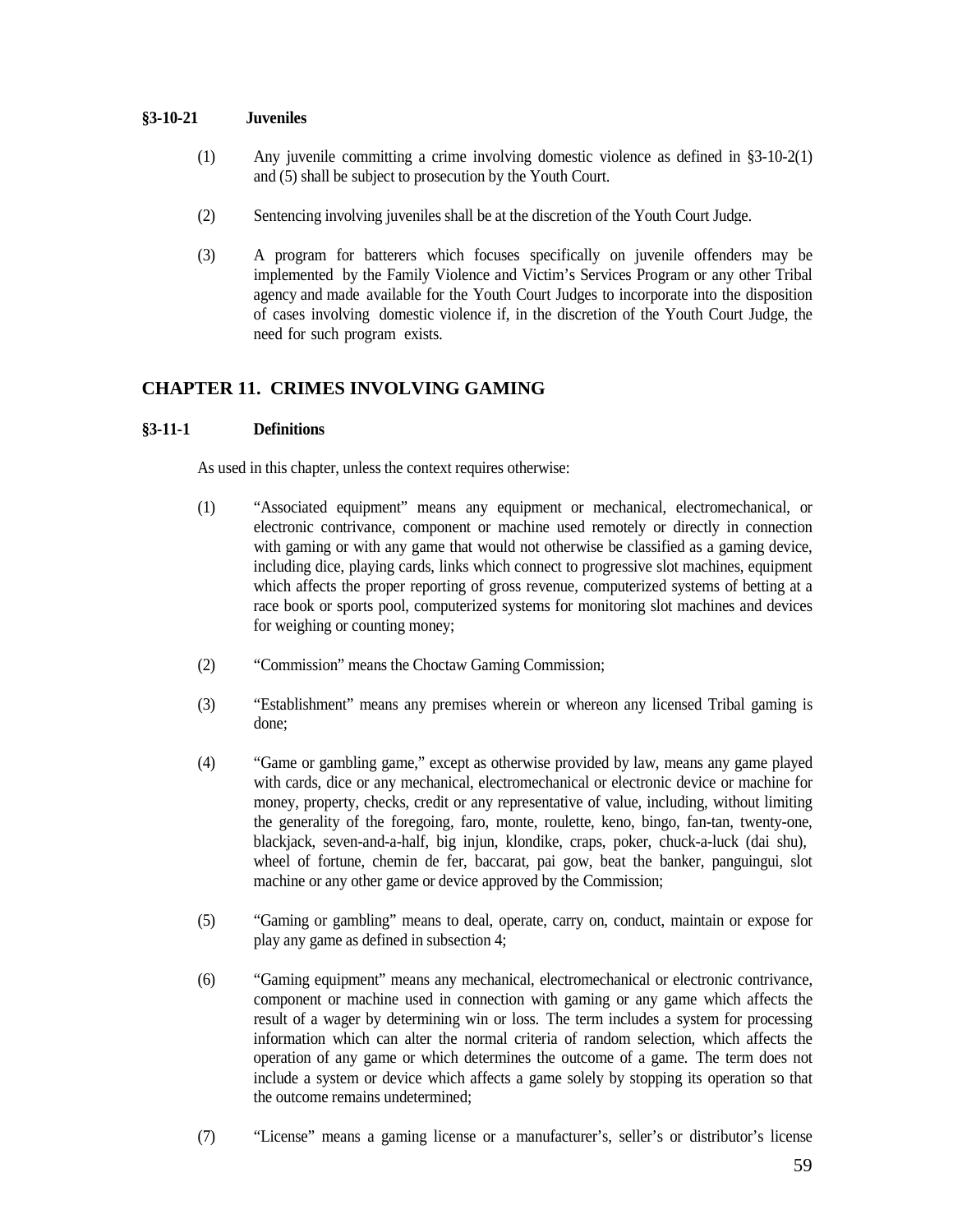### <span id="page-58-0"></span>**§3-10-21 Juveniles**

- (1) Any juvenile committing a crime involving domestic violence as defined in §3-10-2(1) and (5) shall be subject to prosecution by the Youth Court.
- (2) Sentencing involving juveniles shall be at the discretion of the Youth Court Judge.
- (3) A program for batterers which focuses specifically on juvenile offenders may be implemented by the Family Violence and Victim's Services Program or any other Tribal agency and made available for the Youth Court Judges to incorporate into the disposition of cases involving domestic violence if, in the discretion of the Youth Court Judge, the need for such program exists.

## <span id="page-58-1"></span>**CHAPTER 11. CRIMES INVOLVING GAMING**

## <span id="page-58-2"></span>**§3-11-1 Definitions**

As used in this chapter, unless the context requires otherwise:

- (1) "Associated equipment" means any equipment or mechanical, electromechanical, or electronic contrivance, component or machine used remotely or directly in connection with gaming or with any game that would not otherwise be classified as a gaming device, including dice, playing cards, links which connect to progressive slot machines, equipment which affects the proper reporting of gross revenue, computerized systems of betting at a race book or sports pool, computerized systems for monitoring slot machines and devices for weighing or counting money;
- (2) "Commission" means the Choctaw Gaming Commission;
- (3) "Establishment" means any premises wherein or whereon any licensed Tribal gaming is done;
- (4) "Game or gambling game," except as otherwise provided by law, means any game played with cards, dice or any mechanical, electromechanical or electronic device or machine for money, property, checks, credit or any representative of value, including, without limiting the generality of the foregoing, faro, monte, roulette, keno, bingo, fan-tan, twenty-one, blackjack, seven-and-a-half, big injun, klondike, craps, poker, chuck-a-luck (dai shu), wheel of fortune, chemin de fer, baccarat, pai gow, beat the banker, panguingui, slot machine or any other game or device approved by the Commission;
- (5) "Gaming or gambling" means to deal, operate, carry on, conduct, maintain or expose for play any game as defined in subsection 4;
- (6) "Gaming equipment" means any mechanical, electromechanical or electronic contrivance, component or machine used in connection with gaming or any game which affects the result of a wager by determining win or loss. The term includes a system for processing information which can alter the normal criteria of random selection, which affects the operation of any game or which determines the outcome of a game. The term does not include a system or device which affects a game solely by stopping its operation so that the outcome remains undetermined;
- (7) "License" means a gaming license or a manufacturer's, seller's or distributor's license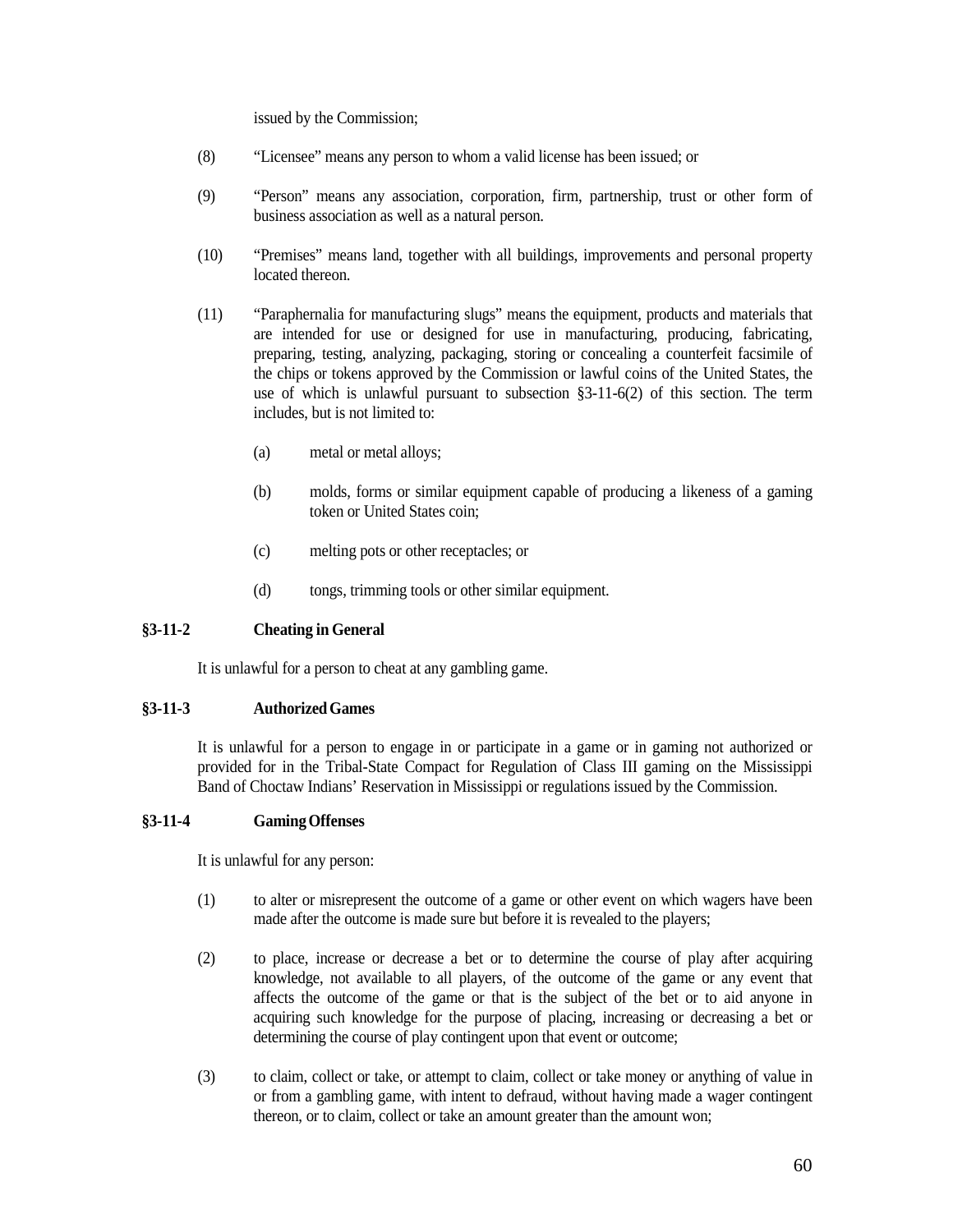issued by the Commission;

- (8) "Licensee" means any person to whom a valid license has been issued; or
- (9) "Person" means any association, corporation, firm, partnership, trust or other form of business association as well as a natural person.
- (10) "Premises" means land, together with all buildings, improvements and personal property located thereon.
- (11) "Paraphernalia for manufacturing slugs" means the equipment, products and materials that are intended for use or designed for use in manufacturing, producing, fabricating, preparing, testing, analyzing, packaging, storing or concealing a counterfeit facsimile of the chips or tokens approved by the Commission or lawful coins of the United States, the use of which is unlawful pursuant to subsection §3-11-6(2) of this section. The term includes, but is not limited to:
	- (a) metal or metal alloys;
	- (b) molds, forms or similar equipment capable of producing a likeness of a gaming token or United States coin;
	- (c) melting pots or other receptacles; or
	- (d) tongs, trimming tools or other similar equipment.

### <span id="page-59-0"></span>**§3-11-2 Cheating in General**

It is unlawful for a person to cheat at any gambling game.

### <span id="page-59-1"></span>**§3-11-3 AuthorizedGames**

It is unlawful for a person to engage in or participate in a game or in gaming not authorized or provided for in the Tribal-State Compact for Regulation of Class III gaming on the Mississippi Band of Choctaw Indians' Reservation in Mississippi or regulations issued by the Commission.

### <span id="page-59-2"></span>**§3-11-4 GamingOffenses**

It is unlawful for any person:

- (1) to alter or misrepresent the outcome of a game or other event on which wagers have been made after the outcome is made sure but before it is revealed to the players;
- (2) to place, increase or decrease a bet or to determine the course of play after acquiring knowledge, not available to all players, of the outcome of the game or any event that affects the outcome of the game or that is the subject of the bet or to aid anyone in acquiring such knowledge for the purpose of placing, increasing or decreasing a bet or determining the course of play contingent upon that event or outcome;
- (3) to claim, collect or take, or attempt to claim, collect or take money or anything of value in or from a gambling game, with intent to defraud, without having made a wager contingent thereon, or to claim, collect or take an amount greater than the amount won;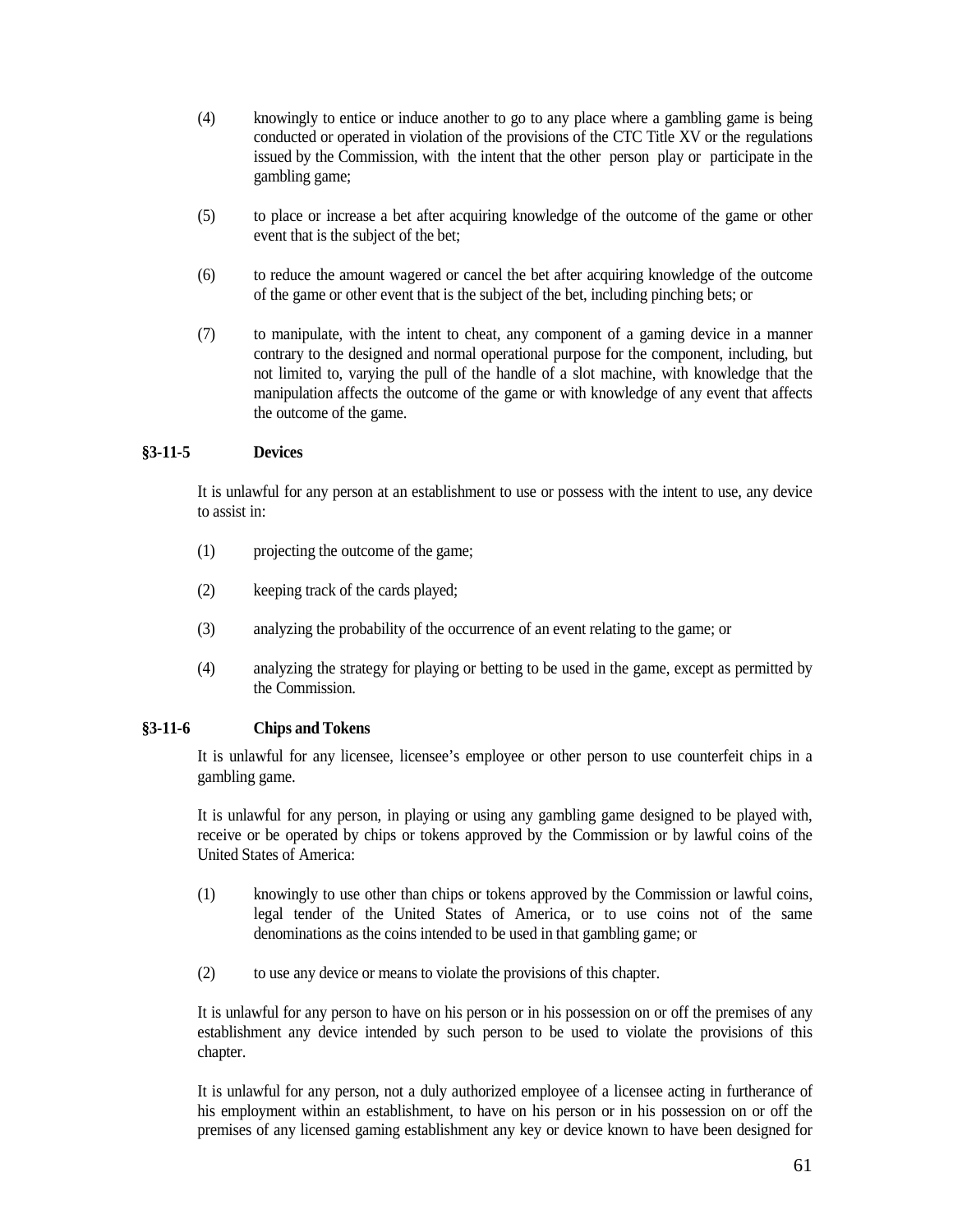- (4) knowingly to entice or induce another to go to any place where a gambling game is being conducted or operated in violation of the provisions of the CTC Title XV or the regulations issued by the Commission, with the intent that the other person play or participate in the gambling game;
- (5) to place or increase a bet after acquiring knowledge of the outcome of the game or other event that is the subject of the bet;
- (6) to reduce the amount wagered or cancel the bet after acquiring knowledge of the outcome of the game or other event that is the subject of the bet, including pinching bets; or
- (7) to manipulate, with the intent to cheat, any component of a gaming device in a manner contrary to the designed and normal operational purpose for the component, including, but not limited to, varying the pull of the handle of a slot machine, with knowledge that the manipulation affects the outcome of the game or with knowledge of any event that affects the outcome of the game.

## <span id="page-60-0"></span>**§3-11-5 Devices**

It is unlawful for any person at an establishment to use or possess with the intent to use, any device to assist in:

- (1) projecting the outcome of the game;
- (2) keeping track of the cards played;
- (3) analyzing the probability of the occurrence of an event relating to the game; or
- (4) analyzing the strategy for playing or betting to be used in the game, except as permitted by the Commission.

### <span id="page-60-1"></span>**§3-11-6 Chips and Tokens**

It is unlawful for any licensee, licensee's employee or other person to use counterfeit chips in a gambling game.

It is unlawful for any person, in playing or using any gambling game designed to be played with, receive or be operated by chips or tokens approved by the Commission or by lawful coins of the United States of America:

- (1) knowingly to use other than chips or tokens approved by the Commission or lawful coins, legal tender of the United States of America, or to use coins not of the same denominations as the coins intended to be used in that gambling game; or
- (2) to use any device or means to violate the provisions of this chapter.

It is unlawful for any person to have on his person or in his possession on or off the premises of any establishment any device intended by such person to be used to violate the provisions of this chapter.

It is unlawful for any person, not a duly authorized employee of a licensee acting in furtherance of his employment within an establishment, to have on his person or in his possession on or off the premises of any licensed gaming establishment any key or device known to have been designed for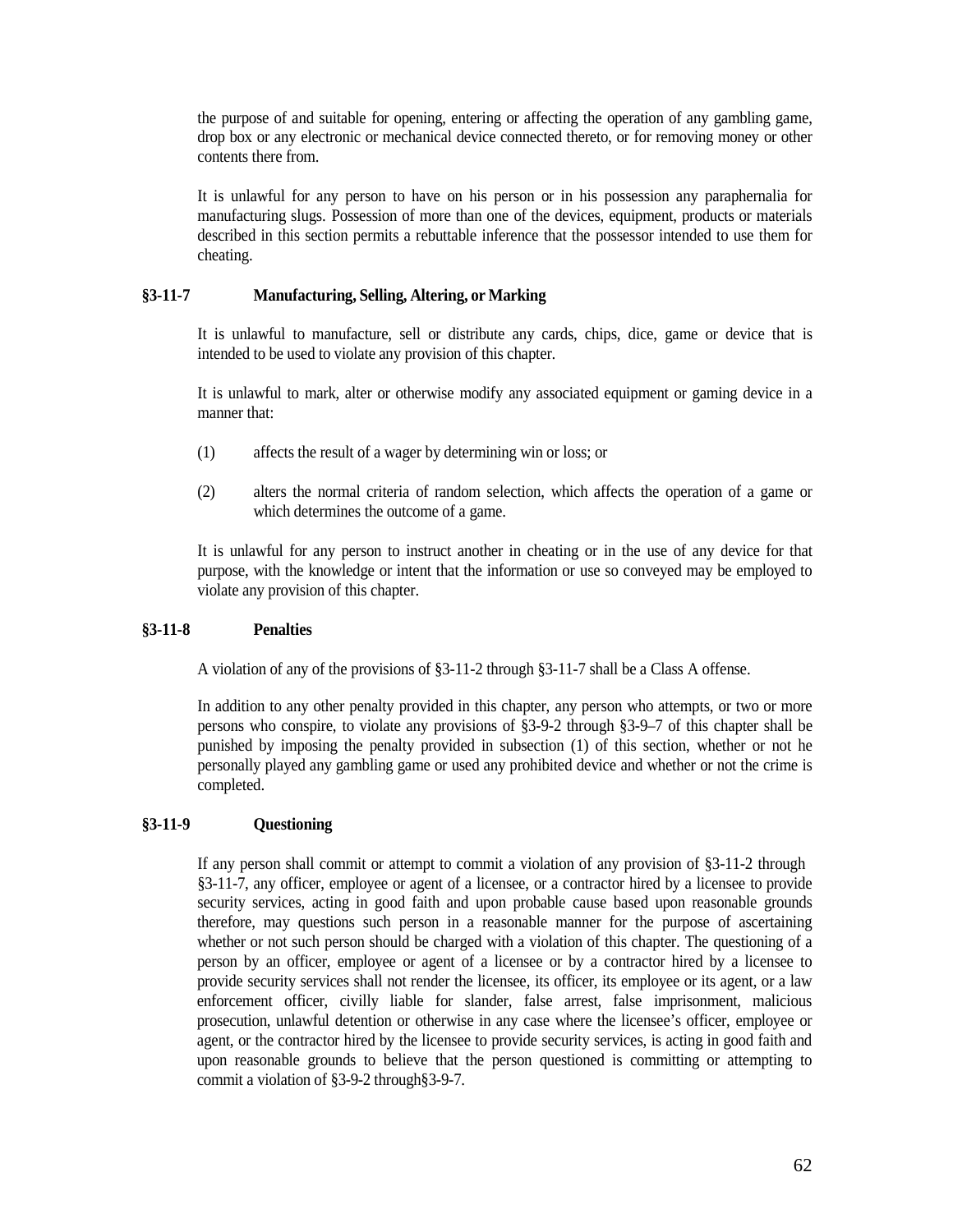the purpose of and suitable for opening, entering or affecting the operation of any gambling game, drop box or any electronic or mechanical device connected thereto, or for removing money or other contents there from.

It is unlawful for any person to have on his person or in his possession any paraphernalia for manufacturing slugs. Possession of more than one of the devices, equipment, products or materials described in this section permits a rebuttable inference that the possessor intended to use them for cheating.

### <span id="page-61-0"></span>**§3-11-7 Manufacturing, Selling, Altering, or Marking**

It is unlawful to manufacture, sell or distribute any cards, chips, dice, game or device that is intended to be used to violate any provision of this chapter.

It is unlawful to mark, alter or otherwise modify any associated equipment or gaming device in a manner that:

- (1) affects the result of a wager by determining win or loss; or
- (2) alters the normal criteria of random selection, which affects the operation of a game or which determines the outcome of a game.

It is unlawful for any person to instruct another in cheating or in the use of any device for that purpose, with the knowledge or intent that the information or use so conveyed may be employed to violate any provision of this chapter.

### <span id="page-61-1"></span>**§3-11-8 Penalties**

A violation of any of the provisions of §3-11-2 through §3-11-7 shall be a Class A offense.

In addition to any other penalty provided in this chapter, any person who attempts, or two or more persons who conspire, to violate any provisions of §3-9-2 through §3-9–7 of this chapter shall be punished by imposing the penalty provided in subsection (1) of this section, whether or not he personally played any gambling game or used any prohibited device and whether or not the crime is completed.

## <span id="page-61-2"></span>**§3-11-9 Questioning**

If any person shall commit or attempt to commit a violation of any provision of §3-11-2 through §3-11-7, any officer, employee or agent of a licensee, or a contractor hired by a licensee to provide security services, acting in good faith and upon probable cause based upon reasonable grounds therefore, may questions such person in a reasonable manner for the purpose of ascertaining whether or not such person should be charged with a violation of this chapter. The questioning of a person by an officer, employee or agent of a licensee or by a contractor hired by a licensee to provide security services shall not render the licensee, its officer, its employee or its agent, or a law enforcement officer, civilly liable for slander, false arrest, false imprisonment, malicious prosecution, unlawful detention or otherwise in any case where the licensee's officer, employee or agent, or the contractor hired by the licensee to provide security services, is acting in good faith and upon reasonable grounds to believe that the person questioned is committing or attempting to commit a violation of §3-9-2 through§3-9-7.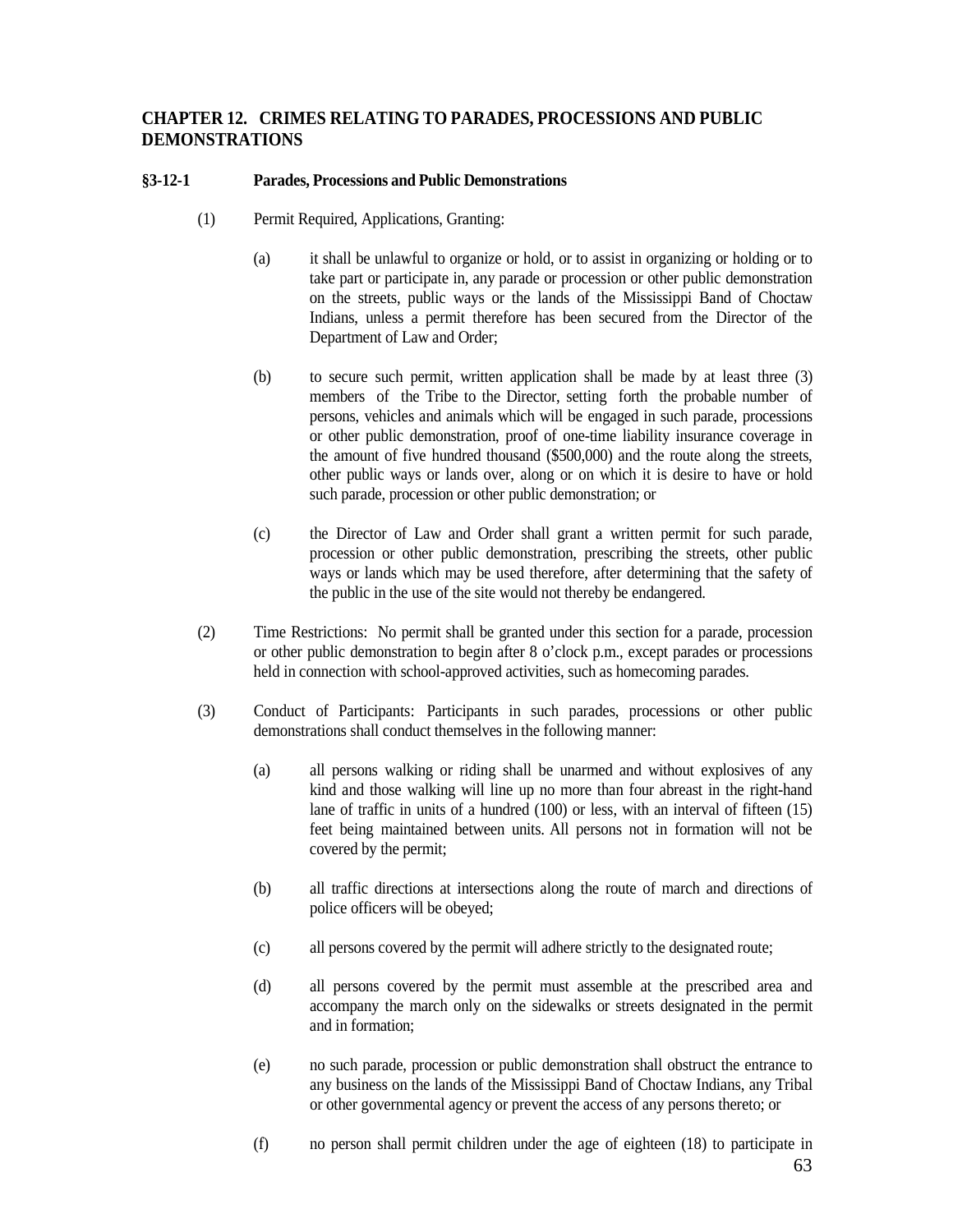## <span id="page-62-0"></span>**CHAPTER 12. CRIMES RELATING TO PARADES, PROCESSIONS AND PUBLIC DEMONSTRATIONS**

## <span id="page-62-1"></span>**§3-12-1 Parades, Processions and Public Demonstrations**

- (1) Permit Required, Applications, Granting:
	- (a) it shall be unlawful to organize or hold, or to assist in organizing or holding or to take part or participate in, any parade or procession or other public demonstration on the streets, public ways or the lands of the Mississippi Band of Choctaw Indians, unless a permit therefore has been secured from the Director of the Department of Law and Order;
	- (b) to secure such permit, written application shall be made by at least three (3) members of the Tribe to the Director, setting forth the probable number of persons, vehicles and animals which will be engaged in such parade, processions or other public demonstration, proof of one-time liability insurance coverage in the amount of five hundred thousand (\$500,000) and the route along the streets, other public ways or lands over, along or on which it is desire to have or hold such parade, procession or other public demonstration; or
	- (c) the Director of Law and Order shall grant a written permit for such parade, procession or other public demonstration, prescribing the streets, other public ways or lands which may be used therefore, after determining that the safety of the public in the use of the site would not thereby be endangered.
- (2) Time Restrictions: No permit shall be granted under this section for a parade, procession or other public demonstration to begin after 8 o'clock p.m., except parades or processions held in connection with school-approved activities, such as homecoming parades.
- (3) Conduct of Participants: Participants in such parades, processions or other public demonstrations shall conduct themselves in the following manner:
	- (a) all persons walking or riding shall be unarmed and without explosives of any kind and those walking will line up no more than four abreast in the right-hand lane of traffic in units of a hundred (100) or less, with an interval of fifteen (15) feet being maintained between units. All persons not in formation will not be covered by the permit;
	- (b) all traffic directions at intersections along the route of march and directions of police officers will be obeyed;
	- (c) all persons covered by the permit will adhere strictly to the designated route;
	- (d) all persons covered by the permit must assemble at the prescribed area and accompany the march only on the sidewalks or streets designated in the permit and in formation;
	- (e) no such parade, procession or public demonstration shall obstruct the entrance to any business on the lands of the Mississippi Band of Choctaw Indians, any Tribal or other governmental agency or prevent the access of any persons thereto; or
	- (f) no person shall permit children under the age of eighteen (18) to participate in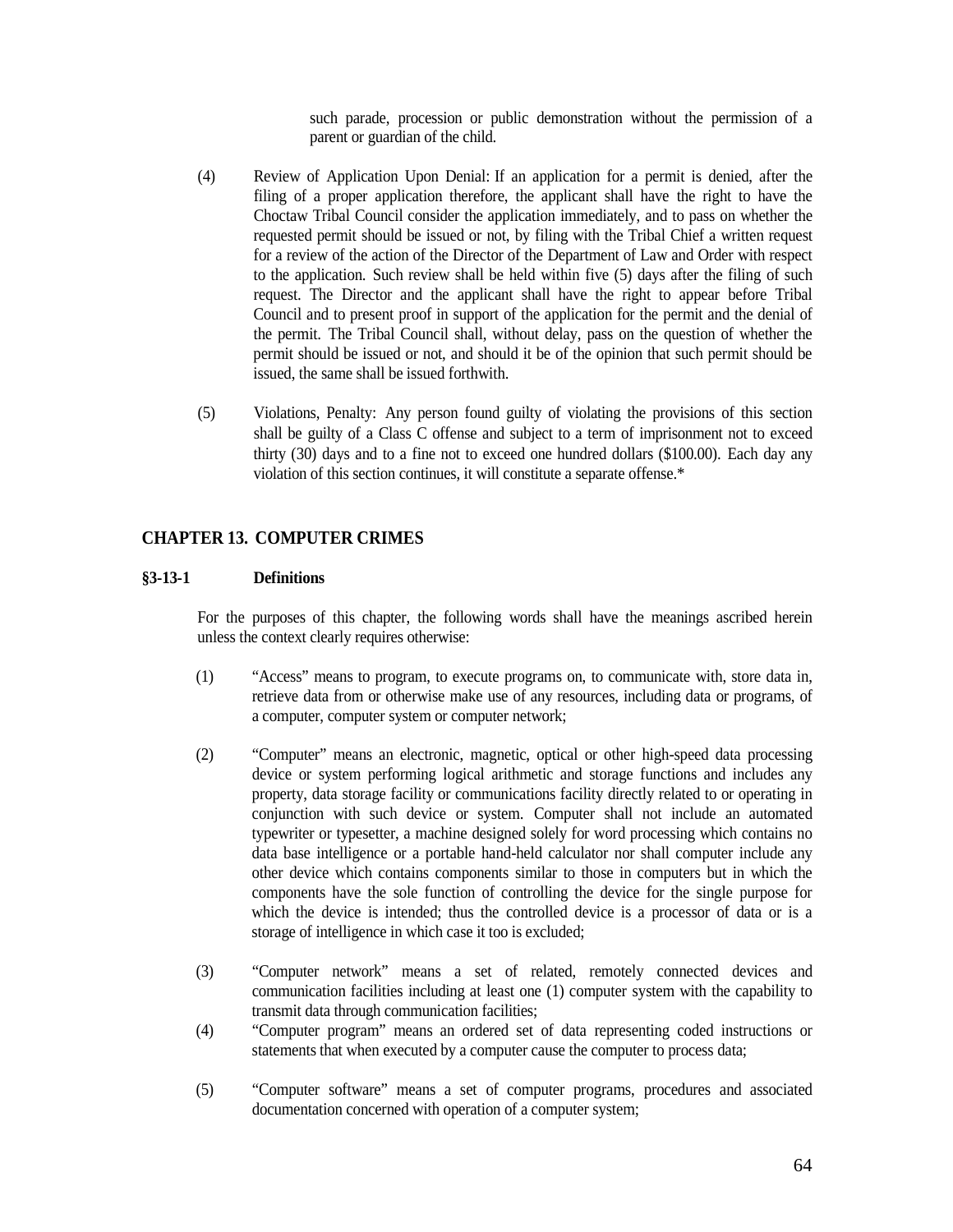such parade, procession or public demonstration without the permission of a parent or guardian of the child.

- (4) Review of Application Upon Denial: If an application for a permit is denied, after the filing of a proper application therefore, the applicant shall have the right to have the Choctaw Tribal Council consider the application immediately, and to pass on whether the requested permit should be issued or not, by filing with the Tribal Chief a written request for a review of the action of the Director of the Department of Law and Order with respect to the application. Such review shall be held within five (5) days after the filing of such request. The Director and the applicant shall have the right to appear before Tribal Council and to present proof in support of the application for the permit and the denial of the permit. The Tribal Council shall, without delay, pass on the question of whether the permit should be issued or not, and should it be of the opinion that such permit should be issued, the same shall be issued forthwith.
- (5) Violations, Penalty: Any person found guilty of violating the provisions of this section shall be guilty of a Class C offense and subject to a term of imprisonment not to exceed thirty (30) days and to a fine not to exceed one hundred dollars (\$100.00). Each day any violation of this section continues, it will constitute a separate offense.\*

## <span id="page-63-0"></span>**CHAPTER 13. COMPUTER CRIMES**

#### <span id="page-63-1"></span>**§3-13-1 Definitions**

For the purposes of this chapter, the following words shall have the meanings ascribed herein unless the context clearly requires otherwise:

- (1) "Access" means to program, to execute programs on, to communicate with, store data in, retrieve data from or otherwise make use of any resources, including data or programs, of a computer, computer system or computer network;
- (2) "Computer" means an electronic, magnetic, optical or other high-speed data processing device or system performing logical arithmetic and storage functions and includes any property, data storage facility or communications facility directly related to or operating in conjunction with such device or system. Computer shall not include an automated typewriter or typesetter, a machine designed solely for word processing which contains no data base intelligence or a portable hand-held calculator nor shall computer include any other device which contains components similar to those in computers but in which the components have the sole function of controlling the device for the single purpose for which the device is intended; thus the controlled device is a processor of data or is a storage of intelligence in which case it too is excluded;
- (3) "Computer network" means a set of related, remotely connected devices and communication facilities including at least one (1) computer system with the capability to transmit data through communication facilities;
- (4) "Computer program" means an ordered set of data representing coded instructions or statements that when executed by a computer cause the computer to process data;
- (5) "Computer software" means a set of computer programs, procedures and associated documentation concerned with operation of a computer system;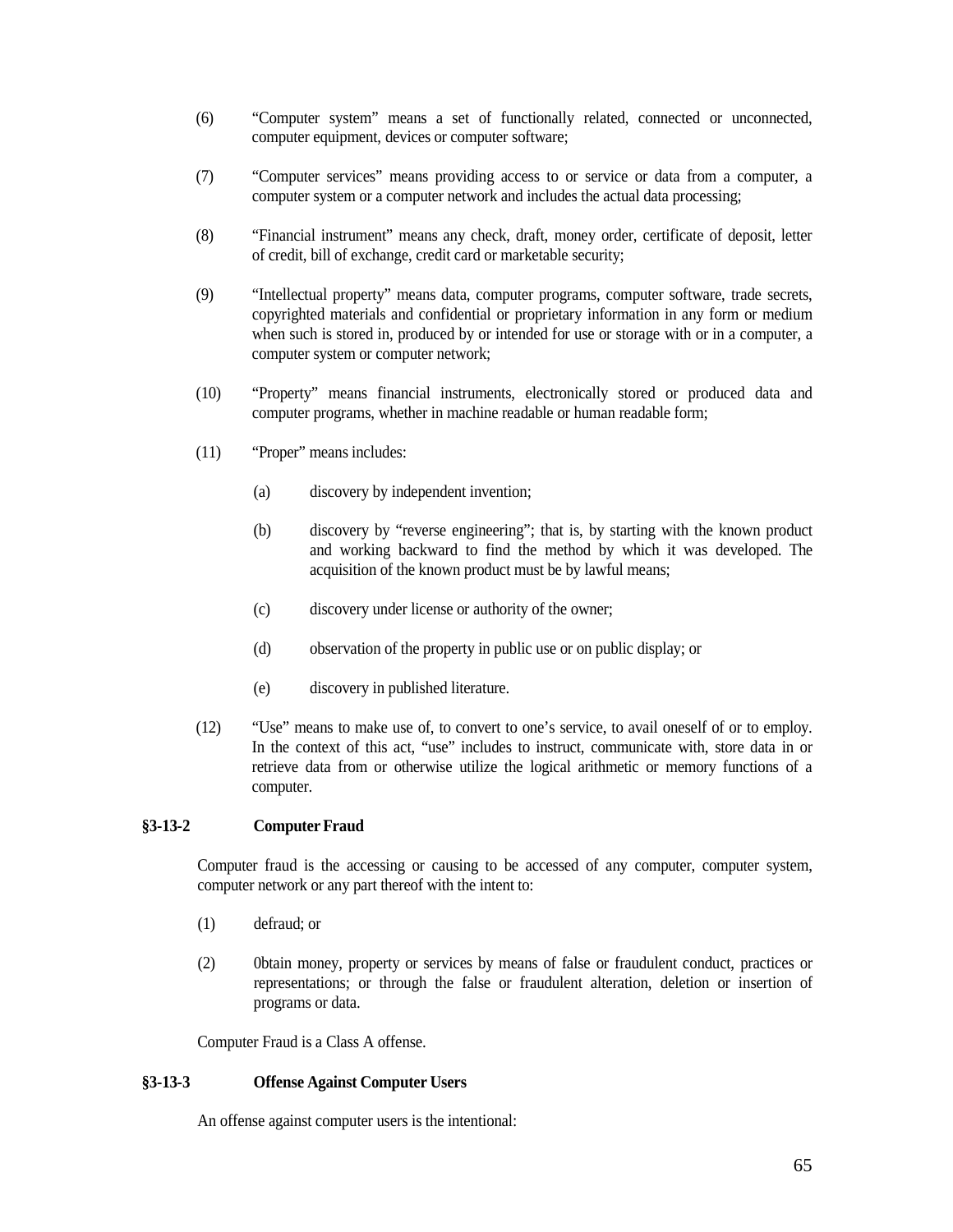- (6) "Computer system" means a set of functionally related, connected or unconnected, computer equipment, devices or computer software;
- (7) "Computer services" means providing access to or service or data from a computer, a computer system or a computer network and includes the actual data processing;
- (8) "Financial instrument" means any check, draft, money order, certificate of deposit, letter of credit, bill of exchange, credit card or marketable security;
- (9) "Intellectual property" means data, computer programs, computer software, trade secrets, copyrighted materials and confidential or proprietary information in any form or medium when such is stored in, produced by or intended for use or storage with or in a computer, a computer system or computer network;
- (10) "Property" means financial instruments, electronically stored or produced data and computer programs, whether in machine readable or human readable form;
- (11) "Proper" means includes:
	- (a) discovery by independent invention;
	- (b) discovery by "reverse engineering"; that is, by starting with the known product and working backward to find the method by which it was developed. The acquisition of the known product must be by lawful means;
	- (c) discovery under license or authority of the owner;
	- (d) observation of the property in public use or on public display; or
	- (e) discovery in published literature.
- (12) "Use" means to make use of, to convert to one's service, to avail oneself of or to employ. In the context of this act, "use" includes to instruct, communicate with, store data in or retrieve data from or otherwise utilize the logical arithmetic or memory functions of a computer.

### <span id="page-64-0"></span>**§3-13-2 Computer Fraud**

Computer fraud is the accessing or causing to be accessed of any computer, computer system, computer network or any part thereof with the intent to:

- (1) defraud; or
- (2) 0btain money, property or services by means of false or fraudulent conduct, practices or representations; or through the false or fraudulent alteration, deletion or insertion of programs or data.

Computer Fraud is a Class A offense.

### <span id="page-64-1"></span>**§3-13-3 Offense Against Computer Users**

An offense against computer users is the intentional: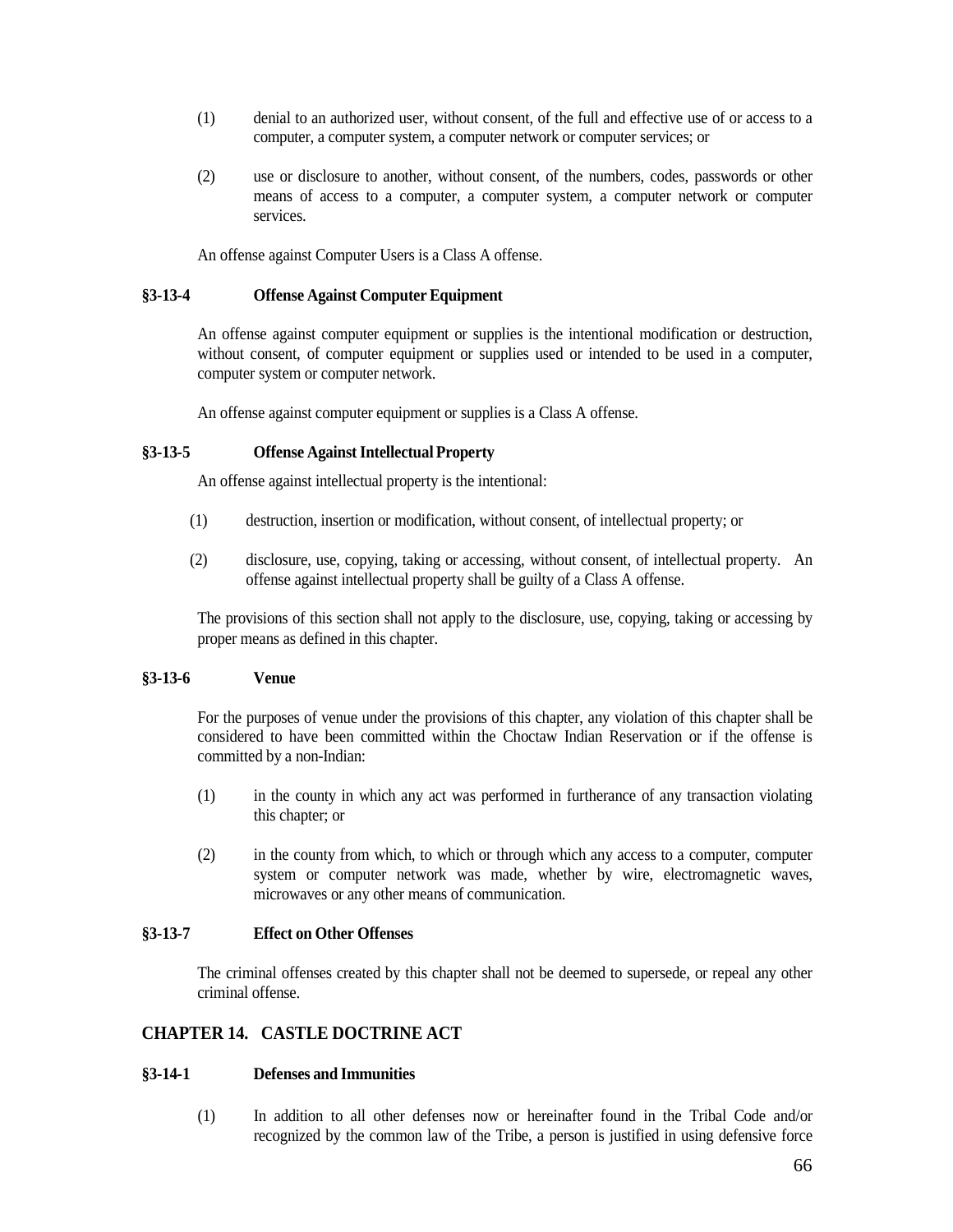- (1) denial to an authorized user, without consent, of the full and effective use of or access to a computer, a computer system, a computer network or computer services; or
- (2) use or disclosure to another, without consent, of the numbers, codes, passwords or other means of access to a computer, a computer system, a computer network or computer services.

An offense against Computer Users is a Class A offense.

### <span id="page-65-0"></span>**§3-13-4 Offense Against Computer Equipment**

An offense against computer equipment or supplies is the intentional modification or destruction, without consent, of computer equipment or supplies used or intended to be used in a computer, computer system or computer network.

An offense against computer equipment or supplies is a Class A offense.

## <span id="page-65-1"></span>**§3-13-5 Offense AgainstIntellectual Property**

An offense against intellectual property is the intentional:

- (1) destruction, insertion or modification, without consent, of intellectual property; or
- (2) disclosure, use, copying, taking or accessing, without consent, of intellectual property. An offense against intellectual property shall be guilty of a Class A offense.

The provisions of this section shall not apply to the disclosure, use, copying, taking or accessing by proper means as defined in this chapter.

### <span id="page-65-2"></span>**§3-13-6 Venue**

For the purposes of venue under the provisions of this chapter, any violation of this chapter shall be considered to have been committed within the Choctaw Indian Reservation or if the offense is committed by a non-Indian:

- (1) in the county in which any act was performed in furtherance of any transaction violating this chapter; or
- (2) in the county from which, to which or through which any access to a computer, computer system or computer network was made, whether by wire, electromagnetic waves, microwaves or any other means of communication.

## <span id="page-65-3"></span>**§3-13-7 Effect on Other Offenses**

The criminal offenses created by this chapter shall not be deemed to supersede, or repeal any other criminal offense.

## <span id="page-65-4"></span>**CHAPTER 14. CASTLE DOCTRINE ACT**

## <span id="page-65-5"></span>**§3-14-1 Defenses and Immunities**

(1) In addition to all other defenses now or hereinafter found in the Tribal Code and/or recognized by the common law of the Tribe, a person is justified in using defensive force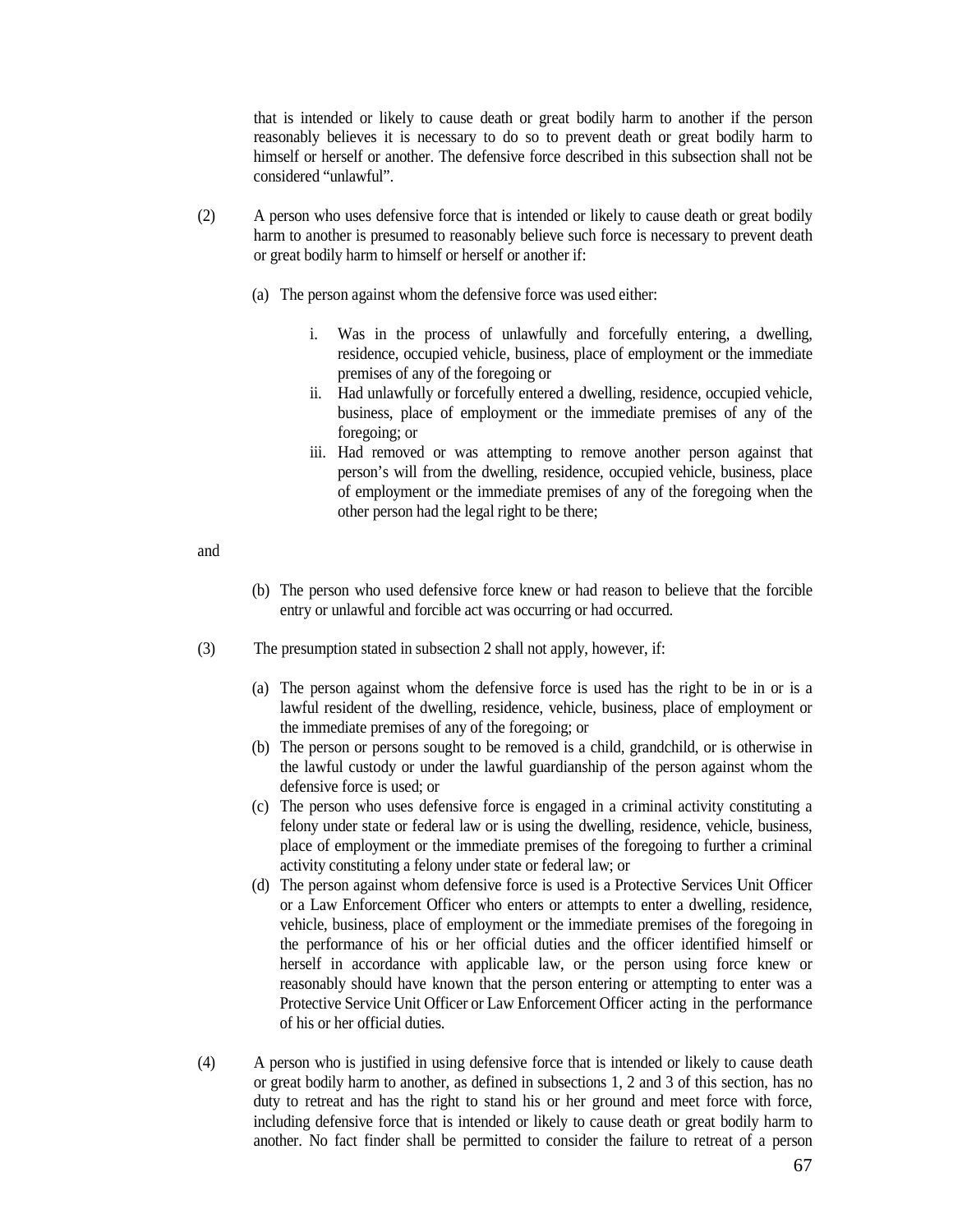that is intended or likely to cause death or great bodily harm to another if the person reasonably believes it is necessary to do so to prevent death or great bodily harm to himself or herself or another. The defensive force described in this subsection shall not be considered "unlawful".

- (2) A person who uses defensive force that is intended or likely to cause death or great bodily harm to another is presumed to reasonably believe such force is necessary to prevent death or great bodily harm to himself or herself or another if:
	- (a) The person against whom the defensive force was used either:
		- i. Was in the process of unlawfully and forcefully entering, a dwelling, residence, occupied vehicle, business, place of employment or the immediate premises of any of the foregoing or
		- ii. Had unlawfully or forcefully entered a dwelling, residence, occupied vehicle, business, place of employment or the immediate premises of any of the foregoing; or
		- iii. Had removed or was attempting to remove another person against that person's will from the dwelling, residence, occupied vehicle, business, place of employment or the immediate premises of any of the foregoing when the other person had the legal right to be there;

and

- (b) The person who used defensive force knew or had reason to believe that the forcible entry or unlawful and forcible act was occurring or had occurred.
- (3) The presumption stated in subsection 2 shall not apply, however, if:
	- (a) The person against whom the defensive force is used has the right to be in or is a lawful resident of the dwelling, residence, vehicle, business, place of employment or the immediate premises of any of the foregoing; or
	- (b) The person or persons sought to be removed is a child, grandchild, or is otherwise in the lawful custody or under the lawful guardianship of the person against whom the defensive force is used; or
	- (c) The person who uses defensive force is engaged in a criminal activity constituting a felony under state or federal law or is using the dwelling, residence, vehicle, business, place of employment or the immediate premises of the foregoing to further a criminal activity constituting a felony under state or federal law; or
	- (d) The person against whom defensive force is used is a Protective Services Unit Officer or a Law Enforcement Officer who enters or attempts to enter a dwelling, residence, vehicle, business, place of employment or the immediate premises of the foregoing in the performance of his or her official duties and the officer identified himself or herself in accordance with applicable law, or the person using force knew or reasonably should have known that the person entering or attempting to enter was a Protective Service Unit Officer or Law Enforcement Officer acting in the performance of his or her official duties.
- (4) A person who is justified in using defensive force that is intended or likely to cause death or great bodily harm to another, as defined in subsections 1, 2 and 3 of this section, has no duty to retreat and has the right to stand his or her ground and meet force with force, including defensive force that is intended or likely to cause death or great bodily harm to another. No fact finder shall be permitted to consider the failure to retreat of a person